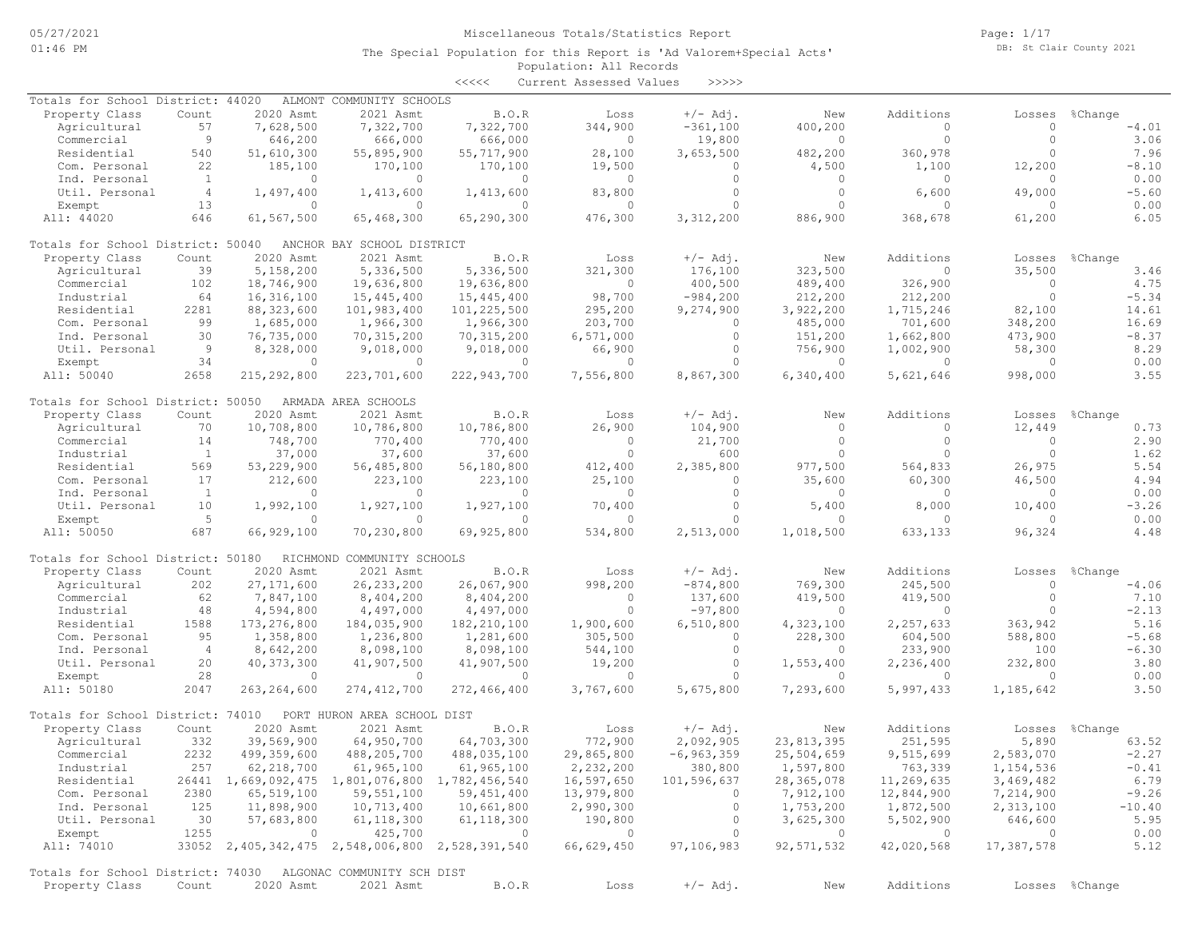Page: 1/17 DB: St Clair County 2021

### Population: All Records The Special Population for this Report is 'Ad Valorem+Special Acts'

<<<<< Current Assessed Values >>>>>

| Totals for School District: 44020                            |                |                | ALMONT COMMUNITY SCHOOLS                        |                |            |                |            |            |                |                |
|--------------------------------------------------------------|----------------|----------------|-------------------------------------------------|----------------|------------|----------------|------------|------------|----------------|----------------|
| Property Class                                               | Count          | 2020 Asmt      | 2021 Asmt                                       | B.O.R          | Loss       | $+/-$ Adj.     | New        | Additions  | Losses         | %Change        |
| Agricultural                                                 | 57             | 7,628,500      | 7,322,700                                       | 7,322,700      | 344,900    | $-361,100$     | 400,200    | $\circ$    | $\Omega$       | $-4.01$        |
| Commercial                                                   | 9              | 646,200        | 666,000                                         | 666,000        | $\circ$    | 19,800         | $\circ$    | $\circ$    | $\Omega$       | 3.06           |
| Residential                                                  | 540            | 51,610,300     | 55,895,900                                      | 55,717,900     | 28,100     | 3,653,500      | 482,200    | 360,978    | $\cap$         | 7.96           |
| Com. Personal                                                | 22             | 185,100        | 170,100                                         | 170,100        | 19,500     | 0              | 4,500      | 1,100      | 12,200         | $-8.10$        |
| Ind. Personal                                                | 1              | $\Omega$       | $\circ$                                         | $\circ$        | $\circ$    | $\circ$        | 0          | 0          | $\Omega$       | 0.00           |
| Util. Personal                                               | $\overline{4}$ | 1,497,400      | 1,413,600                                       | 1,413,600      | 83,800     | $\Omega$       | $\circ$    | 6,600      | 49,000         | $-5.60$        |
| Exempt                                                       | 13             | $\Omega$       | $\circ$                                         | $\circ$        | $\circ$    | $\circ$        | $\circ$    | $\circ$    | $\Omega$       | 0.00           |
|                                                              |                |                |                                                 |                |            |                |            |            |                |                |
| All: 44020                                                   | 646            | 61,567,500     | 65,468,300                                      | 65,290,300     | 476,300    | 3,312,200      | 886,900    | 368,678    | 61,200         | 6.05           |
| Totals for School District: 50040                            |                |                | ANCHOR BAY SCHOOL DISTRICT                      |                |            |                |            |            |                |                |
| Property Class                                               | Count          | 2020 Asmt      | 2021 Asmt                                       | <b>B.O.R</b>   | Loss       | $+/-$ Adj.     | New        | Additions  | Losses         | %Change        |
| Agricultural                                                 | 39             | 5,158,200      | 5,336,500                                       | 5,336,500      | 321,300    | 176,100        | 323,500    | $\circ$    | 35,500         | 3.46           |
| Commercial                                                   | 102            | 18,746,900     | 19,636,800                                      | 19,636,800     | $\circ$    | 400,500        | 489,400    | 326,900    | $\circ$        | 4.75           |
| Industrial                                                   | 64             | 16,316,100     | 15,445,400                                      | 15,445,400     | 98,700     | $-984,200$     | 212,200    | 212,200    | $\Omega$       | $-5.34$        |
| Residential                                                  | 2281           | 88, 323, 600   | 101,983,400                                     | 101,225,500    | 295,200    | 9,274,900      | 3,922,200  | 1,715,246  | 82,100         | 14.61          |
| Com. Personal                                                | 99             | 1,685,000      | 1,966,300                                       | 1,966,300      | 203,700    | 0              | 485,000    | 701,600    | 348,200        | 16.69          |
|                                                              |                |                |                                                 |                |            |                |            |            |                |                |
| Ind. Personal                                                | 30             | 76,735,000     | 70, 315, 200                                    | 70,315,200     | 6,571,000  | $\circ$        | 151,200    | 1,662,800  | 473,900        | $-8.37$        |
| Util. Personal                                               | 9              | 8,328,000      | 9,018,000                                       | 9,018,000      | 66,900     | $\circ$        | 756,900    | 1,002,900  | 58,300         | 8.29           |
| Exempt                                                       | 34             | $\circ$        | $\circ$                                         | $\circ$        | $\circ$    | $\Omega$       | $\circ$    | $\circ$    | $\Omega$       | 0.00           |
| All: 50040                                                   | 2658           | 215,292,800    | 223,701,600                                     | 222,943,700    | 7,556,800  | 8,867,300      | 6,340,400  | 5,621,646  | 998,000        | 3.55           |
| Totals for School District: 50050                            |                |                | ARMADA AREA SCHOOLS                             |                |            |                |            |            |                |                |
| Property Class                                               | Count          | 2020 Asmt      | 2021 Asmt                                       | B.O.R          | Loss       | $+/-$ Adj.     | New        | Additions  | Losses         | %Change        |
| Agricultural                                                 | 70             | 10,708,800     | 10,786,800                                      | 10,786,800     | 26,900     | 104,900        | $\circ$    | $\circ$    | 12,449         | 0.73           |
| Commercial                                                   | 14             | 748,700        | 770,400                                         | 770,400        | $\circ$    | 21,700         | $\circ$    | $\circ$    | $\bigcap$      | 2.90           |
|                                                              | <sup>1</sup>   |                |                                                 |                | $\circ$    |                | $\Omega$   | $\Omega$   | $\Omega$       | 1.62           |
| Industrial                                                   |                | 37,000         | 37,600                                          | 37,600         |            | 600            |            |            |                |                |
| Residential                                                  | 569            | 53,229,900     | 56,485,800                                      | 56,180,800     | 412,400    | 2,385,800      | 977,500    | 564,833    | 26,975         | 5.54           |
| Com. Personal                                                | 17             | 212,600        | 223,100                                         | 223,100        | 25,100     | $\circ$        | 35,600     | 60,300     | 46,500         | 4.94           |
| Ind. Personal                                                | 1              | $\mathbf{0}$   | $\circ$                                         | $\mathbf{0}$   | $\circ$    | $\circ$        | 0          | $\circ$    | $\bigcap$      | 0.00           |
| Util. Personal                                               | 10             | 1,992,100      | 1,927,100                                       | 1,927,100      | 70,400     | $\circ$        | 5,400      | 8,000      | 10,400         | $-3.26$        |
| Exempt                                                       | 5              | $\Omega$       | $\circ$                                         | $\Omega$       | $\Omega$   | $\Omega$       | $\Omega$   | $\Omega$   | $\cap$         | 0.00           |
| All: 50050                                                   | 687            | 66,929,100     | 70,230,800                                      | 69,925,800     | 534,800    | 2,513,000      | 1,018,500  | 633,133    | 96,324         | 4.48           |
| Totals for School District: 50180                            |                |                | RICHMOND COMMUNITY SCHOOLS                      |                |            |                |            |            |                |                |
| Property Class                                               |                | 2020 Asmt      | 2021 Asmt                                       | B.O.R          | Loss       | $+/-$ Adj.     | New        | Additions  | Losses         | %Change        |
|                                                              | Count          |                |                                                 |                |            |                |            |            |                |                |
| Agricultural                                                 | 202            | 27, 171, 600   | 26, 233, 200                                    | 26,067,900     | 998,200    | $-874, 800$    | 769,300    | 245,500    | $\circ$        | $-4.06$        |
| Commercial                                                   | 62             | 7,847,100      | 8,404,200                                       | 8,404,200      | $\circ$    | 137,600        | 419,500    | 419,500    | $\Omega$       | 7.10           |
| Industrial                                                   | 48             | 4,594,800      | 4,497,000                                       | 4,497,000      | $\Omega$   | $-97,800$      | 0          | $\circ$    | $\bigcap$      | $-2.13$        |
| Residential                                                  | 1588           | 173, 276, 800  | 184,035,900                                     | 182, 210, 100  | 1,900,600  | 6,510,800      | 4,323,100  | 2,257,633  | 363,942        | 5.16           |
| Com. Personal                                                | 95             | 1,358,800      | 1,236,800                                       | 1,281,600      | 305,500    | $\circ$        | 228,300    | 604,500    | 588,800        | $-5.68$        |
| Ind. Personal                                                | $\overline{4}$ | 8,642,200      | 8,098,100                                       | 8,098,100      | 544,100    | $\circ$        | $\circ$    | 233,900    | 100            | $-6.30$        |
| Util. Personal                                               | 20             | 40, 373, 300   | 41,907,500                                      | 41,907,500     | 19,200     | $\circ$        | 1,553,400  | 2,236,400  | 232,800        | 3.80           |
| Exempt                                                       | 28             | $\circ$        | $\circ$                                         | $\circ$        | $\circ$    | $\circ$        | $\circ$    | $\circ$    | $\Omega$       | 0.00           |
| All: 50180                                                   | 2047           | 263, 264, 600  | 274, 412, 700                                   | 272,466,400    | 3,767,600  | 5,675,800      | 7,293,600  | 5,997,433  | 1,185,642      | 3.50           |
|                                                              |                |                |                                                 |                |            |                |            |            |                |                |
| Totals for School District: 74010                            |                |                | PORT HURON AREA SCHOOL DIST                     |                |            |                |            |            |                |                |
| Property Class                                               | Count          | 2020 Asmt      | 2021 Asmt                                       | B.O.R          | Loss       | $+/-$ Adj.     | New        | Additions  | Losses         | %Change        |
| Agricultural                                                 | 332            | 39,569,900     | 64,950,700                                      | 64,703,300     | 772,900    | 2,092,905      | 23,813,395 | 251,595    | 5,890          | 63.52          |
| Commercial                                                   | 2232           | 499,359,600    | 488,205,700                                     | 488,035,100    | 29,865,800 | $-6, 963, 359$ | 25,504,659 | 9,515,699  | 2,583,070      | $-2.27$        |
| Industrial                                                   | 257            | 62, 218, 700   | 61,965,100                                      | 61,965,100     | 2,232,200  | 380,800        | 1,597,800  | 763,339    | 1,154,536      | $-0.41$        |
| Residential                                                  |                |                | 26441 1,669,092,475 1,801,076,800 1,782,456,540 |                | 16,597,650 | 101,596,637    | 28,365,078 | 11,269,635 | 3,469,482      | 6.79           |
| Com. Personal                                                | 2380           | 65,519,100     | 59,551,100                                      | 59,451,400     | 13,979,800 | $\circ$        | 7,912,100  | 12,844,900 | 7,214,900      | $-9.26$        |
| Ind. Personal                                                | 125            | 11,898,900     | 10,713,400                                      | 10,661,800     | 2,990,300  | $\circ$        | 1,753,200  | 1,872,500  | 2,313,100      | $-10.40$       |
|                                                              |                |                |                                                 |                |            |                |            |            |                |                |
| Util. Personal                                               | 30             | 57,683,800     | 61,118,300                                      | 61, 118, 300   | 190,800    | $\circ$        | 3,625,300  | 5,502,900  | 646,600        | 5.95           |
| Exempt                                                       | 1255           | $\overline{0}$ | 425,700                                         | $\overline{0}$ | $\circ$    | $\circ$        | $\circ$    | $\circ$    | $\overline{0}$ | 0.00           |
| All: 74010                                                   |                |                | 33052 2,405,342,475 2,548,006,800 2,528,391,540 |                | 66,629,450 | 97,106,983     | 92,571,532 | 42,020,568 | 17,387,578     | 5.12           |
| Totals for School District: 74030 ALGONAC COMMUNITY SCH DIST |                |                |                                                 |                |            |                |            |            |                |                |
| Property Class                                               |                |                |                                                 |                |            |                |            | Additions  |                |                |
|                                                              | Count          | 2020 Asmt      | 2021 Asmt                                       | B.O.R          | Loss       | $+/-$ Adj.     | New        |            |                | Losses %Change |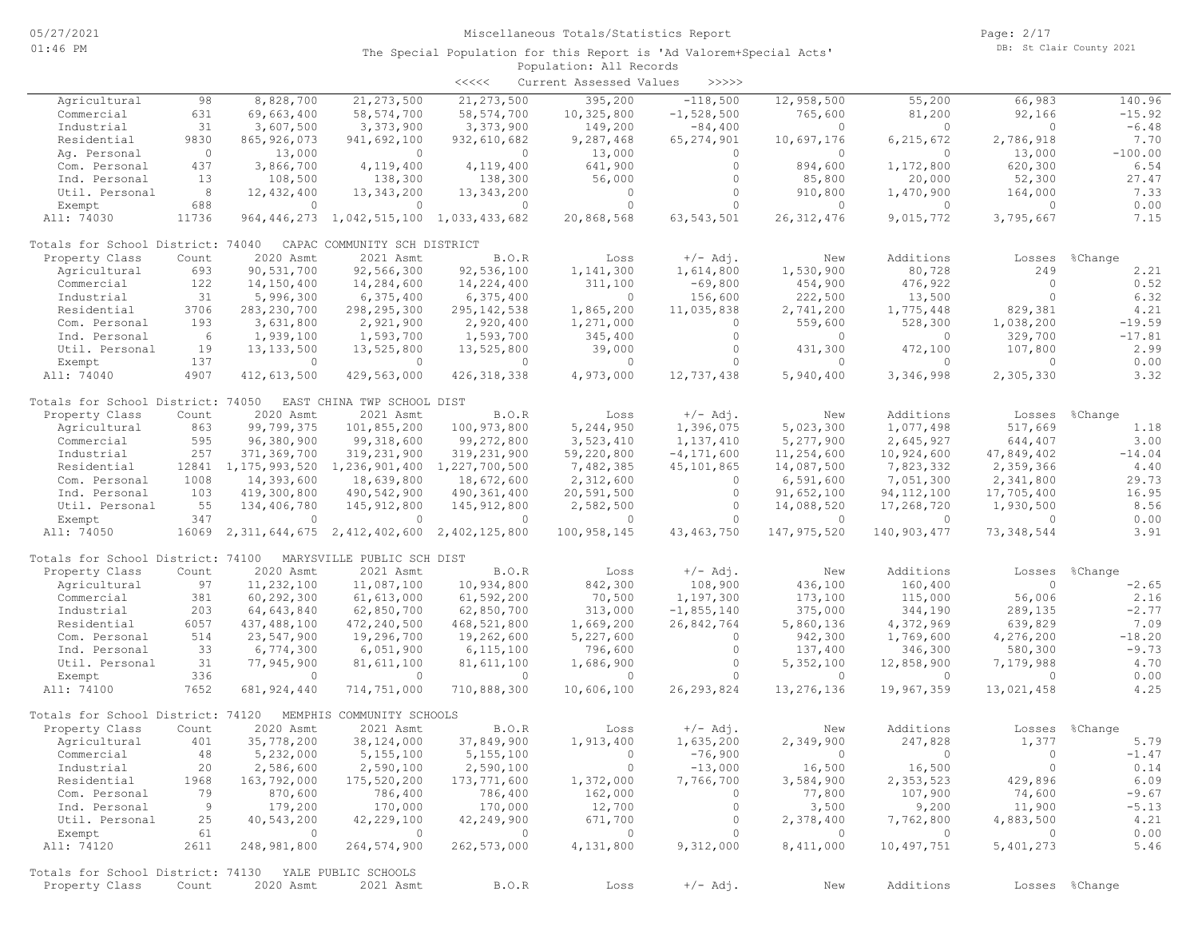|                                                       |                |               |                                                          | <<<<          | Current Assessed Values | >>>>>          |                |                          |                |                |
|-------------------------------------------------------|----------------|---------------|----------------------------------------------------------|---------------|-------------------------|----------------|----------------|--------------------------|----------------|----------------|
| Agricultural                                          | 98             | 8,828,700     | 21, 273, 500                                             | 21, 273, 500  | 395,200                 | $-118,500$     | 12,958,500     | 55,200                   | 66,983         | 140.96         |
| Commercial                                            | 631            | 69,663,400    | 58, 574, 700                                             | 58, 574, 700  | 10,325,800              | $-1,528,500$   | 765,600        | 81,200                   | 92,166         | $-15.92$       |
| Industrial                                            | 31             | 3,607,500     | 3,373,900                                                | 3,373,900     | 149,200                 | $-84,400$      | $\circ$        | $\circ$                  | $\circ$        | $-6.48$        |
| Residential                                           | 9830           | 865, 926, 073 | 941,692,100                                              | 932,610,682   | 9,287,468               | 65, 274, 901   | 10,697,176     | 6, 215, 672              | 2,786,918      | 7.70           |
| Aq. Personal                                          | $\circ$        | 13,000        | $\circ$                                                  | $\circ$       | 13,000                  | $\circ$        | $\circ$        | $\circ$                  | 13,000         | $-100.00$      |
| Com. Personal                                         | 437            | 3,866,700     | 4,119,400                                                | 4,119,400     | 641,900                 | $\circ$        | 894,600        | 1,172,800                | 620,300        | 6.54           |
| Ind. Personal                                         | 13             | 108,500       | 138,300                                                  | 138,300       | 56,000                  | $\circ$        | 85,800         | 20,000                   | 52,300         | 27.47          |
| Util. Personal                                        | 8              | 12,432,400    | 13, 343, 200                                             | 13, 343, 200  | $\circ$                 | $\circ$        | 910,800        | 1,470,900                | 164,000        | 7.33           |
| Exempt                                                | 688            | $\circ$       | $\circ$                                                  | $\circ$       | $\Omega$                | $\Omega$       | $\circ$        | $\circ$                  | $\circ$        | 0.00           |
| All: 74030                                            | 11736          |               | 964, 446, 273 1, 042, 515, 100 1, 033, 433, 682          |               | 20,868,568              | 63, 543, 501   | 26, 312, 476   | 9,015,772                | 3,795,667      | 7.15           |
| Totals for School District: 74040                     |                |               | CAPAC COMMUNITY SCH DISTRICT                             |               |                         |                |                |                          |                |                |
| Property Class                                        | Count          | 2020 Asmt     | 2021 Asmt                                                | B.O.R         | Loss                    | $+/-$ Adj.     | New            | Additions                | Losses         | %Change        |
| Agricultural                                          | 693            | 90,531,700    | 92,566,300                                               | 92,536,100    | 1,141,300               | 1,614,800      | 1,530,900      | 80,728                   | 249            | 2.21           |
| Commercial                                            | 122            | 14,150,400    | 14,284,600                                               | 14,224,400    | 311,100                 | $-69,800$      | 454,900        | 476,922                  | $\circ$        | 0.52           |
| Industrial                                            | 31             | 5,996,300     | 6,375,400                                                | 6,375,400     | $\Omega$                | 156,600        | 222,500        | 13,500                   | $\Omega$       | 6.32           |
| Residential                                           | 3706           | 283, 230, 700 | 298,295,300                                              | 295, 142, 538 | 1,865,200               | 11,035,838     | 2,741,200      | 1,775,448                | 829,381        | 4.21           |
| Com. Personal                                         | 193            | 3,631,800     | 2,921,900                                                | 2,920,400     | 1,271,000               | $\circ$        | 559,600        | 528,300                  | 1,038,200      | $-19.59$       |
| Ind. Personal                                         | 6              | 1,939,100     | 1,593,700                                                | 1,593,700     | 345,400                 | $\circ$        | $\circ$        | $\circ$                  | 329,700        | $-17.81$       |
| Util. Personal                                        | 19             | 13, 133, 500  | 13,525,800                                               | 13,525,800    | 39,000                  | $\circ$        | 431,300        | 472,100                  | 107,800        | 2.99           |
| Exempt                                                | 137            | $\circ$       | $\circ$                                                  | $\Omega$      | $\circ$                 | $\Omega$       | $\overline{0}$ | $\circ$                  | $\circ$        | 0.00           |
| All: 74040                                            | 4907           | 412,613,500   | 429,563,000                                              | 426, 318, 338 | 4,973,000               | 12,737,438     | 5,940,400      | 3,346,998                | 2,305,330      | 3.32           |
| Totals for School District: 74050                     |                |               | EAST CHINA TWP SCHOOL DIST                               |               |                         |                |                |                          |                |                |
| Property Class                                        | Count          | 2020 Asmt     | 2021 Asmt                                                | B.O.R         | Loss                    | $+/-$ Adj.     | New            | Additions                |                | Losses %Change |
| Agricultural                                          | 863            | 99,799,375    | 101,855,200                                              | 100,973,800   | 5,244,950               | 1,396,075      | 5,023,300      | 1,077,498                | 517,669        | 1.18           |
| Commercial                                            | 595            | 96,380,900    | 99,318,600                                               | 99,272,800    | 3,523,410               | 1,137,410      | 5,277,900      | 2,645,927                | 644,407        | 3.00           |
| Industrial                                            | 257            | 371,369,700   | 319,231,900                                              | 319,231,900   | 59,220,800              | $-4, 171, 600$ | 11,254,600     | 10,924,600               | 47,849,402     | $-14.04$       |
| Residential                                           |                |               | 12841 1, 175, 993, 520 1, 236, 901, 400 1, 227, 700, 500 |               | 7,482,385               | 45,101,865     | 14,087,500     | 7,823,332                | 2,359,366      | 4.40           |
| Com. Personal                                         | 1008           | 14,393,600    | 18,639,800                                               | 18,672,600    | 2,312,600               | $\circ$        | 6,591,600      | 7,051,300                | 2,341,800      | 29.73          |
| Ind. Personal                                         | 103            | 419,300,800   | 490,542,900                                              | 490,361,400   | 20,591,500              | $\circ$        | 91,652,100     | 94, 112, 100             | 17,705,400     | 16.95          |
| Util. Personal                                        | 55             | 134,406,780   | 145, 912, 800                                            | 145,912,800   | 2,582,500               | $\circ$        | 14,088,520     | 17,268,720               | 1,930,500      | 8.56           |
| Exempt                                                | 347            | $\circ$       | $\circ$                                                  | $\circ$       | $\circ$                 | $\circ$        | $\circ$        | $\circ$                  | $\circ$        | 0.00           |
| All: 74050                                            | 16069          |               | 2, 311, 644, 675 2, 412, 402, 600                        | 2,402,125,800 | 100,958,145             | 43, 463, 750   | 147, 975, 520  | 140,903,477              | 73, 348, 544   | 3.91           |
| Totals for School District: 74100                     |                |               | MARYSVILLE PUBLIC SCH DIST                               |               |                         |                |                |                          |                |                |
| Property Class                                        | Count          | 2020 Asmt     | 2021 Asmt                                                | B.O.R         | Loss                    | $+/-$ Adj.     | New            | Additions                | Losses         | %Change        |
| Agricultural                                          | 97             | 11,232,100    | 11,087,100                                               | 10,934,800    | 842,300                 | 108,900        | 436,100        | 160,400                  | $\circ$        | $-2.65$        |
| Commercial                                            | 381            | 60,292,300    | 61,613,000                                               | 61,592,200    | 70,500                  | 1,197,300      | 173,100        | 115,000                  | 56,006         | 2.16           |
| Industrial                                            | 203            | 64,643,840    | 62,850,700                                               | 62,850,700    | 313,000                 | $-1,855,140$   | 375,000        | 344,190                  | 289,135        | $-2.77$        |
| Residential                                           | 6057           | 437,488,100   | 472,240,500                                              | 468,521,800   | 1,669,200               | 26,842,764     | 5,860,136      | 4,372,969                | 639,829        | 7.09           |
| Com. Personal                                         | 514            | 23,547,900    | 19,296,700                                               | 19,262,600    | 5,227,600               | $\circ$        | 942,300        | 1,769,600                | 4,276,200      | $-18.20$       |
| Ind. Personal                                         | 33             | 6,774,300     | 6,051,900                                                | 6,115,100     | 796,600                 | $\circ$        | 137,400        | 346,300                  | 580,300        | $-9.73$        |
| Util. Personal                                        | 31             | 77,945,900    | 81,611,100                                               | 81,611,100    | 1,686,900               | $\circ$        | 5,352,100      | 12,858,900               | 7,179,988      | 4.70           |
| Exempt                                                | 336            | $\circ$       | $\circ$                                                  | $\Omega$      | $\Omega$                | $\Omega$       | $\circ$        | $\circ$                  | $\circ$        | 0.00           |
| All: 74100                                            | 7652           | 681, 924, 440 | 714,751,000                                              | 710,888,300   | 10,606,100              | 26, 293, 824   | 13,276,136     | 19,967,359               | 13,021,458     | 4.25           |
| Totals for School District: 74120                     |                |               | MEMPHIS COMMUNITY SCHOOLS                                |               |                         |                |                |                          |                |                |
| Property Class                                        | Count          | 2020 Asmt     | 2021 Asmt                                                | B.O.R         | Loss                    | $+/-$ Adj.     | New            | Additions                |                | Losses %Change |
| Agricultural                                          | 401            | 35,778,200    | 38,124,000                                               | 37,849,900    | 1,913,400               | 1,635,200      | 2,349,900      | 247,828                  | 1,377          | 5.79           |
| Commercial                                            | 48             | 5,232,000     | 5,155,100                                                | 5,155,100     | $\overline{0}$          | $-76,900$      |                | $\overline{\phantom{0}}$ | $\overline{0}$ | $-1.47$        |
| Industrial                                            | 20             | 2,586,600     | 2,590,100                                                | 2,590,100     | $\overline{0}$          | $-13,000$      | 16,500         | 16,500                   | $\overline{0}$ | 0.14           |
| Residential                                           | 1968           | 163,792,000   | 175,520,200                                              | 173,771,600   | 1,372,000               | 7,766,700      | 3,584,900      | 2,353,523                | 429,896        | 6.09           |
| Com. Personal                                         | 79             | 870,600       | 786,400                                                  | 786,400       | 162,000                 | $\circ$        | 77,800         | 107,900                  | 74,600         | $-9.67$        |
| Ind. Personal                                         | $\overline{9}$ | 179,200       | 170,000                                                  | 170,000       | 12,700                  | $\circ$        | 3,500          | 9,200                    | 11,900         | $-5.13$        |
| Util. Personal                                        | 25             | 40,543,200    | 42,229,100                                               | 42,249,900    | 671,700                 | $\circ$        | 2,378,400      | 7,762,800                | 4,883,500      | 4.21           |
| Exempt                                                | 61             | $\circ$       | $\overline{0}$                                           | $\sim$ 0      | $\sim$ 0                | $\circ$        | $\overline{0}$ | $\overline{0}$           | $\overline{0}$ | 0.00           |
| All: 74120                                            | 2611           | 248,981,800   | 264,574,900                                              | 262,573,000   | 4,131,800               | 9,312,000      | 8,411,000      | 10,497,751               | 5,401,273      | 5.46           |
| Totals for School District: 74130 YALE PUBLIC SCHOOLS |                |               |                                                          |               |                         |                |                |                          |                |                |
| Property Class                                        | Count          | 2020 Asmt     | 2021 Asmt                                                | B.O.R         | Loss                    | $+/-$ Adj.     | New            | Additions                |                | Losses %Change |
|                                                       |                |               |                                                          |               |                         |                |                |                          |                |                |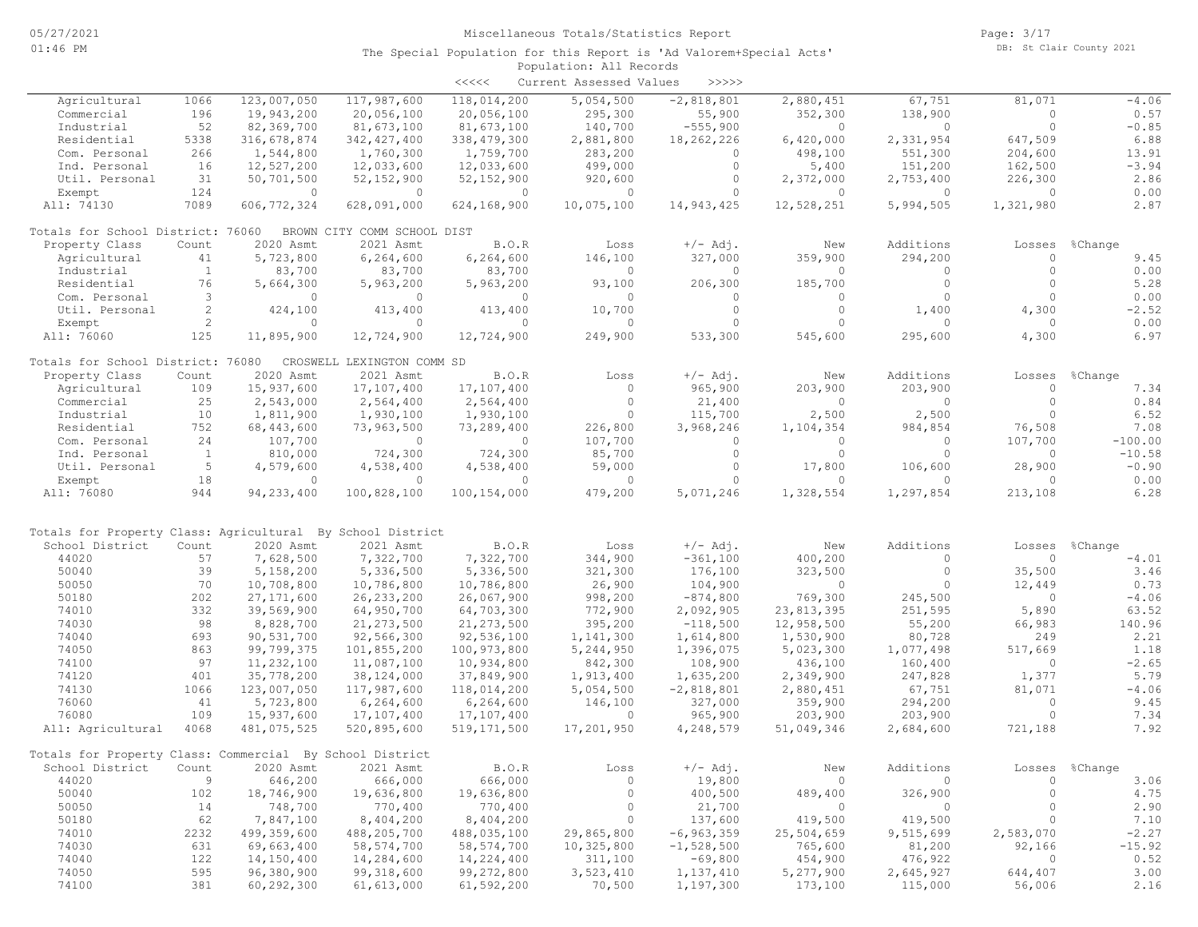|                                                            |              |               |                             | <<<<          | Current Assessed Values | >>>>>          |            |           |           |           |
|------------------------------------------------------------|--------------|---------------|-----------------------------|---------------|-------------------------|----------------|------------|-----------|-----------|-----------|
| Agricultural                                               | 1066         | 123,007,050   | 117,987,600                 | 118,014,200   | 5,054,500               | $-2,818,801$   | 2,880,451  | 67,751    | 81,071    | $-4.06$   |
| Commercial                                                 | 196          | 19,943,200    | 20,056,100                  | 20,056,100    | 295,300                 | 55,900         | 352,300    | 138,900   | $\circ$   | 0.57      |
| Industrial                                                 | 52           | 82,369,700    | 81,673,100                  | 81,673,100    | 140,700                 | $-555,900$     | $\Omega$   | $\circ$   | $\circ$   | $-0.85$   |
| Residential                                                | 5338         | 316,678,874   | 342, 427, 400               | 338, 479, 300 | 2,881,800               | 18,262,226     | 6,420,000  | 2,331,954 | 647,509   | 6.88      |
| Com. Personal                                              | 266          | 1,544,800     | 1,760,300                   | 1,759,700     | 283,200                 | 0              | 498,100    | 551,300   | 204,600   | 13.91     |
| Ind. Personal                                              | 16           | 12,527,200    | 12,033,600                  | 12,033,600    | 499,000                 | $\circ$        | 5,400      | 151,200   | 162,500   | $-3.94$   |
| Util. Personal                                             | 31           | 50,701,500    | 52, 152, 900                | 52, 152, 900  | 920,600                 | $\circ$        | 2,372,000  | 2,753,400 | 226,300   | 2.86      |
| Exempt                                                     | 124          | $\circ$       | $\overline{0}$              | $\circ$       | $\overline{0}$          | $\circ$        | $\circ$    | $\circ$   | $\circ$   | 0.00      |
| All: 74130                                                 | 7089         | 606, 772, 324 | 628,091,000                 | 624,168,900   | 10,075,100              | 14,943,425     | 12,528,251 | 5,994,505 | 1,321,980 | 2.87      |
| Totals for School District: 76060                          |              |               | BROWN CITY COMM SCHOOL DIST |               |                         |                |            |           |           |           |
| Property Class                                             | Count        | 2020 Asmt     | 2021 Asmt                   | B.O.R         | Loss                    | $+/-$ Adj.     | New        | Additions | Losses    | %Change   |
| Agricultural                                               | 41           | 5,723,800     | 6,264,600                   | 6,264,600     | 146,100                 | 327,000        | 359,900    | 294,200   | $\circ$   | 9.45      |
| Industrial                                                 | $\mathbf{1}$ | 83,700        | 83,700                      | 83,700        | $\Omega$                | $\Omega$       | $\Omega$   | $\Omega$  | $\circ$   | 0.00      |
| Residential                                                | 76           | 5,664,300     | 5,963,200                   | 5,963,200     | 93,100                  | 206,300        | 185,700    | $\circ$   | $\circ$   | 5.28      |
| Com. Personal                                              | 3            | $\circ$       | $\circ$                     | $\circ$       | $\circ$                 | $\circ$        | $\circ$    | $\circ$   | $\Omega$  | 0.00      |
| Util. Personal                                             | 2            | 424,100       | 413,400                     | 413,400       | 10,700                  | $\circ$        | $\circ$    | 1,400     | 4,300     | $-2.52$   |
| Exempt                                                     | 2            | $\circ$       | $\Omega$                    | $\Omega$      | $\circ$                 | $\Omega$       | $\Omega$   | $\circ$   | $\Omega$  | 0.00      |
| All: 76060                                                 | 125          | 11,895,900    | 12,724,900                  | 12,724,900    | 249,900                 | 533,300        | 545,600    | 295,600   | 4,300     | 6.97      |
| Totals for School District: 76080                          |              |               | CROSWELL LEXINGTON COMM SD  |               |                         |                |            |           |           |           |
| Property Class                                             | Count        | 2020 Asmt     | 2021 Asmt                   | B.O.R         | Loss                    | $+/-$ Adj.     | New        | Additions | Losses    | %Change   |
| Agricultural                                               | 109          | 15,937,600    | 17,107,400                  | 17,107,400    | $\circ$                 | 965,900        | 203,900    | 203,900   | $\circ$   | 7.34      |
| Commercial                                                 | 25           | 2,543,000     | 2,564,400                   | 2,564,400     | $\circ$                 | 21,400         | $\circ$    | $\circ$   | $\circ$   | 0.84      |
| Industrial                                                 | 10           | 1,811,900     | 1,930,100                   | 1,930,100     | $\Omega$                | 115,700        | 2,500      | 2,500     | $\Omega$  | 6.52      |
| Residential                                                | 752          | 68, 443, 600  | 73,963,500                  | 73,289,400    | 226,800                 | 3,968,246      | 1,104,354  | 984,854   | 76,508    | 7.08      |
| Com. Personal                                              | 24           | 107,700       | $\circ$                     | $\circ$       | 107,700                 | $\circ$        | $\Omega$   | $\circ$   | 107,700   | $-100.00$ |
| Ind. Personal                                              | $\mathbf{1}$ | 810,000       | 724,300                     | 724,300       | 85,700                  | $\circ$        | $\circ$    | $\circ$   | $\circ$   | $-10.58$  |
| Util. Personal                                             | 5            | 4,579,600     | 4,538,400                   | 4,538,400     | 59,000                  | $\circ$        | 17,800     | 106,600   | 28,900    | $-0.90$   |
| Exempt                                                     | 18           | $\circ$       | $\Omega$                    | $\Omega$      | $\circ$                 | $\Omega$       | $\Omega$   | $\Omega$  | $\Omega$  | 0.00      |
| All: 76080                                                 | 944          | 94, 233, 400  | 100,828,100                 | 100,154,000   | 479,200                 | 5,071,246      | 1,328,554  | 1,297,854 | 213,108   | 6.28      |
|                                                            |              |               |                             |               |                         |                |            |           |           |           |
| Totals for Property Class: Agricultural By School District |              |               |                             |               |                         |                |            |           |           |           |
| School District                                            | Count        | 2020 Asmt     | 2021 Asmt                   | B.O.R         | Loss                    | $+/-$ Adj.     | New        | Additions | Losses    | %Change   |
| 44020                                                      | 57           | 7,628,500     | 7,322,700                   | 7,322,700     | 344,900                 | $-361,100$     | 400,200    | $\circ$   | $\circ$   | $-4.01$   |
| 50040                                                      | 39           | 5,158,200     | 5,336,500                   | 5,336,500     | 321,300                 | 176,100        | 323,500    | $\circ$   | 35,500    | 3.46      |
| 50050                                                      | 70           | 10,708,800    | 10,786,800                  | 10,786,800    | 26,900                  | 104,900        | $\circ$    | $\circ$   | 12,449    | 0.73      |
| 50180                                                      | 202          | 27, 171, 600  | 26, 233, 200                | 26,067,900    | 998,200                 | $-874, 800$    | 769,300    | 245,500   | $\circ$   | $-4.06$   |
| 74010                                                      | 332          | 39,569,900    | 64,950,700                  | 64,703,300    | 772,900                 | 2,092,905      | 23,813,395 | 251,595   | 5,890     | 63.52     |
| 74030                                                      | 98           | 8,828,700     | 21, 273, 500                | 21, 273, 500  | 395,200                 | $-118,500$     | 12,958,500 | 55,200    | 66,983    | 140.96    |
| 74040                                                      | 693          | 90,531,700    | 92,566,300                  | 92,536,100    | 1,141,300               | 1,614,800      | 1,530,900  | 80,728    | 249       | 2.21      |
| 74050                                                      | 863          | 99,799,375    | 101,855,200                 | 100,973,800   | 5,244,950               | 1,396,075      | 5,023,300  | 1,077,498 | 517,669   | 1.18      |
| 74100                                                      | 97           | 11,232,100    | 11,087,100                  | 10,934,800    | 842,300                 | 108,900        | 436,100    | 160,400   | $\circ$   | $-2.65$   |
| 74120                                                      | 401          | 35,778,200    | 38,124,000                  | 37,849,900    | 1,913,400               | 1,635,200      | 2,349,900  | 247,828   | 1,377     | 5.79      |
| 74130                                                      | 1066         | 123,007,050   | 117,987,600                 | 118,014,200   | 5,054,500               | $-2,818,801$   | 2,880,451  | 67,751    | 81,071    | $-4.06$   |
| 76060                                                      | 41           | 5,723,800     | 6, 264, 600                 | 6, 264, 600   | 146,100                 | 327,000        | 359,900    | 294,200   | $\circ$   | 9.45      |
| 76080                                                      | 109          | 15,937,600    | 17,107,400                  | 17,107,400    | $\circ$                 | 965,900        | 203,900    | 203,900   | $\circ$   | 7.34      |
| All: Agricultural                                          | 4068         | 481,075,525   | 520,895,600                 | 519, 171, 500 | 17,201,950              | 4,248,579      | 51,049,346 | 2,684,600 | 721,188   | 7.92      |
| Totals for Property Class: Commercial By School District   |              |               |                             |               |                         |                |            |           |           |           |
| School District                                            | Count        | 2020 Asmt     | 2021 Asmt                   | B.O.R         | Loss                    | $+/-$ Adj.     | New        | Additions | Losses    | %Change   |
| 44020                                                      | 9            | 646,200       | 666,000                     | 666,000       | $\circ$                 | 19,800         | $\circ$    | $\circ$   | $\circ$   | 3.06      |
| 50040                                                      | 102          | 18,746,900    | 19,636,800                  | 19,636,800    | $\circ$                 | 400,500        | 489,400    | 326,900   | $\circ$   | 4.75      |
| 50050                                                      | 14           | 748,700       | 770,400                     | 770,400       | $\circ$                 | 21,700         | $\circ$    | 0         | 0         | 2.90      |
| 50180                                                      | 62           | 7,847,100     | 8,404,200                   | 8,404,200     | $\circ$                 | 137,600        | 419,500    | 419,500   | $\circ$   | 7.10      |
| 74010                                                      | 2232         | 499,359,600   | 488,205,700                 | 488,035,100   | 29,865,800              | $-6, 963, 359$ | 25,504,659 | 9,515,699 | 2,583,070 | $-2.27$   |
| 74030                                                      | 631          | 69,663,400    | 58, 574, 700                | 58,574,700    | 10,325,800              | $-1,528,500$   | 765,600    | 81,200    | 92,166    | $-15.92$  |
| 74040                                                      | 122          | 14,150,400    | 14,284,600                  | 14,224,400    | 311,100                 | $-69,800$      | 454,900    | 476,922   | 0         | 0.52      |
| 74050                                                      | 595          | 96,380,900    | 99, 318, 600                | 99,272,800    | 3,523,410               | 1,137,410      | 5,277,900  | 2,645,927 | 644,407   | 3.00      |
| 74100                                                      | 381          | 60, 292, 300  | 61, 613, 000                | 61,592,200    | 70,500                  | 1,197,300      | 173,100    | 115,000   | 56,006    | 2.16      |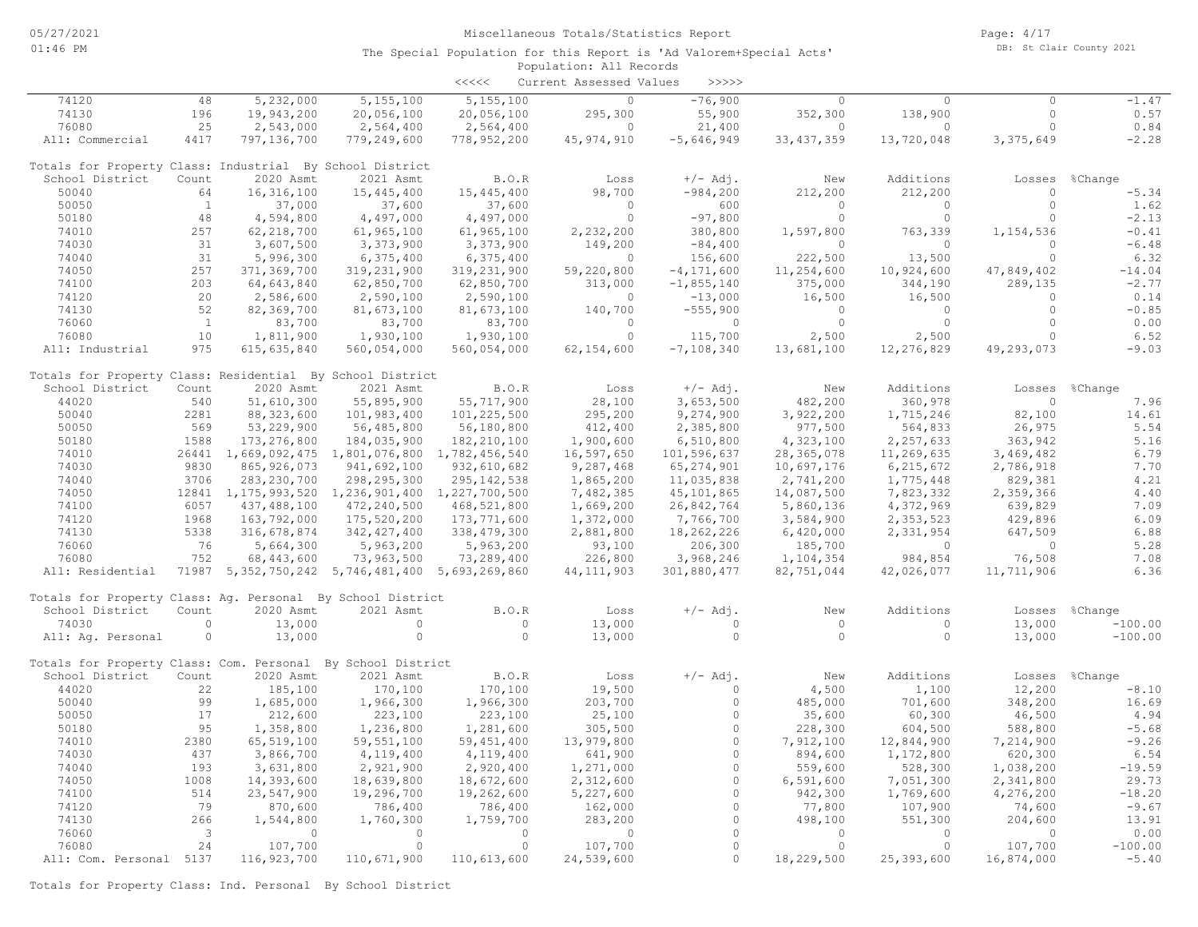|                                                             |              |                                                          |               | <<<<          | Current Assessed Values | >>>>>          |                       |            |              |                |
|-------------------------------------------------------------|--------------|----------------------------------------------------------|---------------|---------------|-------------------------|----------------|-----------------------|------------|--------------|----------------|
| 74120                                                       | 48           | 5,232,000                                                | 5, 155, 100   | 5,155,100     | $\circ$                 | $-76,900$      | $\Omega$              | $\circ$    | $\Omega$     | $-1.47$        |
| 74130                                                       | 196          | 19,943,200                                               | 20,056,100    | 20,056,100    | 295,300                 | 55,900         | 352,300               | 138,900    | $\circ$      | 0.57           |
| 76080                                                       | 25           | 2,543,000                                                | 2,564,400     | 2,564,400     | $\Omega$                | 21,400         | $\Omega$              | $\Omega$   | $\circ$      | 0.84           |
| All: Commercial                                             | 4417         | 797,136,700                                              | 779,249,600   | 778,952,200   | 45, 974, 910            | $-5,646,949$   | 33, 437, 359          | 13,720,048 | 3,375,649    | $-2.28$        |
| Totals for Property Class: Industrial By School District    |              |                                                          |               |               |                         |                |                       |            |              |                |
| School District                                             | Count        | 2020 Asmt                                                | 2021 Asmt     | B.O.R         | Loss                    | $+/-$ Adj.     | New                   | Additions  | Losses       | %Change        |
| 50040                                                       | 64           | 16, 316, 100                                             | 15, 445, 400  | 15, 445, 400  | 98,700                  | $-984,200$     | 212,200               | 212,200    | $\circ$      | $-5.34$        |
| 50050                                                       | $\mathbf{1}$ | 37,000                                                   | 37,600        | 37,600        | $\Omega$                | 600            | $\bigcirc$            | $\Omega$   | $\circ$      | 1.62           |
| 50180                                                       | 48           | 4,594,800                                                | 4,497,000     | 4,497,000     | $\circ$                 | $-97,800$      | $\circ$               | $\circ$    | $\Omega$     | $-2.13$        |
| 74010                                                       | 257          | 62, 218, 700                                             | 61, 965, 100  | 61,965,100    | 2,232,200               | 380,800        | 1,597,800             | 763,339    | 1,154,536    | $-0.41$        |
| 74030                                                       | 31           | 3,607,500                                                | 3,373,900     | 3,373,900     | 149,200                 | $-84,400$      | $\circ$               | $\circ$    | $\circ$      | $-6.48$        |
| 74040                                                       | 31           | 5,996,300                                                | 6,375,400     | 6,375,400     | $\Omega$                | 156,600        | 222,500               | 13,500     | $\Omega$     | 6.32           |
| 74050                                                       | 257          | 371,369,700                                              | 319,231,900   | 319,231,900   | 59,220,800              | $-4, 171, 600$ | 11,254,600            | 10,924,600 | 47,849,402   | $-14.04$       |
| 74100                                                       | 203          | 64,643,840                                               | 62,850,700    | 62,850,700    | 313,000                 | $-1,855,140$   | 375,000               | 344,190    | 289,135      | $-2.77$        |
| 74120                                                       | 20           | 2,586,600                                                | 2,590,100     | 2,590,100     | $\circ$                 | $-13,000$      | 16,500                | 16,500     | $\circ$      | 0.14           |
| 74130                                                       | 52           | 82,369,700                                               | 81,673,100    | 81,673,100    | 140,700                 | $-555,900$     | $\Omega$              | $\Omega$   | $\Omega$     | $-0.85$        |
| 76060                                                       | $\mathbf{1}$ | 83,700                                                   | 83,700        | 83,700        | $\Omega$                | $\circ$        | $\circ$               | $\circ$    | $\circ$      | 0.00           |
| 76080                                                       | 10           | 1,811,900                                                | 1,930,100     | 1,930,100     | $\Omega$                | 115,700        | 2,500                 | 2,500      | $\Omega$     | 6.52           |
| All: Industrial                                             | 975          | 615, 635, 840                                            | 560,054,000   | 560,054,000   | 62, 154, 600            | $-7, 108, 340$ | 13,681,100            | 12,276,829 | 49,293,073   | $-9.03$        |
| Totals for Property Class: Residential By School District   |              |                                                          |               |               |                         |                |                       |            |              |                |
| School District                                             | Count        | 2020 Asmt                                                | 2021 Asmt     | B.O.R         | Loss                    | $+/-$ Adj.     | New                   | Additions  |              | Losses %Change |
| 44020                                                       | 540          | 51,610,300                                               | 55,895,900    | 55,717,900    | 28,100                  | 3,653,500      | 482,200               | 360,978    | $\circ$      | 7.96           |
| 50040                                                       | 2281         | 88, 323, 600                                             | 101,983,400   | 101,225,500   | 295,200                 | 9,274,900      | 3,922,200             | 1,715,246  | 82,100       | 14.61          |
| 50050                                                       | 569          | 53,229,900                                               |               |               | 412,400                 | 2,385,800      | 977,500               | 564,833    | 26,975       | 5.54           |
| 50180                                                       |              |                                                          | 56,485,800    | 56,180,800    |                         |                |                       |            |              | 5.16           |
|                                                             | 1588         | 173, 276, 800                                            | 184,035,900   | 182, 210, 100 | 1,900,600               | 6,510,800      | 4,323,100             | 2,257,633  | 363,942      |                |
| 74010                                                       |              | 26441 1,669,092,475 1,801,076,800 1,782,456,540          |               |               | 16,597,650              | 101,596,637    | 28, 365, 078          | 11,269,635 | 3,469,482    | 6.79           |
| 74030                                                       | 9830         | 865, 926, 073                                            | 941,692,100   | 932,610,682   | 9,287,468               | 65, 274, 901   | 10,697,176            | 6,215,672  | 2,786,918    | 7.70           |
| 74040                                                       | 3706         | 283, 230, 700                                            | 298, 295, 300 | 295, 142, 538 | 1,865,200               | 11,035,838     | 2,741,200             | 1,775,448  | 829,381      | 4.21           |
| 74050                                                       |              | 12841 1, 175, 993, 520 1, 236, 901, 400 1, 227, 700, 500 |               |               | 7,482,385               | 45,101,865     | 14,087,500            | 7,823,332  | 2,359,366    | 4.40           |
| 74100                                                       | 6057         | 437,488,100                                              | 472,240,500   | 468,521,800   | 1,669,200               | 26,842,764     | 5,860,136             | 4,372,969  | 639,829      | 7.09           |
| 74120                                                       | 1968         | 163,792,000                                              | 175,520,200   | 173,771,600   | 1,372,000               | 7,766,700      | 3,584,900             | 2,353,523  | 429,896      | 6.09           |
| 74130                                                       | 5338         | 316,678,874                                              | 342, 427, 400 | 338, 479, 300 | 2,881,800               | 18,262,226     | 6,420,000             | 2,331,954  | 647,509      | 6.88           |
| 76060                                                       | 76           | 5,664,300                                                | 5,963,200     | 5,963,200     | 93,100                  | 206,300        | 185,700               | $\circ$    | $\circ$      | 5.28           |
| 76080                                                       | 752          | 68,443,600                                               | 73,963,500    | 73,289,400    | 226,800                 | 3,968,246      | 1,104,354             | 984,854    | 76,508       | 7.08           |
| All: Residential                                            |              | 71987 5, 352, 750, 242 5, 746, 481, 400 5, 693, 269, 860 |               |               | 44, 111, 903            | 301,880,477    | 82,751,044            | 42,026,077 | 11,711,906   | 6.36           |
| Totals for Property Class: Aq. Personal By School District  |              |                                                          |               |               |                         |                |                       |            |              |                |
| School District                                             | Count        | 2020 Asmt                                                | 2021 Asmt     | B.O.R         | Loss                    | $+/-$ Adj.     | New                   | Additions  | Losses       | %Change        |
| 74030                                                       | $\circ$      | 13,000                                                   | $\circ$       | $\circ$       | 13,000                  | $\circ$        | $\circ$               | $\circ$    | 13,000       | $-100.00$      |
| All: Aq. Personal                                           | $\circ$      | 13,000                                                   | $\circ$       | $\Omega$      | 13,000                  | $\Omega$       | $\Omega$              | $\circ$    | 13,000       | $-100.00$      |
| Totals for Property Class: Com. Personal By School District |              |                                                          |               |               |                         |                |                       |            |              |                |
| School District                                             | Count        | 2020 Asmt                                                | 2021 Asmt     | B.O.R         | Loss                    | $+/-$ Adj.     | New                   | Additions  | Losses       | %Change        |
| 44020                                                       | 22           | 185,100                                                  | 170,100       | 170,100       | 19,500                  | $\Omega$       | 4,500                 | 1,100      | 12,200       | $-8.10$        |
| 50040                                                       | 99           | 1,685,000                                                | 1,966,300     | 1,966,300     | 203,700                 | $\circ$        | 485,000               | 701,600    | 348,200      | 16.69          |
| 50050                                                       | 17           | 212,600                                                  | 223,100       | 223,100       | 25,100                  | $\Omega$       | 35,600                | 60,300     | 46,500       | 4.94           |
| 50180                                                       | 95           | 1,358,800                                                | 1,236,800     | 1,281,600     | 305,500                 | $\circ$        | 228,300               | 604,500    | 588,800      | $-5.68$        |
| 74010                                                       | 2380         | 65,519,100                                               | 59, 551, 100  | 59, 451, 400  | 13,979,800              | $\circ$        | 7,912,100             | 12,844,900 | 7,214,900    | $-9.26$        |
| 74030                                                       | 437          | 3,866,700                                                | 4,119,400     | 4,119,400     | 641,900                 | $\Omega$       | 894,600               | 1,172,800  | 620,300      | 6.54           |
| 74040                                                       | 193          | 3,631,800                                                | 2,921,900     | 2,920,400     | 1,271,000               | $\Omega$       | 559,600               | 528,300    | 1,038,200    | $-19.59$       |
| 74050                                                       | 1008         | 14,393,600                                               | 18,639,800    | 18,672,600    | 2,312,600               | $\Omega$       | 6,591,600             | 7,051,300  | 2,341,800    | 29.73          |
| 74100                                                       | 514          |                                                          |               |               |                         | $\circ$        |                       |            |              | $-18.20$       |
|                                                             | 79           | 23,547,900                                               | 19,296,700    | 19,262,600    | 5,227,600               | $\circ$        | 942,300               | 1,769,600  | 4,276,200    |                |
| 74120                                                       |              | 870,600                                                  | 786,400       | 786,400       | 162,000                 | $\circ$        | 77,800                | 107,900    | 74,600       | $-9.67$        |
| 74130                                                       | 266          | 1,544,800                                                | 1,760,300     | 1,759,700     | 283,200                 | $\Omega$       | 498,100<br>$\bigcirc$ | 551,300    | 204,600      | 13.91          |
| 76060                                                       | 3            | $\circ$                                                  | $\circ$       | $\circ$       | $\circ$                 | $\Omega$       |                       | $\Omega$   | $\mathbf{0}$ | 0.00           |
| 76080                                                       | 24           | 107,700                                                  | $\circ$       | $\circ$       | 107,700                 |                | $\circ$               | $\circ$    | 107,700      | $-100.00$      |
| All: Com. Personal 5137                                     |              | 116, 923, 700                                            | 110,671,900   | 110,613,600   | 24,539,600              | $\Omega$       | 18,229,500            | 25,393,600 | 16,874,000   | $-5.40$        |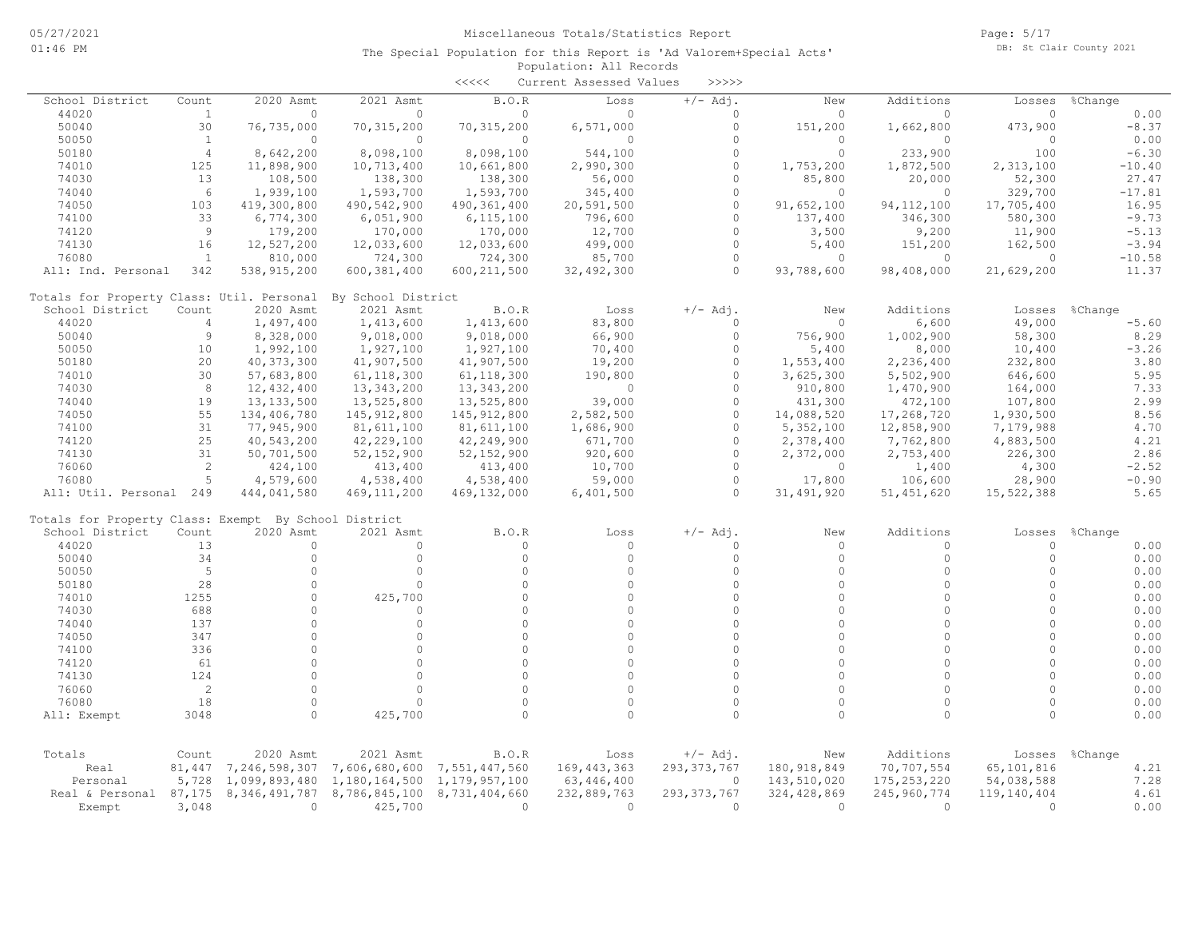|                                                      |                |                  |                    | $\begin{array}{c} \begin{array}{c} < \  \  < \  \  < \end{array} \end{array}$ | Current Assessed Values | >>>>>         |               |               |              |          |
|------------------------------------------------------|----------------|------------------|--------------------|-------------------------------------------------------------------------------|-------------------------|---------------|---------------|---------------|--------------|----------|
| School District                                      | Count          | 2020 Asmt        | 2021 Asmt          | B.O.R                                                                         | Loss                    | $+/-$ Adj.    | New           | Additions     | Losses       | %Change  |
| 44020                                                | $\mathbf{1}$   | $\circ$          | $\Omega$           | 0                                                                             | $\Omega$                | $\Omega$      | $\Omega$      | $\Omega$      | $\Omega$     | 0.00     |
| 50040                                                | 30             | 76,735,000       | 70, 315, 200       | 70, 315, 200                                                                  | 6,571,000               | $\circ$       | 151,200       | 1,662,800     | 473,900      | $-8.37$  |
| 50050                                                | $\mathbf{1}$   | $\circ$          | $\circ$            | $\circ$                                                                       | $\Omega$                | $\Omega$      | 0             | $\circ$       | $\circ$      | 0.00     |
| 50180                                                | $\overline{4}$ | 8,642,200        | 8,098,100          | 8,098,100                                                                     | 544,100                 | $\Omega$      | 0             | 233,900       | 100          | $-6.30$  |
| 74010                                                | 125            | 11,898,900       | 10,713,400         | 10,661,800                                                                    | 2,990,300               | $\Omega$      | 1,753,200     | 1,872,500     | 2,313,100    | $-10.40$ |
| 74030                                                | 13             | 108,500          | 138,300            | 138,300                                                                       | 56,000                  | $\Omega$      | 85,800        | 20,000        | 52,300       | 27.47    |
| 74040                                                | 6              | 1,939,100        | 1,593,700          | 1,593,700                                                                     | 345,400                 | $\Omega$      | $\Omega$      | $\Omega$      | 329,700      | $-17.81$ |
| 74050                                                | 103            | 419,300,800      | 490,542,900        | 490, 361, 400                                                                 | 20,591,500              | $\circ$       | 91,652,100    | 94, 112, 100  | 17,705,400   | 16.95    |
| 74100                                                | 33             | 6,774,300        | 6,051,900          | 6, 115, 100                                                                   | 796,600                 | $\Omega$      | 137,400       | 346,300       | 580,300      | $-9.73$  |
| 74120                                                | $\overline{9}$ | 179,200          | 170,000            | 170,000                                                                       | 12,700                  | $\Omega$      | 3,500         | 9,200         | 11,900       | $-5.13$  |
| 74130                                                | 16             | 12,527,200       | 12,033,600         | 12,033,600                                                                    | 499,000                 | $\circ$       | 5,400         | 151,200       | 162,500      | $-3.94$  |
| 76080                                                | $\mathbf{1}$   | 810,000          | 724,300            | 724,300                                                                       | 85,700                  | $\Omega$      | $\Omega$      | $\circ$       | $\Omega$     | $-10.58$ |
| All: Ind. Personal                                   | 342            | 538, 915, 200    | 600,381,400        | 600, 211, 500                                                                 | 32,492,300              | $\Omega$      | 93,788,600    | 98,408,000    | 21,629,200   | 11.37    |
| Totals for Property Class: Util. Personal            |                |                  | By School District |                                                                               |                         |               |               |               |              |          |
| School District                                      | Count          | 2020 Asmt        | 2021 Asmt          | B.O.R                                                                         | Loss                    | $+/-$ Adj.    | New           | Additions     | Losses       | %Change  |
| 44020                                                | 4              | 1,497,400        | 1,413,600          | 1,413,600                                                                     | 83,800                  | $\circ$       | $\circ$       | 6,600         | 49,000       | $-5.60$  |
| 50040                                                | $\overline{9}$ | 8,328,000        | 9,018,000          | 9,018,000                                                                     | 66,900                  | $\Omega$      | 756,900       | 1,002,900     | 58,300       | 8.29     |
| 50050                                                | 10             | 1,992,100        | 1,927,100          | 1,927,100                                                                     | 70,400                  | $\Omega$      | 5,400         | 8,000         | 10,400       | $-3.26$  |
| 50180                                                | 20             | 40, 373, 300     | 41,907,500         | 41,907,500                                                                    | 19,200                  | $\circ$       | 1,553,400     | 2,236,400     | 232,800      | 3.80     |
| 74010                                                | 30             | 57,683,800       | 61, 118, 300       | 61, 118, 300                                                                  | 190,800                 | $\Omega$      | 3,625,300     | 5,502,900     | 646,600      | 5.95     |
| 74030                                                | 8              | 12,432,400       | 13,343,200         | 13, 343, 200                                                                  | $\circ$                 | $\Omega$      | 910,800       | 1,470,900     | 164,000      | 7.33     |
| 74040                                                | 19             | 13, 133, 500     | 13,525,800         | 13,525,800                                                                    | 39,000                  | $\Omega$      | 431,300       | 472,100       | 107,800      | 2.99     |
| 74050                                                | 55             | 134,406,780      | 145, 912, 800      | 145, 912, 800                                                                 | 2,582,500               | $\Omega$      | 14,088,520    | 17,268,720    | 1,930,500    | 8.56     |
| 74100                                                | 31             | 77,945,900       | 81,611,100         | 81,611,100                                                                    | 1,686,900               | $\Omega$      | 5,352,100     | 12,858,900    | 7,179,988    | 4.70     |
| 74120                                                | 25             | 40,543,200       | 42,229,100         | 42,249,900                                                                    | 671,700                 | $\circ$       | 2,378,400     | 7,762,800     | 4,883,500    | 4.21     |
| 74130                                                | 31             | 50,701,500       | 52, 152, 900       | 52, 152, 900                                                                  | 920,600                 | $\Omega$      | 2,372,000     | 2,753,400     | 226,300      | 2.86     |
| 76060                                                | $\overline{c}$ | 424,100          | 413,400            | 413,400                                                                       | 10,700                  | $\Omega$      | 0             | 1,400         | 4,300        | $-2.52$  |
| 76080                                                | 5              | 4,579,600        | 4,538,400          | 4,538,400                                                                     | 59,000                  | $\circ$       | 17,800        | 106,600       | 28,900       | $-0.90$  |
| All: Util. Personal 249                              |                | 444,041,580      | 469, 111, 200      | 469,132,000                                                                   | 6,401,500               | $\Omega$      | 31, 491, 920  | 51, 451, 620  | 15,522,388   | 5.65     |
| Totals for Property Class: Exempt By School District |                |                  |                    |                                                                               |                         |               |               |               |              |          |
| School District                                      | Count          | 2020 Asmt        | 2021 Asmt          | B.O.R                                                                         | Loss                    | $+/-$ Adj.    | New           | Additions     | Losses       | %Change  |
| 44020                                                | 13             | $\circ$          | $\circ$            | 0                                                                             | $\Omega$                | $\Omega$      | $\circ$       | $\circ$       | $\circ$      | 0.00     |
| 50040                                                | 34             | $\circ$          | $\circ$            | $\circ$                                                                       | $\Omega$                | $\Omega$      | $\Omega$      | $\circ$       | $\circ$      | 0.00     |
| 50050                                                | 5              | $\Omega$         | $\Omega$           | $\cap$                                                                        | $\Omega$                | $\cap$        | $\Omega$      | $\Omega$      | $\Omega$     | 0.00     |
| 50180                                                | 28             | $\Omega$         | $\Omega$           | $\Omega$                                                                      | $\Omega$                | $\Omega$      | $\Omega$      | $\Omega$      | $\Omega$     | 0.00     |
| 74010                                                | 1255           | $\Omega$         | 425,700            | $\Omega$                                                                      | $\Omega$                | $\Omega$      | $\Omega$      | $\Omega$      | $\Omega$     | 0.00     |
| 74030                                                | 688            | $\Omega$         | $\circ$            | $\Omega$                                                                      | $\Omega$                | $\Omega$      | $\Omega$      | $\Omega$      | $\Omega$     | 0.00     |
| 74040                                                | 137            | $\Omega$         | $\circ$            | $\circ$                                                                       | $\Omega$                | $\Omega$      | $\circ$       | $\Omega$      | $\Omega$     | 0.00     |
| 74050                                                | 347            | $\Omega$         | $\circ$            | $\Omega$                                                                      | $\Omega$                | $\Omega$      | $\Omega$      | $\Omega$      | $\Omega$     | 0.00     |
| 74100                                                | 336            | $\Omega$         | $\Omega$           | $\cap$                                                                        | $\Omega$                | $\cap$        | $\Omega$      | $\Omega$      | $\Omega$     | 0.00     |
| 74120                                                | 61             | $\Omega$         | $\Omega$           | $\Omega$                                                                      | $\Omega$                | $\Omega$      | $\Omega$      | $\Omega$      | $\Omega$     | 0.00     |
| 74130                                                | 124            | $\Omega$         | $\Omega$           | $\Omega$                                                                      | $\Omega$                | $\Omega$      | $\Omega$      | $\Omega$      | $\Omega$     | 0.00     |
| 76060                                                | 2              | $\Omega$         | $\Omega$           | $\Omega$                                                                      | $\Omega$                | $\Omega$      | $\Omega$      | $\Omega$      | $\Omega$     | 0.00     |
| 76080                                                | 18             | $\Omega$         | $\Omega$           | $\circ$                                                                       | $\Omega$                | $\Omega$      | $\circ$       | $\mathbf{0}$  | $\circ$      | 0.00     |
| All: Exempt                                          | 3048           | $\Omega$         | 425,700            | $\Omega$                                                                      | $\Omega$                | $\Omega$      | $\Omega$      | $\Omega$      | $\Omega$     | 0.00     |
|                                                      |                |                  |                    |                                                                               |                         |               |               |               |              |          |
| Totals                                               | Count          | 2020 Asmt        | 2021 Asmt          | B.O.R                                                                         | Loss                    | $+/-$ Adj.    | New           | Additions     | Losses       | %Change  |
| Real                                                 | 81,447         | 7,246,598,307    | 7,606,680,600      | 7,551,447,560                                                                 | 169, 443, 363           | 293, 373, 767 | 180, 918, 849 | 70,707,554    | 65,101,816   | 4.21     |
| Personal                                             | 5,728          | 1,099,893,480    | 1,180,164,500      | 1,179,957,100                                                                 | 63,446,400              | $\circ$       | 143,510,020   | 175, 253, 220 | 54,038,588   | 7.28     |
| Real & Personal                                      | 87,175         | 8, 346, 491, 787 | 8,786,845,100      | 8,731,404,660                                                                 | 232,889,763             | 293, 373, 767 | 324, 428, 869 | 245,960,774   | 119,140,404  | 4.61     |
| Exempt                                               | 3,048          | $\circ$          | 425,700            | $\circ$                                                                       | $\circ$                 | $\circ$       | $\circ$       | $\circ$       | $\mathbf{0}$ | 0.00     |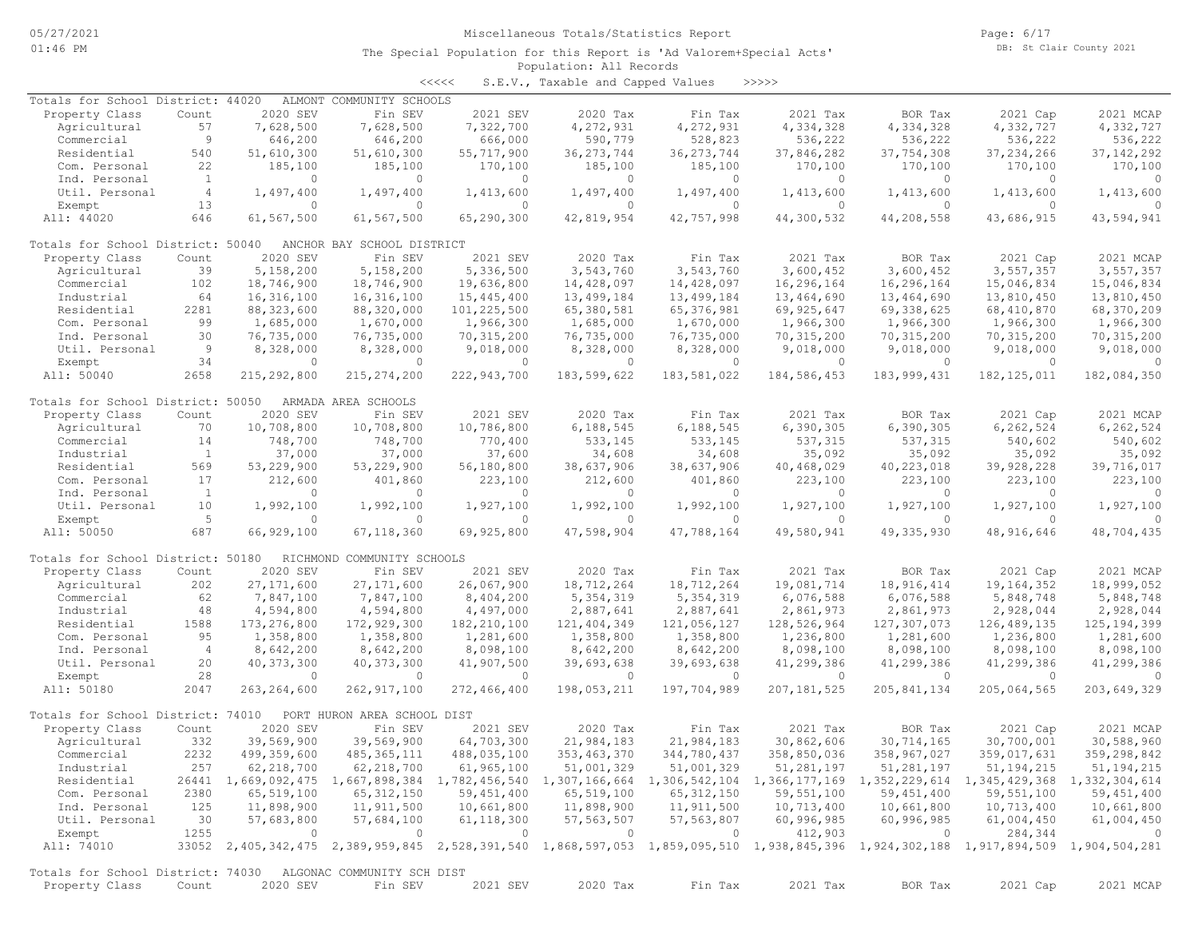<<<<< S.E.V., Taxable and Capped Values >>>>>

| Totals for School District: 44020                            |                |                | ALMONT COMMUNITY SCHOOLS                                                                                                            |                |                |              |               |                |                |                          |
|--------------------------------------------------------------|----------------|----------------|-------------------------------------------------------------------------------------------------------------------------------------|----------------|----------------|--------------|---------------|----------------|----------------|--------------------------|
| Property Class                                               | Count          | 2020 SEV       | Fin SEV                                                                                                                             | 2021 SEV       | 2020 Tax       | Fin Tax      | 2021 Tax      | BOR Tax        | 2021 Cap       | 2021 MCAP                |
| Agricultural                                                 | 57             | 7,628,500      | 7,628,500                                                                                                                           | 7,322,700      | 4,272,931      | 4,272,931    | 4,334,328     | 4,334,328      | 4,332,727      | 4,332,727                |
| Commercial                                                   | 9              | 646,200        | 646,200                                                                                                                             | 666,000        | 590,779        | 528,823      | 536,222       | 536,222        | 536,222        | 536,222                  |
| Residential                                                  | 540            | 51,610,300     | 51,610,300                                                                                                                          | 55,717,900     | 36, 273, 744   | 36, 273, 744 | 37,846,282    | 37,754,308     | 37, 234, 266   | 37, 142, 292             |
| Com. Personal                                                | 22             | 185,100        | 185,100                                                                                                                             | 170,100        | 185,100        | 185,100      | 170,100       | 170,100        | 170,100        | 170,100                  |
| Ind. Personal                                                | <sup>1</sup>   | $\overline{0}$ | $\circ$                                                                                                                             | $\circ$        | 0              | $\circ$      | $\Omega$      | 0              | $\Omega$       | - 0                      |
| Util. Personal                                               | $\overline{4}$ | 1,497,400      | 1,497,400                                                                                                                           | 1,413,600      | 1,497,400      | 1,497,400    | 1,413,600     | 1,413,600      | 1,413,600      | 1,413,600                |
| Exempt                                                       | 13             | $\circ$        | $\circ$                                                                                                                             | $\circ$        | $\circ$        | $\circ$      | $\circ$       | $\circ$        | $\circ$        | $\Omega$                 |
| All: 44020                                                   | 646            | 61,567,500     | 61,567,500                                                                                                                          | 65,290,300     | 42,819,954     | 42,757,998   | 44,300,532    | 44,208,558     | 43,686,915     | 43,594,941               |
|                                                              |                |                |                                                                                                                                     |                |                |              |               |                |                |                          |
| Totals for School District: 50040                            |                |                | ANCHOR BAY SCHOOL DISTRICT                                                                                                          |                |                |              |               |                |                |                          |
| Property Class                                               | Count          | 2020 SEV       | Fin SEV                                                                                                                             | 2021 SEV       | 2020 Tax       | Fin Tax      | 2021 Tax      | BOR Tax        | 2021 Cap       | 2021 MCAP                |
| Agricultural                                                 | 39             | 5,158,200      | 5,158,200                                                                                                                           | 5,336,500      | 3,543,760      | 3,543,760    | 3,600,452     | 3,600,452      | 3,557,357      | 3,557,357                |
| Commercial                                                   | 102            | 18,746,900     | 18,746,900                                                                                                                          | 19,636,800     | 14,428,097     | 14,428,097   | 16,296,164    | 16,296,164     | 15,046,834     | 15,046,834               |
| Industrial                                                   | 64             | 16,316,100     | 16,316,100                                                                                                                          | 15,445,400     | 13,499,184     | 13,499,184   | 13,464,690    | 13,464,690     | 13,810,450     | 13,810,450               |
| Residential                                                  | 2281           | 88, 323, 600   | 88,320,000                                                                                                                          | 101,225,500    | 65,380,581     | 65, 376, 981 | 69,925,647    | 69,338,625     | 68,410,870     | 68,370,209               |
| Com. Personal                                                | 99             | 1,685,000      | 1,670,000                                                                                                                           | 1,966,300      | 1,685,000      | 1,670,000    | 1,966,300     | 1,966,300      | 1,966,300      | 1,966,300                |
| Ind. Personal                                                | 30             | 76,735,000     | 76,735,000                                                                                                                          | 70, 315, 200   | 76,735,000     | 76,735,000   | 70, 315, 200  | 70, 315, 200   | 70, 315, 200   | 70, 315, 200             |
| Util. Personal                                               | 9              | 8,328,000      | 8,328,000                                                                                                                           | 9,018,000      | 8,328,000      | 8,328,000    | 9,018,000     | 9,018,000      | 9,018,000      | 9,018,000                |
| Exempt                                                       | 34             | $\circ$        | $\circ$                                                                                                                             | $\circ$        | $\circ$        | $\circ$      | $\circ$       | $\circ$        | $\overline{0}$ |                          |
| All: 50040                                                   | 2658           | 215,292,800    | 215, 274, 200                                                                                                                       | 222,943,700    | 183,599,622    | 183,581,022  | 184,586,453   | 183, 999, 431  | 182, 125, 011  | 182,084,350              |
|                                                              |                |                |                                                                                                                                     |                |                |              |               |                |                |                          |
| Totals for School District: 50050                            |                |                | ARMADA AREA SCHOOLS                                                                                                                 |                |                |              |               |                |                |                          |
| Property Class                                               | Count          | 2020 SEV       | Fin SEV                                                                                                                             | 2021 SEV       | 2020 Tax       | Fin Tax      | 2021 Tax      | BOR Tax        | 2021 Cap       | 2021 MCAP                |
|                                                              |                |                |                                                                                                                                     |                |                | 6,188,545    |               |                |                |                          |
| Agricultural                                                 | 70             | 10,708,800     | 10,708,800                                                                                                                          | 10,786,800     | 6,188,545      |              | 6,390,305     | 6,390,305      | 6, 262, 524    | 6,262,524                |
| Commercial                                                   | 14             | 748,700        | 748,700                                                                                                                             | 770,400        | 533,145        | 533,145      | 537,315       | 537,315        | 540,602        | 540,602                  |
| Industrial                                                   | <sup>1</sup>   | 37,000         | 37,000                                                                                                                              | 37,600         | 34,608         | 34,608       | 35,092        | 35,092         | 35,092         | 35,092                   |
| Residential                                                  | 569            | 53,229,900     | 53,229,900                                                                                                                          | 56,180,800     | 38,637,906     | 38,637,906   | 40,468,029    | 40,223,018     | 39,928,228     | 39,716,017               |
| Com. Personal                                                | 17             | 212,600        | 401,860                                                                                                                             | 223,100        | 212,600        | 401,860      | 223,100       | 223,100        | 223,100        | 223,100                  |
| Ind. Personal                                                | $\mathbf{1}$   | $\circ$        | $\circ$                                                                                                                             | $\circ$        | $\circ$        | $\circ$      | $\Omega$      | $\circ$        | $\overline{0}$ | $\circ$                  |
| Util. Personal                                               | 10             | 1,992,100      | 1,992,100                                                                                                                           | 1,927,100      | 1,992,100      | 1,992,100    | 1,927,100     | 1,927,100      | 1,927,100      | 1,927,100                |
| Exempt                                                       | 5              | $\circ$        | 0                                                                                                                                   | $\circ$        | $\Omega$       | $\circ$      | $\Omega$      | $\circ$        | $\Omega$       |                          |
| All: 50050                                                   | 687            | 66,929,100     | 67,118,360                                                                                                                          | 69,925,800     | 47,598,904     | 47,788,164   | 49,580,941    | 49,335,930     | 48, 916, 646   | 48,704,435               |
|                                                              |                |                |                                                                                                                                     |                |                |              |               |                |                |                          |
| Totals for School District: 50180                            |                |                | RICHMOND COMMUNITY SCHOOLS                                                                                                          |                |                |              |               |                |                |                          |
| Property Class                                               | Count          | 2020 SEV       | Fin SEV                                                                                                                             | 2021 SEV       | 2020 Tax       | Fin Tax      | 2021 Tax      | BOR Tax        | 2021 Cap       | 2021 MCAP                |
| Agricultural                                                 | 202            | 27, 171, 600   | 27, 171, 600                                                                                                                        | 26,067,900     | 18,712,264     | 18,712,264   | 19,081,714    | 18,916,414     | 19,164,352     | 18,999,052               |
| Commercial                                                   | 62             | 7,847,100      | 7,847,100                                                                                                                           | 8,404,200      | 5,354,319      | 5, 354, 319  | 6,076,588     | 6,076,588      | 5,848,748      | 5,848,748                |
| Industrial                                                   | 48             | 4,594,800      | 4,594,800                                                                                                                           | 4,497,000      | 2,887,641      | 2,887,641    | 2,861,973     | 2,861,973      | 2,928,044      | 2,928,044                |
| Residential                                                  | 1588           | 173, 276, 800  | 172,929,300                                                                                                                         | 182, 210, 100  | 121, 404, 349  | 121,056,127  | 128,526,964   | 127,307,073    | 126, 489, 135  | 125, 194, 399            |
| Com. Personal                                                | 95             | 1,358,800      | 1,358,800                                                                                                                           | 1,281,600      | 1,358,800      | 1,358,800    | 1,236,800     | 1,281,600      | 1,236,800      | 1,281,600                |
| Ind. Personal                                                | $\overline{4}$ | 8,642,200      | 8,642,200                                                                                                                           | 8,098,100      | 8,642,200      | 8,642,200    | 8,098,100     | 8,098,100      | 8,098,100      | 8,098,100                |
| Util. Personal                                               | 20             | 40, 373, 300   | 40, 373, 300                                                                                                                        | 41,907,500     | 39,693,638     | 39,693,638   | 41,299,386    | 41,299,386     | 41,299,386     | 41,299,386               |
| Exempt                                                       | 28             | $\Omega$       | $\circ$                                                                                                                             | $\circ$        | $\circ$        | $\circ$      | $\circ$       | $\circ$        | $\Omega$       | $\Omega$                 |
| All: 50180                                                   | 2047           | 263, 264, 600  | 262, 917, 100                                                                                                                       | 272,466,400    | 198,053,211    | 197,704,989  | 207, 181, 525 | 205, 841, 134  | 205,064,565    | 203,649,329              |
|                                                              |                |                |                                                                                                                                     |                |                |              |               |                |                |                          |
| Totals for School District: 74010                            |                |                | PORT HURON AREA SCHOOL DIST                                                                                                         |                |                |              |               |                |                |                          |
| Property Class                                               | Count          | 2020 SEV       | Fin SEV                                                                                                                             | 2021 SEV       | 2020 Tax       | Fin Tax      | 2021 Tax      | BOR Tax        | 2021 Cap       | 2021 MCAP                |
| Agricultural                                                 | 332            | 39,569,900     | 39,569,900                                                                                                                          | 64,703,300     | 21,984,183     | 21,984,183   | 30,862,606    | 30,714,165     | 30,700,001     | 30,588,960               |
| Commercial                                                   | 2232           | 499,359,600    | 485, 365, 111                                                                                                                       | 488,035,100    | 353, 463, 370  | 344,780,437  | 358,850,036   | 358,967,027    | 359,017,631    | 359,298,842              |
| Industrial                                                   | 257            | 62, 218, 700   | 62,218,700                                                                                                                          | 61,965,100     | 51,001,329     | 51,001,329   | 51,281,197    | 51,281,197     | 51, 194, 215   | 51, 194, 215             |
| Residential                                                  |                |                | 26441 1,669,092,475 1,667,898,384 1,782,456,540 1,307,166,664 1,306,542,104 1,366,177,169 1,352,229,614 1,345,429,368 1,332,304,614 |                |                |              |               |                |                |                          |
| Com. Personal                                                | 2380           | 65,519,100     | 65, 312, 150                                                                                                                        | 59,451,400     | 65,519,100     | 65, 312, 150 | 59,551,100    | 59, 451, 400   | 59,551,100     | 59,451,400               |
|                                                              |                |                |                                                                                                                                     |                |                |              |               |                |                |                          |
| Ind. Personal                                                | 125            | 11,898,900     | 11,911,500                                                                                                                          | 10,661,800     | 11,898,900     | 11,911,500   | 10,713,400    | 10,661,800     | 10,713,400     | 10,661,800               |
| Util. Personal                                               | 30             | 57,683,800     | 57,684,100                                                                                                                          | 61, 118, 300   | 57, 563, 507   | 57,563,807   | 60,996,985    | 60,996,985     | 61,004,450     | 61,004,450               |
| Exempt                                                       | 1255           | $\overline{0}$ | $\overline{0}$                                                                                                                      | $\overline{0}$ | $\overline{0}$ | $\circ$      | 412,903       | $\overline{0}$ | 284,344        | $\overline{\phantom{0}}$ |
| All: 74010                                                   |                |                | 33052 2,405,342,475 2,389,959,845 2,528,391,540 1,868,597,053 1,859,095,510 1,938,845,396 1,924,302,188 1,917,894,509 1,904,504,281 |                |                |              |               |                |                |                          |
|                                                              |                |                |                                                                                                                                     |                |                |              |               |                |                |                          |
| Totals for School District: 74030 ALGONAC COMMUNITY SCH DIST |                |                |                                                                                                                                     |                |                |              |               |                |                |                          |
| Property Class                                               | Count          | 2020 SEV       | Fin SEV                                                                                                                             | 2021 SEV       | 2020 Tax       | Fin Tax      | 2021 Tax      | BOR Tax        | 2021 Cap       | 2021 MCAP                |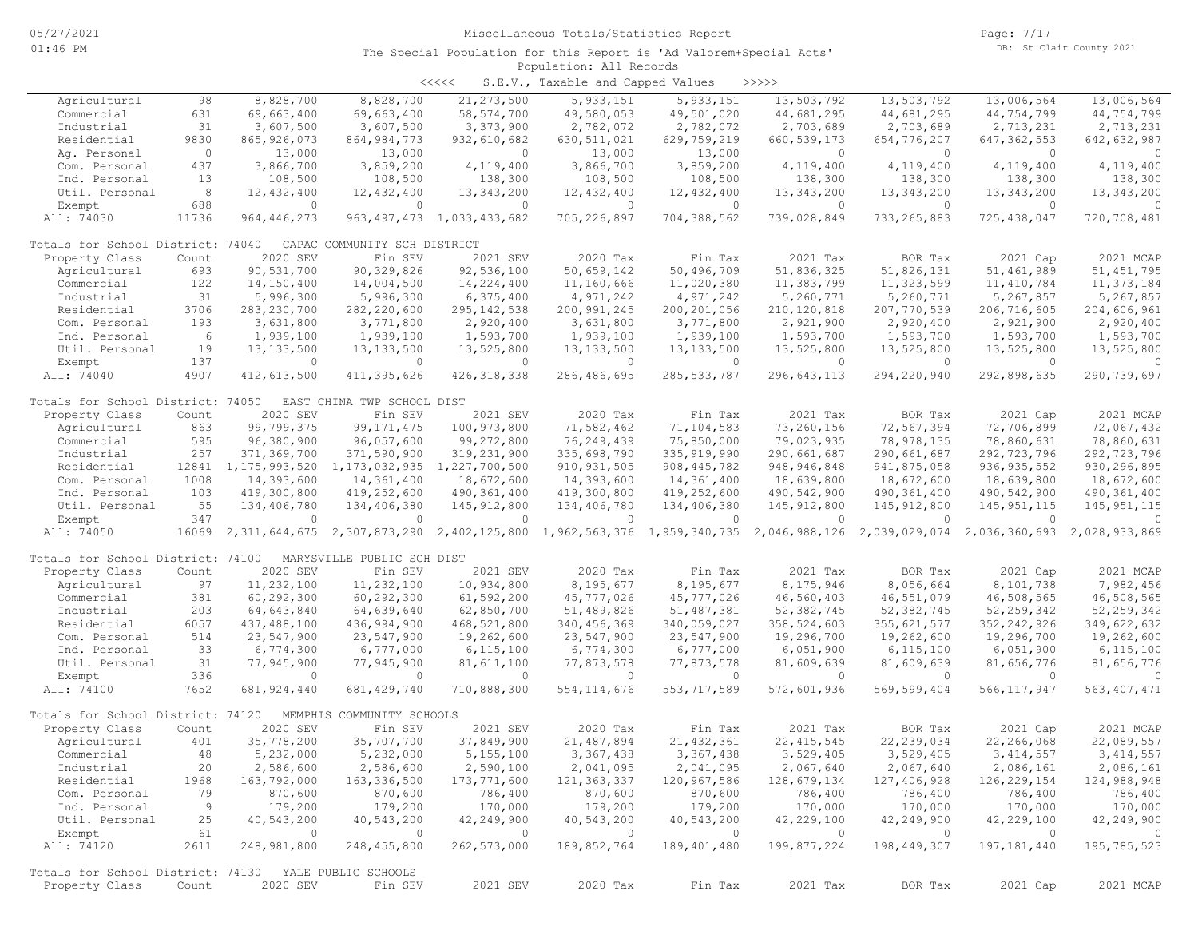| $\prec$ <<<< |  | S.E.V., Taxable and Capped Values |  | >>>>> |
|--------------|--|-----------------------------------|--|-------|
|--------------|--|-----------------------------------|--|-------|

| Agricultural                                          | 98           | 8,828,700             | 8,828,700                    | 21, 273, 500                   | 5, 933, 151                     | 5, 933, 151                                                                         | 13,503,792               | 13,503,792               | 13,006,564                                | 13,006,564             |
|-------------------------------------------------------|--------------|-----------------------|------------------------------|--------------------------------|---------------------------------|-------------------------------------------------------------------------------------|--------------------------|--------------------------|-------------------------------------------|------------------------|
| Commercial                                            | 631          | 69,663,400            | 69,663,400                   | 58, 574, 700                   | 49,580,053                      | 49,501,020                                                                          | 44,681,295               | 44,681,295               | 44,754,799                                | 44,754,799             |
| Industrial                                            | 31           | 3,607,500             | 3,607,500                    | 3,373,900                      | 2,782,072                       | 2,782,072                                                                           | 2,703,689                | 2,703,689                | 2,713,231                                 | 2,713,231              |
| Residential                                           | 9830         | 865, 926, 073         | 864, 984, 773                | 932,610,682                    | 630, 511, 021                   | 629,759,219                                                                         | 660, 539, 173            | 654,776,207              | 647, 362, 553                             | 642, 632, 987          |
| Aq. Personal                                          | $\circ$      | 13,000                | 13,000                       | $\Omega$                       | 13,000                          | 13,000                                                                              | $\circ$                  | $\circ$                  | $\circ$                                   | $\Omega$               |
| Com. Personal                                         | 437          | 3,866,700             | 3,859,200                    | 4,119,400                      | 3,866,700                       | 3,859,200                                                                           | 4,119,400                | 4,119,400                | 4,119,400                                 | 4,119,400              |
| Ind. Personal                                         | 13           | 108,500               | 108,500                      | 138,300                        | 108,500                         | 108,500                                                                             | 138,300                  | 138,300                  | 138,300                                   | 138,300                |
| Util. Personal                                        | 8            | 12,432,400            | 12,432,400                   | 13, 343, 200                   | 12,432,400                      | 12,432,400                                                                          | 13,343,200               | 13, 343, 200             | 13, 343, 200                              | 13, 343, 200           |
| Exempt                                                | 688          | $\circ$               | $\circ$                      | $\circ$                        | $\circ$                         | $\circ$                                                                             | $\circ$                  | $\circ$                  | $\circ$                                   | $\circ$                |
| All: 74030                                            | 11736        | 964, 446, 273         |                              | 963, 497, 473 1, 033, 433, 682 | 705,226,897                     | 704,388,562                                                                         | 739,028,849              | 733, 265, 883            | 725, 438, 047                             | 720,708,481            |
| Totals for School District: 74040                     |              |                       | CAPAC COMMUNITY SCH DISTRICT |                                |                                 |                                                                                     |                          |                          |                                           |                        |
| Property Class                                        | Count        | 2020 SEV              | Fin SEV                      | 2021 SEV                       | 2020 Tax                        | Fin Tax                                                                             | 2021 Tax                 | BOR Tax                  | 2021 Cap                                  | 2021 MCAP              |
| Agricultural                                          | 693          | 90,531,700            | 90, 329, 826                 | 92,536,100                     | 50,659,142                      | 50,496,709                                                                          | 51,836,325               | 51,826,131               | 51,461,989                                | 51, 451, 795           |
| Commercial                                            | 122          | 14,150,400            | 14,004,500                   | 14,224,400                     | 11,160,666                      | 11,020,380                                                                          | 11,383,799               | 11,323,599               | 11, 410, 784                              | 11, 373, 184           |
| Industrial                                            | 31           | 5,996,300             | 5,996,300                    | 6,375,400                      | 4,971,242                       | 4,971,242                                                                           | 5,260,771                | 5,260,771                | 5,267,857                                 | 5,267,857              |
| Residential                                           | 3706         | 283, 230, 700         | 282,220,600                  | 295, 142, 538                  | 200,991,245                     | 200, 201, 056                                                                       | 210, 120, 818            | 207,770,539              | 206,716,605                               | 204,606,961            |
| Com. Personal                                         | 193          | 3,631,800             | 3,771,800                    | 2,920,400                      | 3,631,800                       | 3,771,800                                                                           | 2,921,900                | 2,920,400                | 2,921,900                                 | 2,920,400              |
| Ind. Personal                                         | 6            | 1,939,100             | 1,939,100                    | 1,593,700                      | 1,939,100                       | 1,939,100                                                                           | 1,593,700                | 1,593,700                | 1,593,700                                 | 1,593,700              |
| Util. Personal                                        | 19           | 13, 133, 500          | 13, 133, 500                 | 13,525,800                     | 13, 133, 500                    | 13, 133, 500                                                                        | 13,525,800               | 13,525,800               | 13,525,800                                | 13,525,800             |
| Exempt                                                | 137          | $\circ$               | $\Omega$                     | $\Omega$                       | $\overline{0}$                  | $\Omega$                                                                            | $\Omega$                 | $\circ$                  | $\circ$                                   | $\Omega$               |
| All: 74040                                            | 4907         | 412,613,500           | 411,395,626                  | 426, 318, 338                  | 286, 486, 695                   | 285, 533, 787                                                                       | 296, 643, 113            | 294,220,940              | 292,898,635                               | 290,739,697            |
| Totals for School District: 74050                     |              |                       | EAST CHINA TWP SCHOOL DIST   |                                |                                 |                                                                                     |                          |                          |                                           |                        |
| Property Class                                        | Count        | 2020 SEV              | Fin SEV                      | 2021 SEV                       | 2020 Tax                        | Fin Tax                                                                             | 2021 Tax                 | BOR Tax                  | 2021 Cap                                  | 2021 MCAP              |
| Agricultural                                          | 863          | 99,799,375            | 99, 171, 475                 | 100,973,800                    | 71,582,462                      | 71,104,583                                                                          | 73,260,156               | 72,567,394               | 72,706,899                                | 72,067,432             |
| Commercial                                            | 595          | 96,380,900            | 96,057,600                   | 99,272,800                     | 76,249,439                      | 75,850,000                                                                          | 79,023,935               | 78,978,135               | 78,860,631                                | 78,860,631             |
| Industrial                                            | 257          | 371,369,700           | 371,590,900                  | 319,231,900                    | 335,698,790                     | 335, 919, 990                                                                       | 290,661,687              | 290,661,687              | 292,723,796                               | 292,723,796            |
| Residential                                           | 12841        | 1,175,993,520         | 1,173,032,935                | 1,227,700,500                  | 910, 931, 505                   | 908, 445, 782                                                                       | 948, 946, 848            | 941,875,058              | 936, 935, 552                             | 930,296,895            |
| Com. Personal                                         | 1008         | 14,393,600            | 14,361,400                   | 18,672,600                     | 14,393,600                      | 14,361,400                                                                          | 18,639,800               | 18,672,600               | 18,639,800                                | 18,672,600             |
| Ind. Personal                                         | 103          | 419,300,800           | 419,252,600                  | 490,361,400                    | 419,300,800                     | 419,252,600                                                                         | 490,542,900              | 490, 361, 400            | 490,542,900                               | 490, 361, 400          |
| Util. Personal                                        | 55           | 134,406,780           | 134,406,380                  | 145, 912, 800                  | 134,406,780                     | 134,406,380                                                                         | 145, 912, 800            | 145, 912, 800            | 145, 951, 115                             | 145, 951, 115          |
| Exempt                                                | 347          | $\Omega$              | $\Omega$                     | $\Omega$                       | $\Omega$                        | $\circ$                                                                             | $\Omega$                 | 0                        | $\circ$                                   |                        |
| All: 74050                                            | 16069        |                       |                              |                                |                                 | 2,311,644,675 2,307,873,290 2,402,125,800 1,962,563,376 1,959,340,735 2,046,988,126 |                          |                          | 2,039,029,074 2,036,360,693 2,028,933,869 |                        |
| Totals for School District: 74100                     |              |                       | MARYSVILLE PUBLIC SCH DIST   |                                |                                 |                                                                                     |                          |                          |                                           |                        |
| Property Class                                        | Count        | 2020 SEV              | Fin SEV                      | 2021 SEV                       | 2020 Tax                        | Fin Tax                                                                             | 2021 Tax                 | BOR Tax                  | 2021 Cap                                  | 2021 MCAP              |
| Agricultural                                          | 97           | 11,232,100            | 11,232,100                   | 10,934,800                     | 8,195,677                       | 8,195,677                                                                           | 8,175,946                | 8,056,664                | 8,101,738                                 | 7,982,456              |
| Commercial                                            | 381          | 60,292,300            | 60,292,300                   | 61,592,200                     | 45,777,026                      | 45,777,026                                                                          | 46,560,403               | 46,551,079               | 46,508,565                                | 46,508,565             |
| Industrial                                            | 203          | 64,643,840            | 64,639,640                   | 62,850,700                     | 51,489,826                      | 51, 487, 381                                                                        | 52,382,745               | 52,382,745               | 52, 259, 342                              | 52, 259, 342           |
| Residential                                           | 6057         | 437,488,100           | 436,994,900                  | 468,521,800                    | 340, 456, 369                   | 340,059,027                                                                         | 358,524,603              | 355, 621, 577            | 352, 242, 926                             | 349,622,632            |
| Com. Personal                                         | 514          | 23,547,900            | 23,547,900                   | 19,262,600                     | 23,547,900                      | 23,547,900                                                                          | 19,296,700               | 19,262,600               | 19,296,700                                | 19,262,600             |
| Ind. Personal                                         | 33           | 6,774,300             | 6,777,000                    |                                | 6,774,300                       | 6,777,000                                                                           | 6,051,900                | 6,115,100                | 6,051,900                                 | 6,115,100              |
|                                                       | 31           |                       |                              | 6, 115, 100                    |                                 |                                                                                     |                          |                          |                                           |                        |
| Util. Personal                                        | 336          | 77,945,900<br>$\circ$ | 77,945,900                   | 81,611,100<br>$\Omega$         | 77,873,578                      | 77,873,578<br>$\Omega$                                                              | 81,609,639               | 81,609,639               | 81,656,776<br>$\Omega$                    | 81,656,776<br>$\Omega$ |
| Exempt<br>All: 74100                                  | 7652         | 681, 924, 440         | $\circ$<br>681, 429, 740     | 710,888,300                    | $\overline{0}$<br>554, 114, 676 | 553, 717, 589                                                                       | $\circ$<br>572,601,936   | $\circ$<br>569, 599, 404 | 566, 117, 947                             | 563, 407, 471          |
| Totals for School District: 74120                     |              |                       | MEMPHIS COMMUNITY SCHOOLS    |                                |                                 |                                                                                     |                          |                          |                                           |                        |
|                                                       |              | 2020 SEV              |                              |                                | 2020 Tax                        |                                                                                     |                          |                          |                                           | 2021 MCAP              |
| Property Class<br>Agricultural                        | Count<br>401 | 35,778,200            | Fin SEV<br>35,707,700        | 2021 SEV<br>37,849,900         | 21,487,894                      | Fin Tax<br>21, 432, 361                                                             | 2021 Tax<br>22, 415, 545 | BOR Tax<br>22, 239, 034  | 2021 Cap<br>22,266,068                    | 22,089,557             |
|                                                       |              |                       |                              |                                |                                 |                                                                                     |                          |                          |                                           |                        |
| Commercial                                            | 48           | 5,232,000             | 5,232,000                    | 5,155,100                      | 3,367,438                       | 3,367,438                                                                           | 3,529,405                | 3,529,405                | 3, 414, 557                               | 3, 414, 557            |
| Industrial                                            | 20           | 2,586,600             | 2,586,600                    | 2,590,100                      | 2,041,095                       | 2,041,095                                                                           | 2,067,640                | 2,067,640                | 2,086,161                                 | 2,086,161              |
| Residential                                           | 1968         | 163,792,000           | 163,336,500                  | 173,771,600                    | 121,363,337                     | 120,967,586                                                                         | 128,679,134              | 127,406,928              | 126, 229, 154                             | 124,988,948            |
| Com. Personal                                         | 79           | 870,600               | 870,600                      | 786,400                        | 870,600                         | 870,600                                                                             | 786,400                  | 786,400                  | 786,400                                   | 786,400                |
| Ind. Personal                                         | 9            | 179,200               | 179,200                      | 170,000                        | 179,200                         | 179,200                                                                             | 170,000                  | 170,000                  | 170,000                                   | 170,000                |
| Util. Personal                                        | 25           | 40,543,200            | 40,543,200                   | 42,249,900                     | 40,543,200                      | 40,543,200                                                                          | 42,229,100               | 42,249,900               | 42,229,100                                | 42,249,900             |
| Exempt                                                | 61           | $\circ$               | $\overline{0}$               | $\sim$ 0                       | $\overline{0}$                  | $\sim$ 0                                                                            | $\overline{0}$           | $\overline{0}$           | $\circ$                                   | $\overline{0}$         |
| All: 74120                                            | 2611         | 248,981,800           | 248,455,800                  | 262,573,000                    | 189,852,764                     | 189, 401, 480                                                                       | 199,877,224              | 198,449,307              | 197, 181, 440                             | 195,785,523            |
| Totals for School District: 74130 YALE PUBLIC SCHOOLS |              |                       |                              |                                |                                 |                                                                                     |                          |                          |                                           |                        |
| Property Class                                        | Count        | 2020 SEV              | Fin SEV                      | 2021 SEV                       | 2020 Tax                        | Fin Tax                                                                             | 2021 Tax                 | BOR Tax                  | 2021 Cap                                  | 2021 MCAP              |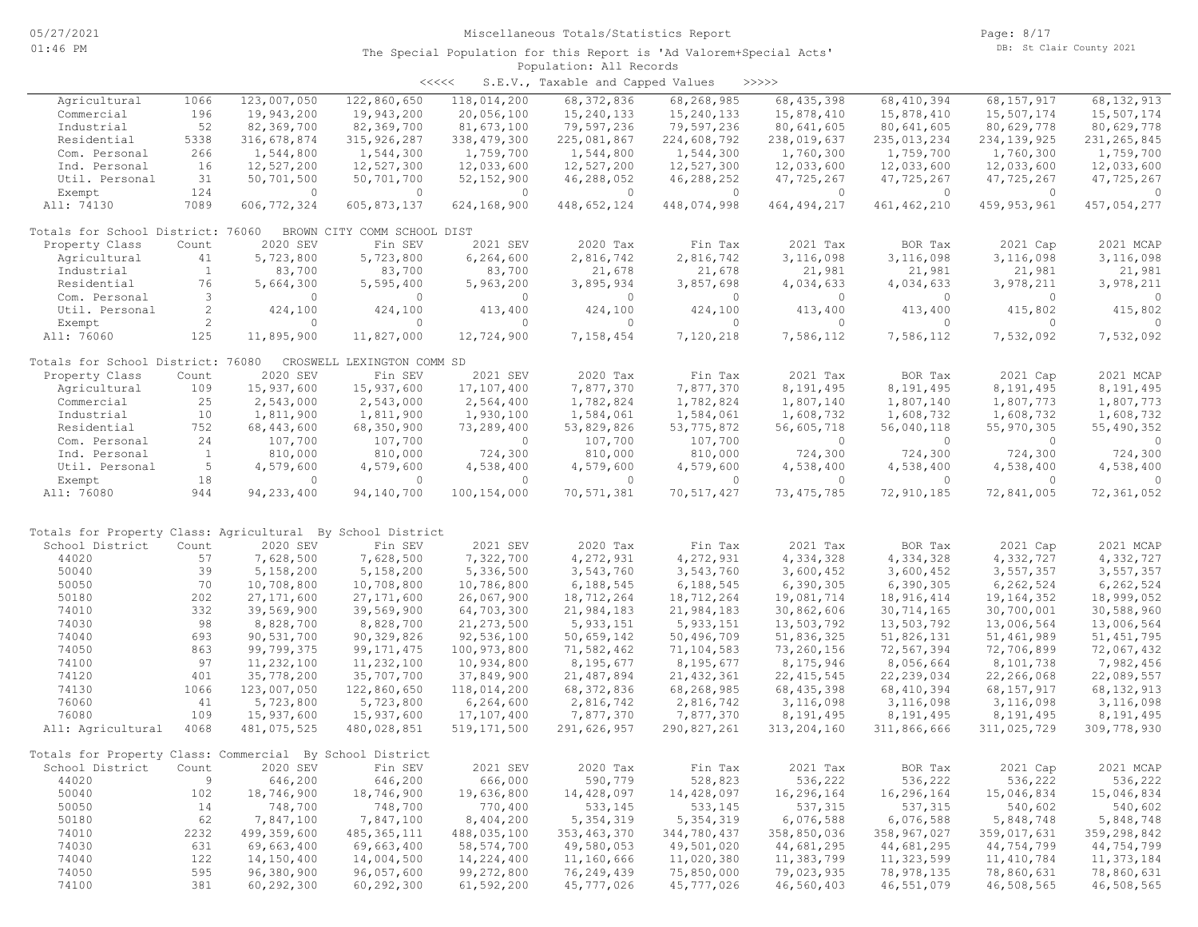| くくくくく | S.E.V., Taxable and Capped Values |  |  |  | >>>>> |
|-------|-----------------------------------|--|--|--|-------|
|-------|-----------------------------------|--|--|--|-------|

| Agricultural                                               | 1066           | 123,007,050   | 122,860,650                 | 118,014,200   | 68, 372, 836  | 68,268,985   | 68, 435, 398  | 68, 410, 394  | 68, 157, 917  | 68, 132, 913  |
|------------------------------------------------------------|----------------|---------------|-----------------------------|---------------|---------------|--------------|---------------|---------------|---------------|---------------|
| Commercial                                                 | 196            | 19,943,200    | 19,943,200                  | 20,056,100    | 15,240,133    | 15,240,133   | 15,878,410    | 15,878,410    | 15,507,174    | 15,507,174    |
| Industrial                                                 | 52             | 82,369,700    | 82,369,700                  | 81,673,100    | 79,597,236    | 79,597,236   | 80,641,605    | 80,641,605    | 80,629,778    | 80,629,778    |
| Residential                                                | 5338           | 316,678,874   | 315, 926, 287               | 338, 479, 300 | 225,081,867   | 224,608,792  | 238,019,637   | 235,013,234   | 234, 139, 925 | 231, 265, 845 |
| Com. Personal                                              | 266            |               |                             | 1,759,700     |               |              |               |               |               | 1,759,700     |
|                                                            |                | 1,544,800     | 1,544,300                   |               | 1,544,800     | 1,544,300    | 1,760,300     | 1,759,700     | 1,760,300     |               |
| Ind. Personal                                              | 16             | 12,527,200    | 12,527,300                  | 12,033,600    | 12,527,200    | 12,527,300   | 12,033,600    | 12,033,600    | 12,033,600    | 12,033,600    |
| Util. Personal                                             | 31             | 50,701,500    | 50,701,700                  | 52, 152, 900  | 46,288,052    | 46,288,252   | 47,725,267    | 47,725,267    | 47,725,267    | 47,725,267    |
| Exempt                                                     | 124            | $\Omega$      | $\Omega$                    | $\Omega$      | $\Omega$      | $\Omega$     | $\Omega$      | $\circ$       | $\Omega$      | $\Omega$      |
| All: 74130                                                 | 7089           | 606, 772, 324 | 605, 873, 137               | 624,168,900   | 448,652,124   | 448,074,998  | 464, 494, 217 | 461, 462, 210 | 459, 953, 961 | 457,054,277   |
|                                                            |                |               |                             |               |               |              |               |               |               |               |
| Totals for School District: 76060                          |                |               | BROWN CITY COMM SCHOOL DIST |               |               |              |               |               |               |               |
| Property Class                                             | Count          | 2020 SEV      | Fin SEV                     | 2021 SEV      | 2020 Tax      | Fin Tax      | 2021 Tax      | BOR Tax       | 2021 Cap      | 2021 MCAP     |
| Agricultural                                               | 41             | 5,723,800     | 5,723,800                   | 6,264,600     | 2,816,742     | 2,816,742    | 3,116,098     | 3,116,098     | 3,116,098     | 3,116,098     |
| Industrial                                                 | $\mathbf{1}$   | 83,700        | 83,700                      | 83,700        | 21,678        | 21,678       | 21,981        | 21,981        | 21,981        | 21,981        |
| Residential                                                | 76             | 5,664,300     | 5,595,400                   | 5,963,200     | 3,895,934     | 3,857,698    | 4,034,633     | 4,034,633     | 3,978,211     | 3,978,211     |
| Com. Personal                                              | $\mathbf{3}$   | $\Omega$      | $\Omega$                    | $\circ$       | $\Omega$      | $\Omega$     | $\circ$       | $\circ$       | $\circ$       | $\circ$       |
| Util. Personal                                             | $\mathbf{2}$   | 424,100       | 424,100                     | 413,400       | 424,100       | 424,100      | 413,400       | 413,400       | 415,802       | 415,802       |
|                                                            |                |               |                             |               |               |              |               |               |               |               |
| Exempt                                                     | $\overline{c}$ | $\circ$       | $\circ$                     | $\circ$       | $\circ$       | $\circ$      | $\circ$       | $\circ$       | $\circ$       | $\circ$       |
| All: 76060                                                 | 125            | 11,895,900    | 11,827,000                  | 12,724,900    | 7,158,454     | 7,120,218    | 7,586,112     | 7,586,112     | 7,532,092     | 7,532,092     |
|                                                            |                |               |                             |               |               |              |               |               |               |               |
| Totals for School District: 76080                          |                |               | CROSWELL LEXINGTON COMM SD  |               |               |              |               |               |               |               |
| Property Class                                             | Count          | 2020 SEV      | Fin SEV                     | 2021 SEV      | 2020 Tax      | Fin Tax      | 2021 Tax      | BOR Tax       | 2021 Cap      | 2021 MCAP     |
| Agricultural                                               | 109            | 15,937,600    | 15,937,600                  | 17,107,400    | 7,877,370     | 7,877,370    | 8,191,495     | 8,191,495     | 8,191,495     | 8,191,495     |
| Commercial                                                 | 25             | 2,543,000     | 2,543,000                   | 2,564,400     | 1,782,824     | 1,782,824    | 1,807,140     | 1,807,140     | 1,807,773     | 1,807,773     |
| Industrial                                                 | 10             | 1,811,900     | 1,811,900                   | 1,930,100     | 1,584,061     | 1,584,061    | 1,608,732     | 1,608,732     | 1,608,732     | 1,608,732     |
| Residential                                                | 752            | 68, 443, 600  | 68,350,900                  | 73,289,400    | 53,829,826    | 53, 775, 872 | 56,605,718    | 56,040,118    | 55, 970, 305  | 55,490,352    |
| Com. Personal                                              | 24             | 107,700       | 107,700                     | $\circ$       | 107,700       | 107,700      | $\circ$       | $\circ$       | $\circ$       | $\circ$       |
| Ind. Personal                                              | $\mathbf{1}$   | 810,000       | 810,000                     | 724,300       | 810,000       | 810,000      | 724,300       | 724,300       | 724,300       | 724,300       |
| Util. Personal                                             | 5              | 4,579,600     | 4,579,600                   | 4,538,400     | 4,579,600     | 4,579,600    | 4,538,400     | 4,538,400     | 4,538,400     | 4,538,400     |
|                                                            |                |               | $\Omega$                    | $\Omega$      |               |              |               |               |               |               |
| Exempt                                                     | 18             | $\circ$       |                             |               | $\circ$       | 0            | $\mathbf{0}$  | $\circ$       | $\circ$       | $\Omega$      |
| All: 76080                                                 | 944            | 94, 233, 400  | 94,140,700                  | 100, 154, 000 | 70,571,381    | 70,517,427   | 73, 475, 785  | 72,910,185    | 72,841,005    | 72,361,052    |
|                                                            |                |               |                             |               |               |              |               |               |               |               |
| Totals for Property Class: Agricultural By School District |                |               |                             |               |               |              |               |               |               |               |
| School District                                            | Count          | 2020 SEV      | Fin SEV                     | 2021 SEV      | 2020 Tax      | Fin Tax      | 2021 Tax      | BOR Tax       | 2021 Cap      | 2021 MCAP     |
| 44020                                                      | 57             | 7,628,500     | 7,628,500                   | 7,322,700     | 4,272,931     | 4,272,931    | 4,334,328     | 4,334,328     | 4,332,727     | 4,332,727     |
| 50040                                                      | 39             | 5,158,200     | 5,158,200                   | 5,336,500     | 3,543,760     | 3,543,760    | 3,600,452     | 3,600,452     | 3,557,357     | 3,557,357     |
| 50050                                                      | 70             | 10,708,800    | 10,708,800                  | 10,786,800    | 6,188,545     | 6,188,545    | 6,390,305     | 6,390,305     | 6, 262, 524   | 6, 262, 524   |
| 50180                                                      | 202            | 27, 171, 600  | 27, 171, 600                | 26,067,900    | 18,712,264    | 18,712,264   | 19,081,714    | 18, 916, 414  | 19,164,352    | 18,999,052    |
| 74010                                                      | 332            | 39,569,900    | 39,569,900                  | 64,703,300    | 21,984,183    | 21,984,183   | 30,862,606    | 30, 714, 165  | 30,700,001    | 30,588,960    |
| 74030                                                      | 98             | 8,828,700     | 8,828,700                   | 21, 273, 500  | 5, 933, 151   | 5, 933, 151  | 13,503,792    | 13,503,792    | 13,006,564    | 13,006,564    |
| 74040                                                      | 693            | 90,531,700    | 90,329,826                  | 92,536,100    | 50,659,142    | 50,496,709   | 51,836,325    | 51,826,131    | 51,461,989    | 51, 451, 795  |
| 74050                                                      | 863            | 99,799,375    |                             | 100,973,800   |               | 71,104,583   |               | 72,567,394    |               | 72,067,432    |
|                                                            |                |               | 99, 171, 475                |               | 71,582,462    |              | 73,260,156    |               | 72,706,899    |               |
| 74100                                                      | 97             | 11,232,100    | 11,232,100                  | 10,934,800    | 8,195,677     | 8,195,677    | 8,175,946     | 8,056,664     | 8,101,738     | 7,982,456     |
| 74120                                                      | 401            | 35,778,200    | 35,707,700                  | 37,849,900    | 21,487,894    | 21, 432, 361 | 22, 415, 545  | 22, 239, 034  | 22,266,068    | 22,089,557    |
| 74130                                                      | 1066           | 123,007,050   | 122,860,650                 | 118,014,200   | 68, 372, 836  | 68,268,985   | 68, 435, 398  | 68, 410, 394  | 68, 157, 917  | 68, 132, 913  |
| 76060                                                      | 41             | 5,723,800     | 5,723,800                   | 6, 264, 600   | 2,816,742     | 2,816,742    | 3,116,098     | 3,116,098     | 3,116,098     | 3,116,098     |
| 76080                                                      | 109            | 15,937,600    | 15,937,600                  | 17,107,400    | 7,877,370     | 7,877,370    | 8,191,495     | 8,191,495     | 8,191,495     | 8,191,495     |
| All: Agricultural                                          | 4068           | 481,075,525   | 480,028,851                 | 519, 171, 500 | 291,626,957   | 290,827,261  | 313, 204, 160 | 311,866,666   | 311,025,729   | 309,778,930   |
|                                                            |                |               |                             |               |               |              |               |               |               |               |
| Totals for Property Class: Commercial By School District   |                |               |                             |               |               |              |               |               |               |               |
| School District Count 2020 SEV                             |                |               | Fin SEV                     | 2021 SEV      | 2020 Tax      | Fin Tax      | 2021 Tax      | BOR Tax       | 2021 Cap      | 2021 MCAP     |
| 44020                                                      | 9              | 646,200       | 646,200                     | 666,000       | 590,779       | 528,823      | 536,222       | 536,222       | 536,222       | 536,222       |
| 50040                                                      | 102            | 18,746,900    | 18,746,900                  | 19,636,800    | 14,428,097    | 14,428,097   | 16,296,164    | 16,296,164    | 15,046,834    | 15,046,834    |
| 50050                                                      | 14             | 748,700       | 748,700                     | 770,400       | 533,145       | 533,145      | 537, 315      | 537,315       | 540,602       | 540,602       |
| 50180                                                      | 62             | 7,847,100     | 7,847,100                   | 8,404,200     | 5, 354, 319   | 5,354,319    | 6,076,588     | 6,076,588     | 5,848,748     | 5,848,748     |
| 74010                                                      | 2232           | 499,359,600   | 485, 365, 111               | 488,035,100   | 353, 463, 370 | 344,780,437  | 358,850,036   | 358,967,027   | 359,017,631   | 359,298,842   |
| 74030                                                      | 631            | 69,663,400    | 69,663,400                  | 58, 574, 700  | 49,580,053    | 49,501,020   | 44,681,295    | 44,681,295    | 44,754,799    | 44,754,799    |
| 74040                                                      | 122            | 14,150,400    | 14,004,500                  | 14,224,400    | 11,160,666    | 11,020,380   | 11,383,799    | 11,323,599    | 11, 410, 784  | 11,373,184    |
|                                                            |                |               |                             |               |               |              |               |               |               |               |
| 74050                                                      | 595            | 96,380,900    | 96,057,600                  | 99,272,800    | 76,249,439    | 75,850,000   | 79,023,935    | 78,978,135    | 78,860,631    | 78,860,631    |
| 74100                                                      | 381            | 60, 292, 300  | 60,292,300                  | 61,592,200    | 45,777,026    | 45,777,026   | 46,560,403    | 46,551,079    | 46,508,565    | 46,508,565    |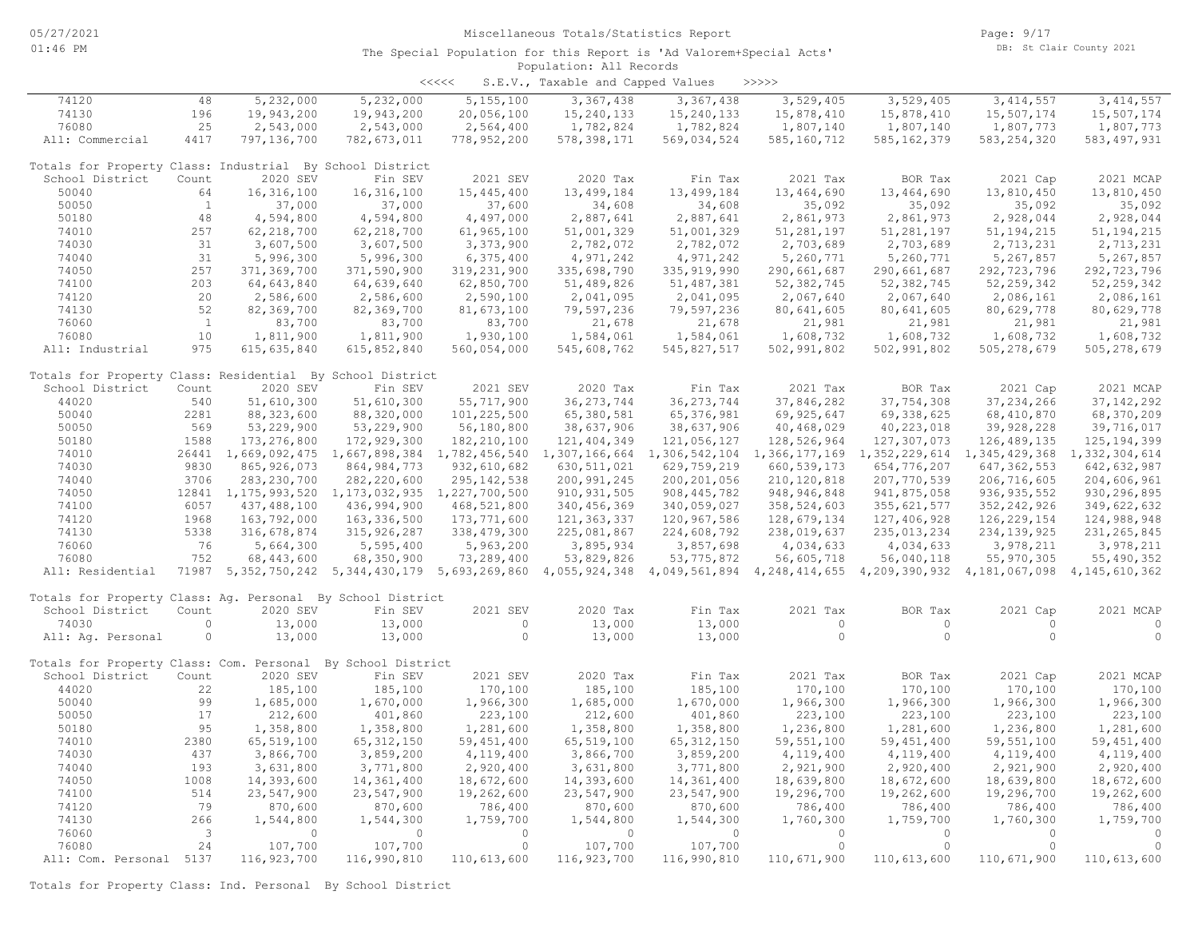| <<<< | S.E.V., Taxable and Capped Values |  |  |  | >>>>> |
|------|-----------------------------------|--|--|--|-------|
|------|-----------------------------------|--|--|--|-------|

| 74120                                                       | 48                       | 5,232,000     | 5,232,000                                                                                                                           | 5, 155, 100   | 3, 367, 438   | 3,367,438                   | 3,529,405     | 3,529,405     | 3, 414, 557                                                         | 3, 414, 557    |
|-------------------------------------------------------------|--------------------------|---------------|-------------------------------------------------------------------------------------------------------------------------------------|---------------|---------------|-----------------------------|---------------|---------------|---------------------------------------------------------------------|----------------|
| 74130                                                       | 196                      | 19,943,200    | 19,943,200                                                                                                                          | 20,056,100    | 15, 240, 133  | 15, 240, 133                | 15,878,410    | 15,878,410    | 15,507,174                                                          | 15,507,174     |
| 76080                                                       | 25                       | 2,543,000     | 2,543,000                                                                                                                           | 2,564,400     | 1,782,824     | 1,782,824                   | 1,807,140     | 1,807,140     | 1,807,773                                                           | 1,807,773      |
| All: Commercial                                             | 4417                     | 797,136,700   | 782, 673, 011                                                                                                                       | 778,952,200   | 578, 398, 171 | 569,034,524                 | 585,160,712   | 585, 162, 379 | 583, 254, 320                                                       | 583, 497, 931  |
|                                                             |                          |               |                                                                                                                                     |               |               |                             |               |               |                                                                     |                |
| Totals for Property Class: Industrial By School District    |                          |               |                                                                                                                                     |               |               |                             |               |               |                                                                     |                |
| School District                                             | Count                    | 2020 SEV      | Fin SEV                                                                                                                             | 2021 SEV      | 2020 Tax      | Fin Tax                     | 2021 Tax      | BOR Tax       | 2021 Cap                                                            | 2021 MCAP      |
| 50040                                                       | 64                       |               |                                                                                                                                     |               |               |                             |               |               |                                                                     |                |
|                                                             |                          | 16, 316, 100  | 16, 316, 100                                                                                                                        | 15, 445, 400  | 13,499,184    | 13,499,184                  | 13,464,690    | 13,464,690    | 13,810,450                                                          | 13,810,450     |
| 50050                                                       | $\mathbf{1}$             | 37,000        | 37,000                                                                                                                              | 37,600        | 34,608        | 34,608                      | 35,092        | 35,092        | 35,092                                                              | 35,092         |
| 50180                                                       | 48                       | 4,594,800     | 4,594,800                                                                                                                           | 4,497,000     | 2,887,641     | 2,887,641                   | 2,861,973     | 2,861,973     | 2,928,044                                                           | 2,928,044      |
| 74010                                                       | 257                      | 62, 218, 700  | 62, 218, 700                                                                                                                        | 61,965,100    | 51,001,329    | 51,001,329                  | 51, 281, 197  | 51, 281, 197  | 51, 194, 215                                                        | 51, 194, 215   |
| 74030                                                       | 31                       | 3,607,500     | 3,607,500                                                                                                                           | 3,373,900     | 2,782,072     | 2,782,072                   | 2,703,689     | 2,703,689     | 2,713,231                                                           | 2,713,231      |
| 74040                                                       | 31                       | 5,996,300     | 5,996,300                                                                                                                           | 6,375,400     | 4,971,242     | 4,971,242                   | 5,260,771     | 5,260,771     | 5,267,857                                                           | 5,267,857      |
| 74050                                                       | 257                      | 371,369,700   | 371,590,900                                                                                                                         | 319,231,900   | 335,698,790   | 335, 919, 990               | 290,661,687   | 290,661,687   | 292, 723, 796                                                       | 292,723,796    |
| 74100                                                       | 203                      | 64,643,840    | 64,639,640                                                                                                                          | 62,850,700    | 51,489,826    | 51, 487, 381                | 52,382,745    | 52, 382, 745  | 52, 259, 342                                                        | 52, 259, 342   |
| 74120                                                       | 20                       | 2,586,600     | 2,586,600                                                                                                                           | 2,590,100     | 2,041,095     | 2,041,095                   | 2,067,640     | 2,067,640     | 2,086,161                                                           | 2,086,161      |
| 74130                                                       | 52                       |               |                                                                                                                                     |               |               |                             |               |               |                                                                     |                |
|                                                             |                          | 82,369,700    | 82,369,700                                                                                                                          | 81,673,100    | 79,597,236    | 79,597,236                  | 80,641,605    | 80,641,605    | 80,629,778                                                          | 80,629,778     |
| 76060                                                       | $\overline{1}$           | 83,700        | 83,700                                                                                                                              | 83,700        | 21,678        | 21,678                      | 21,981        | 21,981        | 21,981                                                              | 21,981         |
| 76080                                                       | 10                       | 1,811,900     | 1,811,900                                                                                                                           | 1,930,100     | 1,584,061     | 1,584,061                   | 1,608,732     | 1,608,732     | 1,608,732                                                           | 1,608,732      |
| All: Industrial                                             | 975                      | 615, 635, 840 | 615,852,840                                                                                                                         | 560,054,000   | 545,608,762   | 545,827,517                 | 502,991,802   | 502,991,802   | 505, 278, 679                                                       | 505, 278, 679  |
|                                                             |                          |               |                                                                                                                                     |               |               |                             |               |               |                                                                     |                |
| Totals for Property Class: Residential By School District   |                          |               |                                                                                                                                     |               |               |                             |               |               |                                                                     |                |
| School District                                             | Count                    | 2020 SEV      | Fin SEV                                                                                                                             | 2021 SEV      | 2020 Tax      | Fin Tax                     | 2021 Tax      | BOR Tax       | 2021 Cap                                                            | 2021 MCAP      |
| 44020                                                       | 540                      | 51,610,300    | 51,610,300                                                                                                                          | 55,717,900    | 36, 273, 744  | 36, 273, 744                | 37,846,282    | 37,754,308    | 37, 234, 266                                                        | 37, 142, 292   |
| 50040                                                       | 2281                     | 88, 323, 600  | 88,320,000                                                                                                                          | 101,225,500   | 65,380,581    | 65, 376, 981                | 69, 925, 647  | 69,338,625    | 68, 410, 870                                                        | 68,370,209     |
| 50050                                                       | 569                      | 53,229,900    | 53,229,900                                                                                                                          | 56,180,800    | 38,637,906    | 38,637,906                  | 40,468,029    | 40,223,018    | 39,928,228                                                          | 39,716,017     |
| 50180                                                       | 1588                     | 173,276,800   | 172,929,300                                                                                                                         | 182, 210, 100 | 121, 404, 349 | 121,056,127                 | 128,526,964   | 127,307,073   | 126, 489, 135                                                       | 125, 194, 399  |
|                                                             |                          |               |                                                                                                                                     |               |               |                             |               |               |                                                                     |                |
| 74010                                                       |                          |               | 26441 1,669,092,475 1,667,898,384 1,782,456,540                                                                                     |               |               | 1,307,166,664 1,306,542,104 |               |               | 1, 366, 177, 169 1, 352, 229, 614 1, 345, 429, 368 1, 332, 304, 614 |                |
| 74030                                                       | 9830                     | 865, 926, 073 | 864, 984, 773                                                                                                                       | 932,610,682   | 630, 511, 021 | 629,759,219                 | 660, 539, 173 | 654,776,207   | 647, 362, 553                                                       | 642, 632, 987  |
| 74040                                                       | 3706                     | 283, 230, 700 | 282, 220, 600                                                                                                                       | 295, 142, 538 | 200,991,245   | 200, 201, 056               | 210, 120, 818 | 207,770,539   | 206,716,605                                                         | 204,606,961    |
| 74050                                                       |                          |               | 12841 1, 175, 993, 520 1, 173, 032, 935 1, 227, 700, 500                                                                            |               | 910, 931, 505 | 908, 445, 782               | 948, 946, 848 | 941,875,058   | 936, 935, 552                                                       | 930, 296, 895  |
| 74100                                                       | 6057                     | 437,488,100   | 436,994,900                                                                                                                         | 468,521,800   | 340, 456, 369 | 340,059,027                 | 358,524,603   | 355, 621, 577 | 352, 242, 926                                                       | 349,622,632    |
| 74120                                                       | 1968                     | 163,792,000   | 163, 336, 500                                                                                                                       | 173,771,600   | 121, 363, 337 | 120,967,586                 | 128,679,134   | 127,406,928   | 126, 229, 154                                                       | 124,988,948    |
| 74130                                                       | 5338                     | 316,678,874   | 315, 926, 287                                                                                                                       | 338, 479, 300 | 225,081,867   | 224,608,792                 | 238,019,637   | 235,013,234   | 234, 139, 925                                                       | 231, 265, 845  |
| 76060                                                       | 76                       | 5,664,300     | 5,595,400                                                                                                                           | 5,963,200     | 3,895,934     | 3,857,698                   | 4,034,633     | 4,034,633     | 3,978,211                                                           | 3,978,211      |
| 76080                                                       | 752                      | 68, 443, 600  | 68,350,900                                                                                                                          | 73,289,400    | 53,829,826    | 53, 775, 872                | 56,605,718    | 56,040,118    | 55,970,305                                                          | 55,490,352     |
| All: Residential                                            |                          |               | 71987 5,352,750,242 5,344,430,179 5,693,269,860 4,055,924,348 4,049,561,894 4,248,414,655 4,209,390,932 4,181,067,098 4,145,610,362 |               |               |                             |               |               |                                                                     |                |
|                                                             |                          |               |                                                                                                                                     |               |               |                             |               |               |                                                                     |                |
|                                                             |                          |               |                                                                                                                                     |               |               |                             |               |               |                                                                     |                |
| Totals for Property Class: Aq. Personal By School District  |                          |               |                                                                                                                                     |               |               |                             |               |               |                                                                     |                |
| School District                                             | Count                    | 2020 SEV      | Fin SEV                                                                                                                             | 2021 SEV      | 2020 Tax      | Fin Tax                     | 2021 Tax      | BOR Tax       | 2021 Cap                                                            | 2021 MCAP      |
| 74030                                                       | $\circ$                  | 13,000        | 13,000                                                                                                                              | $\circ$       | 13,000        | 13,000                      | $\circ$       | $\circ$       | $\circ$                                                             | $\circ$        |
| All: Aq. Personal                                           | $\circ$                  | 13,000        | 13,000                                                                                                                              | $\circ$       | 13,000        | 13,000                      | $\circ$       | $\circ$       | $\circ$                                                             | $\circ$        |
|                                                             |                          |               |                                                                                                                                     |               |               |                             |               |               |                                                                     |                |
| Totals for Property Class: Com. Personal By School District |                          |               |                                                                                                                                     |               |               |                             |               |               |                                                                     |                |
| School District                                             | Count                    | 2020 SEV      | Fin SEV                                                                                                                             | 2021 SEV      | 2020 Tax      | Fin Tax                     | 2021 Tax      | BOR Tax       | 2021 Cap                                                            | 2021 MCAP      |
| 44020                                                       | 22                       | 185,100       | 185,100                                                                                                                             | 170,100       | 185,100       | 185,100                     | 170,100       | 170,100       | 170,100                                                             | 170,100        |
| 50040                                                       | 99                       | 1,685,000     | 1,670,000                                                                                                                           | 1,966,300     | 1,685,000     | 1,670,000                   | 1,966,300     | 1,966,300     | 1,966,300                                                           | 1,966,300      |
| 50050                                                       | 17                       | 212,600       | 401,860                                                                                                                             |               | 212,600       | 401,860                     |               |               |                                                                     |                |
|                                                             |                          |               |                                                                                                                                     | 223,100       |               |                             | 223,100       | 223,100       | 223,100                                                             | 223,100        |
| 50180                                                       | 95                       | 1,358,800     | 1,358,800                                                                                                                           | 1,281,600     | 1,358,800     | 1,358,800                   | 1,236,800     | 1,281,600     | 1,236,800                                                           | 1,281,600      |
| 74010                                                       | 2380                     | 65, 519, 100  | 65, 312, 150                                                                                                                        | 59, 451, 400  | 65,519,100    | 65, 312, 150                | 59, 551, 100  | 59, 451, 400  | 59, 551, 100                                                        | 59, 451, 400   |
| 74030                                                       | 437                      | 3,866,700     | 3,859,200                                                                                                                           | 4,119,400     | 3,866,700     | 3,859,200                   | 4,119,400     | 4,119,400     | 4,119,400                                                           | 4,119,400      |
| 74040                                                       | 193                      | 3,631,800     | 3,771,800                                                                                                                           | 2,920,400     | 3,631,800     | 3,771,800                   | 2,921,900     | 2,920,400     | 2,921,900                                                           | 2,920,400      |
| 74050                                                       | 1008                     | 14,393,600    | 14,361,400                                                                                                                          | 18,672,600    | 14,393,600    | 14,361,400                  | 18,639,800    | 18,672,600    | 18,639,800                                                          | 18,672,600     |
| 74100                                                       | 514                      | 23,547,900    | 23,547,900                                                                                                                          | 19,262,600    | 23,547,900    | 23,547,900                  | 19,296,700    | 19,262,600    | 19,296,700                                                          | 19,262,600     |
| 74120                                                       | 79                       | 870,600       | 870,600                                                                                                                             | 786,400       | 870,600       | 870,600                     | 786,400       | 786,400       | 786,400                                                             | 786,400        |
| 74130                                                       | 266                      | 1,544,800     | 1,544,300                                                                                                                           | 1,759,700     | 1,544,800     | 1,544,300                   | 1,760,300     | 1,759,700     | 1,760,300                                                           | 1,759,700      |
| 76060                                                       | $\overline{\phantom{a}}$ | $\Omega$      | $\circ$                                                                                                                             | $\circ$       | $\Omega$      | $\circ$                     | $\circ$       | $\circ$       | $\Omega$                                                            | $\overline{0}$ |
| 76080                                                       | 24                       |               |                                                                                                                                     | $\circ$       |               |                             | $\circ$       | $\circ$       | $\Omega$                                                            | $\Omega$       |
|                                                             |                          | 107,700       | 107,700                                                                                                                             |               | 107,700       | 107,700                     |               |               |                                                                     |                |
| All: Com. Personal 5137                                     |                          | 116,923,700   | 116,990,810                                                                                                                         | 110,613,600   | 116,923,700   | 116,990,810                 | 110,671,900   | 110,613,600   | 110,671,900                                                         | 110,613,600    |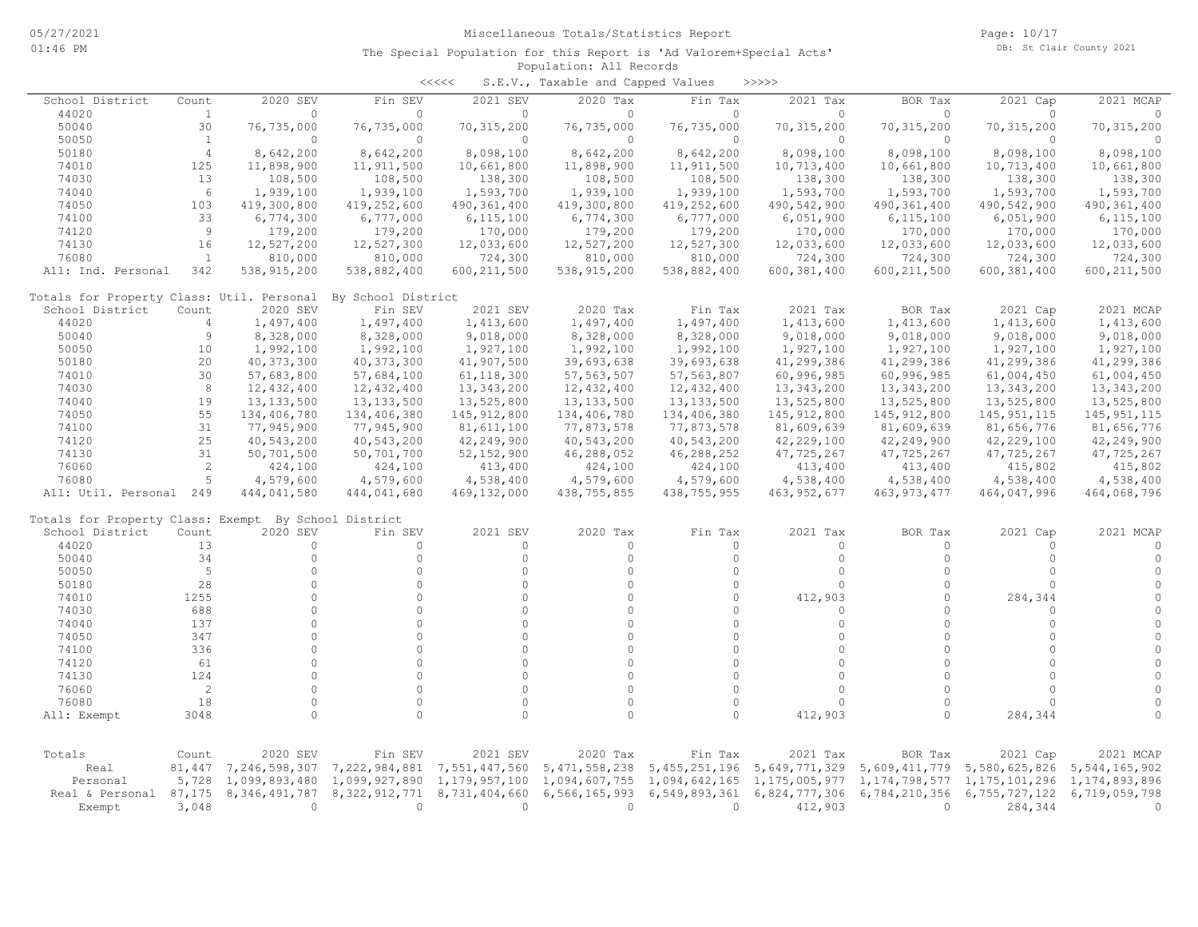|                                                      |                |                  |                    | <<<<          | S.E.V., Taxable and Capped Values |                  | >>>>>                             |               |                  |                  |
|------------------------------------------------------|----------------|------------------|--------------------|---------------|-----------------------------------|------------------|-----------------------------------|---------------|------------------|------------------|
| School District                                      | Count          | 2020 SEV         | Fin SEV            | 2021 SEV      | 2020 Tax                          | Fin Tax          | 2021 Tax                          | BOR Tax       | 2021 Cap         | 2021 MCAP        |
| 44020                                                | $\mathbf{1}$   | $\circ$          | $\circ$            | $\circ$       | $\Omega$                          | $\Omega$         | $\circ$                           | $\circ$       | 0                | $\Omega$         |
| 50040                                                | 30             | 76,735,000       | 76,735,000         | 70, 315, 200  | 76,735,000                        | 76,735,000       | 70, 315, 200                      | 70, 315, 200  | 70, 315, 200     | 70, 315, 200     |
| 50050                                                | <sup>1</sup>   | $\Omega$         | $\Omega$           | $\circ$       | $\Omega$                          | $\Omega$         | $\Omega$                          | $\Omega$      | $\Omega$         | $\Omega$         |
| 50180                                                | $\overline{4}$ | 8,642,200        | 8,642,200          | 8,098,100     | 8,642,200                         | 8,642,200        | 8,098,100                         | 8,098,100     | 8,098,100        | 8,098,100        |
| 74010                                                | 125            | 11,898,900       | 11,911,500         | 10,661,800    | 11,898,900                        | 11,911,500       | 10,713,400                        | 10,661,800    | 10,713,400       | 10,661,800       |
| 74030                                                | 13             | 108,500          | 108,500            | 138,300       | 108,500                           | 108,500          | 138,300                           | 138,300       | 138,300          | 138,300          |
| 74040                                                | 6              | 1,939,100        | 1,939,100          | 1,593,700     | 1,939,100                         | 1,939,100        | 1,593,700                         | 1,593,700     | 1,593,700        | 1,593,700        |
| 74050                                                | 103            | 419,300,800      | 419,252,600        | 490,361,400   | 419,300,800                       | 419,252,600      | 490,542,900                       | 490, 361, 400 | 490,542,900      | 490,361,400      |
| 74100                                                | 33             | 6,774,300        | 6,777,000          | 6, 115, 100   | 6,774,300                         | 6,777,000        | 6,051,900                         | 6, 115, 100   | 6,051,900        | 6, 115, 100      |
| 74120                                                | 9              | 179,200          | 179,200            | 170,000       | 179,200                           | 179,200          | 170,000                           | 170,000       | 170,000          | 170,000          |
| 74130                                                | 16             | 12,527,200       | 12,527,300         | 12,033,600    | 12,527,200                        | 12,527,300       | 12,033,600                        | 12,033,600    | 12,033,600       | 12,033,600       |
| 76080                                                | <sup>1</sup>   | 810,000          | 810,000            | 724,300       | 810,000                           | 810,000          | 724,300                           | 724,300       | 724,300          | 724,300          |
| All: Ind. Personal                                   | 342            | 538, 915, 200    | 538,882,400        | 600, 211, 500 | 538, 915, 200                     | 538,882,400      | 600, 381, 400                     | 600, 211, 500 | 600, 381, 400    | 600, 211, 500    |
| Totals for Property Class: Util. Personal            |                |                  | By School District |               |                                   |                  |                                   |               |                  |                  |
| School District                                      | Count          | 2020 SEV         | Fin SEV            | 2021 SEV      | 2020 Tax                          | Fin Tax          | 2021 Tax                          | BOR Tax       | 2021 Cap         | 2021 MCAP        |
| 44020                                                | $\overline{4}$ | 1,497,400        | 1,497,400          | 1,413,600     | 1,497,400                         | 1,497,400        | 1,413,600                         | 1,413,600     | 1,413,600        | 1,413,600        |
| 50040                                                | 9              | 8,328,000        | 8,328,000          | 9,018,000     | 8,328,000                         | 8,328,000        | 9,018,000                         | 9,018,000     | 9,018,000        | 9,018,000        |
| 50050                                                | 10             | 1,992,100        | 1,992,100          | 1,927,100     | 1,992,100                         | 1,992,100        | 1,927,100                         | 1,927,100     | 1,927,100        | 1,927,100        |
| 50180                                                | 20             | 40, 373, 300     | 40, 373, 300       | 41,907,500    | 39,693,638                        | 39,693,638       | 41,299,386                        | 41,299,386    | 41,299,386       | 41,299,386       |
| 74010                                                | 30             | 57,683,800       | 57,684,100         | 61, 118, 300  | 57, 563, 507                      | 57, 563, 807     | 60,996,985                        | 60,996,985    | 61,004,450       | 61,004,450       |
| 74030                                                | 8              | 12,432,400       | 12,432,400         | 13, 343, 200  | 12,432,400                        | 12, 432, 400     | 13, 343, 200                      | 13, 343, 200  | 13, 343, 200     | 13, 343, 200     |
| 74040                                                | 19             | 13, 133, 500     | 13, 133, 500       | 13,525,800    | 13, 133, 500                      | 13, 133, 500     | 13,525,800                        | 13,525,800    | 13,525,800       | 13,525,800       |
| 74050                                                | 55             | 134,406,780      | 134,406,380        | 145, 912, 800 | 134,406,780                       | 134,406,380      | 145, 912, 800                     | 145, 912, 800 | 145, 951, 115    | 145, 951, 115    |
| 74100                                                | 31             | 77,945,900       | 77,945,900         | 81,611,100    | 77,873,578                        | 77,873,578       | 81,609,639                        | 81,609,639    | 81,656,776       | 81,656,776       |
| 74120                                                | 25             | 40,543,200       | 40,543,200         | 42,249,900    | 40,543,200                        | 40,543,200       | 42,229,100                        | 42,249,900    | 42,229,100       | 42,249,900       |
| 74130                                                | 31             | 50,701,500       | 50,701,700         | 52, 152, 900  | 46,288,052                        | 46,288,252       | 47,725,267                        | 47,725,267    | 47,725,267       | 47,725,267       |
| 76060                                                | 2              | 424,100          | 424,100            | 413,400       | 424,100                           | 424,100          | 413,400                           | 413,400       | 415,802          | 415,802          |
| 76080                                                | 5              | 4,579,600        | 4,579,600          | 4,538,400     | 4,579,600                         | 4,579,600        | 4,538,400                         | 4,538,400     | 4,538,400        | 4,538,400        |
| All: Util. Personal 249                              |                | 444,041,580      | 444,041,680        | 469, 132, 000 | 438,755,855                       | 438,755,955      | 463, 952, 677                     | 463, 973, 477 | 464,047,996      | 464,068,796      |
| Totals for Property Class: Exempt By School District |                |                  |                    |               |                                   |                  |                                   |               |                  |                  |
| School District                                      | Count          | 2020 SEV         | Fin SEV            | 2021 SEV      | 2020 Tax                          | Fin Tax          | 2021 Tax                          | BOR Tax       | 2021 Cap         | 2021 MCAP        |
| 44020                                                | 13             | $\circ$          | $\circ$            | $\circ$       | $\Omega$                          | 0                | $\circ$                           | 0             | $\circ$          | 0                |
| 50040                                                | 34             | $\circ$          | $\circ$            | $\circ$       | $\Omega$                          | $\circ$          | $\circ$                           | $\circ$       | $\circ$          | $\circ$          |
| 50050                                                | 5              | $\Omega$         | $\Omega$           | $\Omega$      | $\Omega$                          | $\Omega$         | $\Omega$                          | $\Omega$      | $\Omega$         | $\Omega$         |
| 50180                                                | 28             | $\Omega$         | $\Omega$           | $\Omega$      | $\Omega$                          | $\Omega$         | $\Omega$                          | $\Omega$      | $\Omega$         | $\Omega$         |
| 74010                                                | 1255           | $\Omega$         | $\Omega$           | $\Omega$      | $\Omega$                          | $\Omega$         | 412,903                           | $\Omega$      | 284,344          | $\Omega$         |
| 74030                                                | 688            | $\Omega$         | $\Omega$           | $\Omega$      | $\Omega$                          | $\circ$          | $\Omega$                          | $\circ$       | $\Omega$         | $\mathbf{0}$     |
| 74040                                                | 137            | $\Omega$         | $\Omega$           | $\Omega$      | $\Omega$                          | $\Omega$         | $\Omega$                          | $\Omega$      | $\circ$          | $\mathbf{0}$     |
| 74050                                                | 347            | $\circ$          | $\Omega$           | $\circ$       | $\Omega$                          | $\Omega$         | $\circ$                           | $\circ$       | $\circ$          | $\circ$          |
| 74100                                                | 336            | $\circ$          | $\Omega$           | $\Omega$      | $\Omega$                          | $\Omega$         | $\Omega$                          | $\Omega$      | $\Omega$         | $\circ$          |
| 74120                                                | 61             | $\Omega$         | $\cap$             | $\Omega$      | $\cap$                            | $\Omega$         | $\circ$                           | $\Omega$      | $\cap$           | $\mathbf{0}$     |
| 74130                                                | 124            | $\Omega$         | $\Omega$           | $\Omega$      | $\Omega$                          | $\Omega$         | $\circ$                           | $\Omega$      | $\circ$          | $\circ$          |
| 76060                                                | $\overline{c}$ | $\Omega$         | $\Omega$           | $\Omega$      | $\Omega$                          | $\Omega$         | $\Omega$                          | $\Omega$      | $\Omega$         | $\mathbf{0}$     |
| 76080                                                | 18             | $\Omega$         | $\Omega$           | $\Omega$      | $\Omega$                          | $\Omega$         | $\Omega$                          | $\Omega$      | $\Omega$         | $\Omega$         |
|                                                      |                | $\circ$          | $\Omega$           | $\Omega$      | $\Omega$                          | $\circ$          |                                   | 0             |                  | $\Omega$         |
| All: Exempt                                          | 3048           |                  |                    |               |                                   |                  | 412,903                           |               | 284,344          |                  |
| Totals                                               | Count          | 2020 SEV         | Fin SEV            | 2021 SEV      | 2020 Tax                          | Fin Tax          | 2021 Tax                          | BOR Tax       | 2021 Cap         | 2021 MCAP        |
| Real                                                 | 81,447         | 7,246,598,307    | 7,222,984,881      | 7,551,447,560 | 5, 471, 558, 238                  | 5, 455, 251, 196 | 5,649,771,329                     | 5,609,411,779 | 5,580,625,826    | 5, 544, 165, 902 |
| Personal                                             | 5,728          | 1,099,893,480    | 1,099,927,890      | 1,179,957,100 | 1,094,607,755                     | 1,094,642,165    | 1, 175, 005, 977 1, 174, 798, 577 |               | 1, 175, 101, 296 | 1,174,893,896    |
| Real & Personal                                      | 87,175         | 8, 346, 491, 787 | 8,322,912,771      | 8,731,404,660 | 6,566,165,993                     | 6,549,893,361    | 6,824,777,306                     | 6,784,210,356 | 6,755,727,122    | 6,719,059,798    |
| Exempt                                               | 3,048          | $\circ$          | $\circ$            | $\circ$       | $\Omega$                          | 0                | 412,903                           | $\Omega$      | 284,344          | $\Omega$         |
|                                                      |                |                  |                    |               |                                   |                  |                                   |               |                  |                  |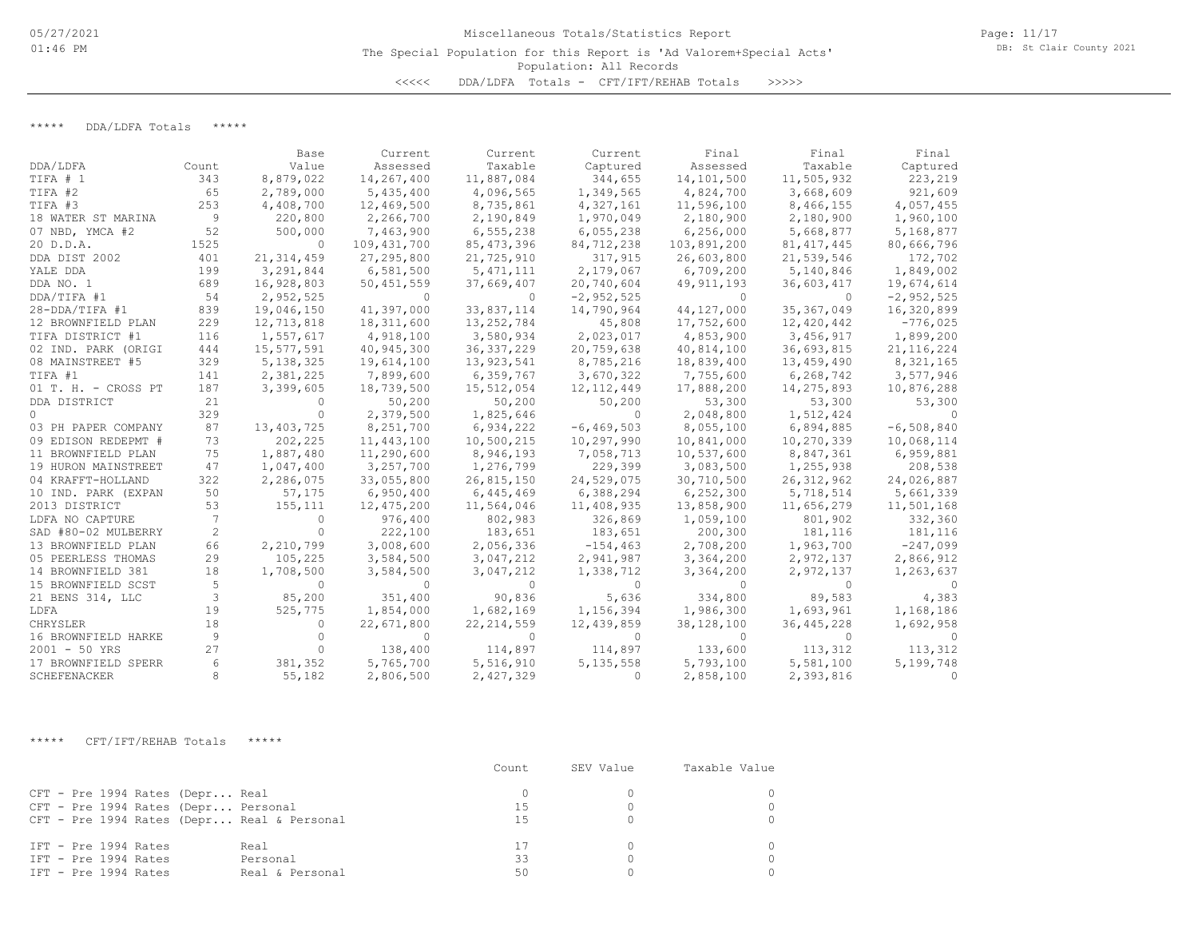## Population: All Records The Special Population for this Report is 'Ad Valorem+Special Acts' <<<<< DDA/LDFA Totals - CFT/IFT/REHAB Totals >>>>>

\*\*\*\*\* DDA/LDFA Totals \*\*\*\*\*

|                     |              | Base         | Current       | Current      | Current        | Final        | Final        | Final        |
|---------------------|--------------|--------------|---------------|--------------|----------------|--------------|--------------|--------------|
| DDA/LDFA            | Count        | Value        | Assessed      | Taxable      | Captured       | Assessed     | Taxable      | Captured     |
| TIFA # 1            | 343          | 8,879,022    | 14,267,400    | 11,887,084   | 344,655        | 14,101,500   | 11,505,932   | 223,219      |
| TIFA #2             | 65           | 2,789,000    | 5,435,400     | 4,096,565    | 1,349,565      | 4,824,700    | 3,668,609    | 921,609      |
| TIFA #3             | 253          | 4,408,700    | 12,469,500    | 8,735,861    | 4,327,161      | 11,596,100   | 8,466,155    | 4,057,455    |
| 18 WATER ST MARINA  | 9            | 220,800      | 2,266,700     | 2,190,849    | 1,970,049      | 2,180,900    | 2,180,900    | 1,960,100    |
| 07 NBD, YMCA #2     | 52           | 500,000      | 7,463,900     | 6,555,238    | 6,055,238      | 6,256,000    | 5,668,877    | 5,168,877    |
| 20 D.D.A.           | 1525         | $\Omega$     | 109, 431, 700 | 85, 473, 396 | 84,712,238     | 103,891,200  | 81, 417, 445 | 80,666,796   |
| DDA DIST 2002       | 401          | 21, 314, 459 | 27, 295, 800  | 21,725,910   | 317,915        | 26,603,800   | 21,539,546   | 172,702      |
| YALE DDA            | 199          | 3,291,844    | 6,581,500     | 5, 471, 111  | 2,179,067      | 6,709,200    | 5,140,846    | 1,849,002    |
| DDA NO. 1           | 689          | 16,928,803   | 50,451,559    | 37,669,407   | 20,740,604     | 49, 911, 193 | 36,603,417   | 19,674,614   |
| DDA/TIFA #1         | 54           | 2,952,525    | $\Omega$      | $\Omega$     | $-2,952,525$   | $\Omega$     | $\Omega$     | $-2,952,525$ |
| 28-DDA/TIFA #1      | 839          | 19,046,150   | 41,397,000    | 33,837,114   | 14,790,964     | 44,127,000   | 35, 367, 049 | 16,320,899   |
| 12 BROWNFIELD PLAN  | 229          | 12,713,818   | 18,311,600    | 13,252,784   | 45,808         | 17,752,600   | 12,420,442   | $-776,025$   |
| TIFA DISTRICT #1    | 116          | 1,557,617    | 4,918,100     | 3,580,934    | 2,023,017      | 4,853,900    | 3,456,917    | 1,899,200    |
| 02 IND. PARK (ORIGI | 444          | 15,577,591   | 40,945,300    | 36, 337, 229 | 20,759,638     | 40,814,100   | 36,693,815   | 21, 116, 224 |
| 08 MAINSTREET #5    | 329          | 5, 138, 325  | 19,614,100    | 13,923,541   | 8,785,216      | 18,839,400   | 13,459,490   | 8,321,165    |
| TIFA #1             | 141          | 2,381,225    | 7,899,600     | 6,359,767    | 3,670,322      | 7,755,600    | 6,268,742    | 3,577,946    |
| 01 T. H. - CROSS PT | 187          | 3,399,605    | 18,739,500    | 15,512,054   | 12, 112, 449   | 17,888,200   | 14,275,893   | 10,876,288   |
| DDA DISTRICT        | 21           | $\Omega$     | 50,200        | 50,200       | 50,200         | 53,300       | 53,300       | 53,300       |
| $\Omega$            | 329          | $\Omega$     | 2,379,500     | 1,825,646    | $\Omega$       | 2,048,800    | 1,512,424    |              |
| 03 PH PAPER COMPANY | 87           | 13,403,725   | 8,251,700     | 6,934,222    | $-6, 469, 503$ | 8,055,100    | 6,894,885    | $-6,508,840$ |
| 09 EDISON REDEPMT # | 73           | 202,225      | 11,443,100    | 10,500,215   | 10,297,990     | 10,841,000   | 10,270,339   | 10,068,114   |
| 11 BROWNFIELD PLAN  | 75           | 1,887,480    | 11,290,600    | 8,946,193    | 7,058,713      | 10,537,600   | 8,847,361    | 6,959,881    |
| 19 HURON MAINSTREET | 47           | 1,047,400    | 3,257,700     | 1,276,799    | 229,399        | 3,083,500    | 1,255,938    | 208,538      |
| 04 KRAFFT-HOLLAND   | 322          | 2,286,075    | 33,055,800    | 26,815,150   | 24,529,075     | 30,710,500   | 26, 312, 962 | 24,026,887   |
| 10 IND. PARK (EXPAN | 50           | 57,175       | 6,950,400     | 6,445,469    | 6,388,294      | 6, 252, 300  | 5,718,514    | 5,661,339    |
| 2013 DISTRICT       | 53           | 155,111      | 12,475,200    | 11,564,046   | 11,408,935     | 13,858,900   | 11,656,279   | 11,501,168   |
| LDFA NO CAPTURE     | 7            | 0            | 976,400       | 802,983      | 326,869        | 1,059,100    | 801,902      | 332,360      |
| SAD #80-02 MULBERRY | $\mathbf{2}$ | $\Omega$     | 222,100       | 183,651      | 183,651        | 200,300      | 181,116      | 181,116      |
| 13 BROWNFIELD PLAN  | 66           | 2,210,799    | 3,008,600     | 2,056,336    | $-154, 463$    | 2,708,200    | 1,963,700    | $-247,099$   |
| 05 PEERLESS THOMAS  | 29           | 105,225      | 3,584,500     | 3,047,212    | 2,941,987      | 3,364,200    | 2,972,137    | 2,866,912    |
| 14 BROWNFIELD 381   | 18           | 1,708,500    | 3,584,500     | 3,047,212    | 1,338,712      | 3,364,200    | 2,972,137    | 1,263,637    |
| 15 BROWNFIELD SCST  | 5            | $\Omega$     | 0             | $\Omega$     | $\Omega$       | $\Omega$     | $\Omega$     |              |
| 21 BENS 314, LLC    | 3            | 85,200       | 351,400       | 90,836       | 5,636          | 334,800      | 89,583       | 4,383        |
| LDFA                | 19           | 525,775      | 1,854,000     | 1,682,169    | 1,156,394      | 1,986,300    | 1,693,961    | 1,168,186    |
| CHRYSLER            | 18           | $\Omega$     | 22,671,800    | 22, 214, 559 | 12,439,859     | 38,128,100   | 36, 445, 228 | 1,692,958    |
| 16 BROWNFIELD HARKE | 9            |              | $\Omega$      | $\Omega$     | $\Omega$       | $\Omega$     |              |              |
| $2001 - 50$ YRS     | 27           | $\Omega$     | 138,400       | 114,897      | 114,897        | 133,600      | 113,312      | 113,312      |
| 17 BROWNFIELD SPERR | 6            | 381,352      | 5,765,700     | 5,516,910    | 5, 135, 558    | 5,793,100    | 5,581,100    | 5,199,748    |
| SCHEFENACKER        | 8            | 55,182       | 2,806,500     | 2,427,329    | $\Omega$       | 2,858,100    | 2,393,816    | $\Omega$     |

\*\*\*\*\* CFT/IFT/REHAB Totals \*\*\*\*\*

|                                                                                                                      | Count.   | SEV Value | Taxable Value |
|----------------------------------------------------------------------------------------------------------------------|----------|-----------|---------------|
| CFT - Pre 1994 Rates (Depr Real<br>CFT - Pre 1994 Rates (Depr Personal<br>CFT - Pre 1994 Rates (Depr Real & Personal | 15<br>15 |           |               |
| IFT - Pre 1994 Rates<br>Real<br>IFT - Pre 1994 Rates<br>Personal<br>IFT - Pre 1994 Rates<br>Real & Personal          | 33<br>50 |           |               |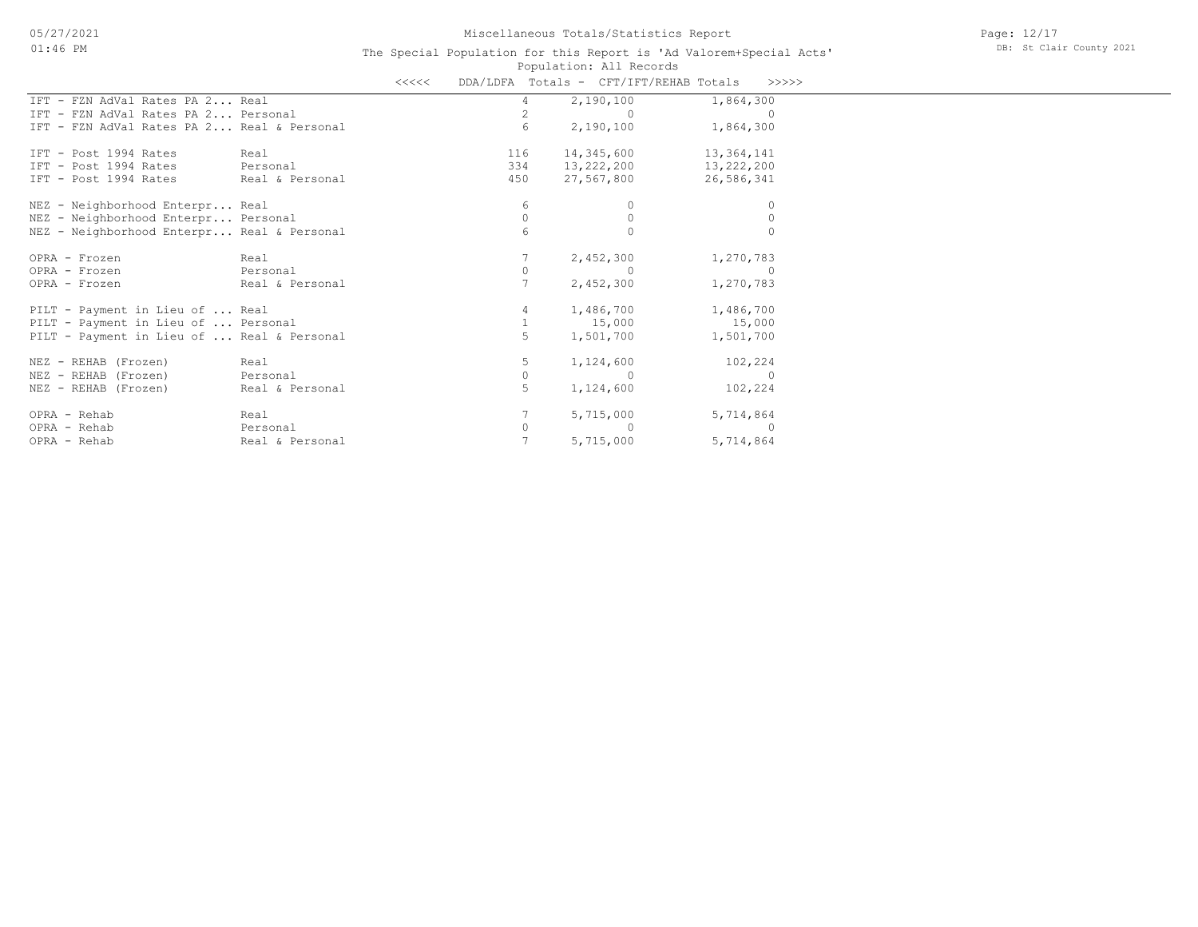|                                            |                 | <<<< |                | DDA/LDFA Totals - CFT/IFT/REHAB Totals |            | >>>>>     |
|--------------------------------------------|-----------------|------|----------------|----------------------------------------|------------|-----------|
| IFT - FZN AdVal Rates PA 2 Real            |                 |      | 4              | 2,190,100                              | 1,864,300  |           |
| IFT - FZN AdVal Rates PA 2 Personal        |                 |      | $\overline{2}$ | $\sim$ 0                               |            | $\cap$    |
| IFT - FZN AdVal Rates PA 2 Real & Personal |                 |      | 6              | 2,190,100                              | 1,864,300  |           |
| IFT - Post 1994 Rates                      | Real            |      | 116            | 14,345,600                             | 13,364,141 |           |
| IFT - Post 1994 Rates                      | Personal        |      | 334            | 13,222,200                             | 13,222,200 |           |
| IFT - Post 1994 Rates                      | Real & Personal |      | 450            | 27,567,800                             | 26,586,341 |           |
| NEZ - Neighborhood Enterpr Real            |                 |      | 6              | $\Omega$                               |            | 0         |
| NEZ - Neighborhood Enterpr Personal        |                 |      | $\Omega$       | $\Omega$                               |            | $\Omega$  |
| NEZ - Neighborhood Enterpr Real & Personal |                 |      | 6              | $\Omega$                               |            | $\Omega$  |
| OPRA - Frozen                              | Real            |      |                | 2,452,300                              | 1,270,783  |           |
| OPRA - Frozen                              | Personal        |      | $\circ$        | $\Omega$                               |            | $\Omega$  |
| OPRA - Frozen                              | Real & Personal |      |                | 2,452,300                              | 1,270,783  |           |
| PILT - Payment in Lieu of  Real            |                 |      | 4              | 1,486,700                              | 1,486,700  |           |
| PILT - Payment in Lieu of  Personal        |                 |      | $\mathbf{1}$   | 15,000                                 | 15,000     |           |
| PILT - Payment in Lieu of  Real & Personal |                 |      | 5              | 1,501,700                              | 1,501,700  |           |
| NEZ - REHAB (Frozen)                       | Real            |      | 5              | 1,124,600                              | 102,224    |           |
| NEZ - REHAB (Frozen)                       | Personal        |      | 0              | $\cap$                                 |            | $\Omega$  |
| NEZ - REHAB (Frozen)                       | Real & Personal |      | 5              | 1,124,600                              | 102,224    |           |
| OPRA - Rehab                               | Real            |      |                | 5,715,000                              | 5,714,864  |           |
| OPRA - Rehab                               | Personal        |      | 0              | $\Omega$                               |            | $\bigcap$ |
| OPRA - Rehab                               | Real & Personal |      |                | 5,715,000                              | 5,714,864  |           |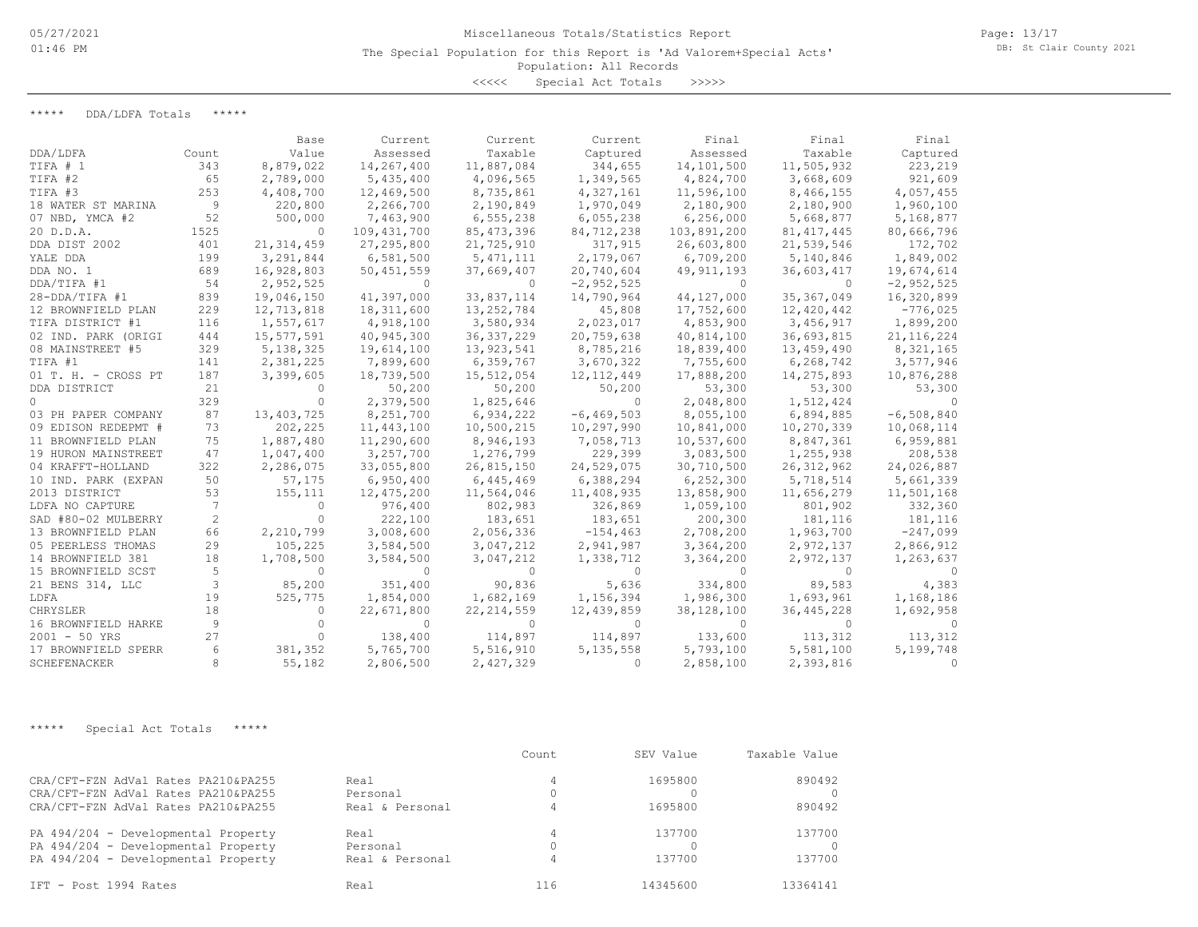<<<<< Special Act Totals >>>>>

\*\*\*\*\* DDA/LDFA Totals \*\*\*\*\*

|                     |       | Base         | Current      | Current      | Current        | Final        | Final        | Final        |
|---------------------|-------|--------------|--------------|--------------|----------------|--------------|--------------|--------------|
| DDA/LDFA            | Count | Value        | Assessed     | Taxable      | Captured       | Assessed     | Taxable      | Captured     |
| TIFA # 1            | 343   | 8,879,022    | 14,267,400   | 11,887,084   | 344,655        | 14,101,500   | 11,505,932   | 223,219      |
| TIFA #2             | 65    | 2,789,000    | 5,435,400    | 4,096,565    | 1,349,565      | 4,824,700    | 3,668,609    | 921,609      |
| TIFA #3             | 253   | 4,408,700    | 12,469,500   | 8,735,861    | 4,327,161      | 11,596,100   | 8,466,155    | 4,057,455    |
| 18 WATER ST MARINA  | 9     | 220,800      | 2,266,700    | 2,190,849    | 1,970,049      | 2,180,900    | 2,180,900    | 1,960,100    |
| 07 NBD, YMCA #2     | 52    | 500,000      | 7,463,900    | 6, 555, 238  | 6,055,238      | 6,256,000    | 5,668,877    | 5,168,877    |
| 20 D.D.A.           | 1525  | $\Omega$     | 109,431,700  | 85, 473, 396 | 84,712,238     | 103,891,200  | 81, 417, 445 | 80,666,796   |
| DDA DIST 2002       | 401   | 21, 314, 459 | 27, 295, 800 | 21,725,910   | 317,915        | 26,603,800   | 21,539,546   | 172,702      |
| YALE DDA            | 199   | 3,291,844    | 6,581,500    | 5, 471, 111  | 2,179,067      | 6,709,200    | 5,140,846    | 1,849,002    |
| DDA NO. 1           | 689   | 16,928,803   | 50,451,559   | 37,669,407   | 20,740,604     | 49, 911, 193 | 36,603,417   | 19,674,614   |
| DDA/TIFA #1         | 54    | 2,952,525    | $\Omega$     | $\Omega$     | $-2,952,525$   | $\Omega$     | $\Omega$     | $-2,952,525$ |
| $28 - DDA/TIFA$ #1  | 839   | 19,046,150   | 41,397,000   | 33,837,114   | 14,790,964     | 44,127,000   | 35, 367, 049 | 16,320,899   |
| 12 BROWNFIELD PLAN  | 229   | 12,713,818   | 18, 311, 600 | 13,252,784   | 45,808         | 17,752,600   | 12,420,442   | $-776,025$   |
| TIFA DISTRICT #1    | 116   | 1,557,617    | 4,918,100    | 3,580,934    | 2,023,017      | 4,853,900    | 3,456,917    | 1,899,200    |
| 02 IND. PARK (ORIGI | 444   | 15,577,591   | 40,945,300   | 36, 337, 229 | 20,759,638     | 40,814,100   | 36,693,815   | 21, 116, 224 |
| 08 MAINSTREET #5    | 329   | 5, 138, 325  | 19,614,100   | 13,923,541   | 8,785,216      | 18,839,400   | 13,459,490   | 8,321,165    |
| TIFA #1             | 141   | 2,381,225    | 7,899,600    | 6,359,767    | 3,670,322      | 7,755,600    | 6,268,742    | 3,577,946    |
| 01 T. H. - CROSS PT | 187   | 3,399,605    | 18,739,500   | 15,512,054   | 12, 112, 449   | 17,888,200   | 14,275,893   | 10,876,288   |
| DDA DISTRICT        | 21    | 0            | 50,200       | 50,200       | 50,200         | 53,300       | 53,300       | 53,300       |
| $\Omega$            | 329   | $\Omega$     | 2,379,500    | 1,825,646    | $\Omega$       | 2,048,800    | 1,512,424    |              |
| 03 PH PAPER COMPANY | 87    | 13,403,725   | 8,251,700    | 6,934,222    | $-6, 469, 503$ | 8,055,100    | 6,894,885    | $-6,508,840$ |
| 09 EDISON REDEPMT # | 73    | 202,225      | 11,443,100   | 10,500,215   | 10,297,990     | 10,841,000   | 10,270,339   | 10,068,114   |
| 11 BROWNFIELD PLAN  | 75    | 1,887,480    | 11,290,600   | 8,946,193    | 7,058,713      | 10,537,600   | 8,847,361    | 6,959,881    |
| 19 HURON MAINSTREET | 47    | 1,047,400    | 3,257,700    | 1,276,799    | 229,399        | 3,083,500    | 1,255,938    | 208,538      |
| 04 KRAFFT-HOLLAND   | 322   | 2,286,075    | 33,055,800   | 26,815,150   | 24,529,075     | 30,710,500   | 26, 312, 962 | 24,026,887   |
| 10 IND. PARK (EXPAN | 50    | 57,175       | 6,950,400    | 6,445,469    | 6,388,294      | 6, 252, 300  | 5,718,514    | 5,661,339    |
| 2013 DISTRICT       | 53    | 155,111      | 12,475,200   | 11,564,046   | 11,408,935     | 13,858,900   | 11,656,279   | 11,501,168   |
| LDFA NO CAPTURE     | 7     | $\Omega$     | 976,400      | 802,983      | 326,869        | 1,059,100    | 801,902      | 332,360      |
| SAD #80-02 MULBERRY | 2     | $\Omega$     | 222,100      | 183,651      | 183,651        | 200,300      | 181,116      | 181,116      |
| 13 BROWNFIELD PLAN  | 66    | 2,210,799    | 3,008,600    | 2,056,336    | $-154, 463$    | 2,708,200    | 1,963,700    | $-247,099$   |
| 05 PEERLESS THOMAS  | 29    | 105,225      | 3,584,500    | 3,047,212    | 2,941,987      | 3,364,200    | 2,972,137    | 2,866,912    |
| 14 BROWNFIELD 381   | 18    | 1,708,500    | 3,584,500    | 3,047,212    | 1,338,712      | 3,364,200    | 2,972,137    | 1,263,637    |
| 15 BROWNFIELD SCST  | 5     | $\Omega$     | $\Omega$     | $\Omega$     | $\Omega$       | $\bigcap$    | $\Omega$     |              |
| 21 BENS 314, LLC    | 3     | 85,200       | 351,400      | 90,836       | 5,636          | 334,800      | 89,583       | 4,383        |
| LDFA                | 19    | 525,775      | 1,854,000    | 1,682,169    | 1,156,394      | 1,986,300    | 1,693,961    | 1,168,186    |
| CHRYSLER            | 18    | 0            | 22,671,800   | 22, 214, 559 | 12,439,859     | 38,128,100   | 36, 445, 228 | 1,692,958    |
| 16 BROWNFIELD HARKE | 9     | ∩            |              | 0            | $\Omega$       | $\Omega$     | $\Omega$     |              |
| $2001 - 50$ YRS     | 27    | $\Omega$     | 138,400      | 114,897      | 114,897        | 133,600      | 113,312      | 113,312      |
| 17 BROWNFIELD SPERR | 6     | 381,352      | 5,765,700    | 5,516,910    | 5, 135, 558    | 5,793,100    | 5,581,100    | 5,199,748    |
| SCHEFENACKER        | 8     | 55,182       | 2,806,500    | 2,427,329    | $\Omega$       | 2,858,100    | 2,393,816    | $\Omega$     |

\*\*\*\*\* Special Act Totals \*\*\*\*\*

|                                     |                 | Count | SEV Value | Taxable Value |
|-------------------------------------|-----------------|-------|-----------|---------------|
| CRA/CFT-FZN AdVal Rates PA210&PA255 | Real            | 4     | 1695800   | 890492        |
| CRA/CFT-FZN AdVal Rates PA210&PA255 | Personal        | 0     |           |               |
| CRA/CFT-FZN AdVal Rates PA210&PA255 | Real & Personal | 4     | 1695800   | 890492        |
| PA 494/204 - Developmental Property | Real            | 4     | 137700    | 137700        |
| PA 494/204 - Developmental Property | Personal        | 0     |           |               |
| PA 494/204 - Developmental Property | Real & Personal | 4     | 137700    | 137700        |
| IFT - Post 1994 Rates               | Real            | 116   | 14345600  | 13364141      |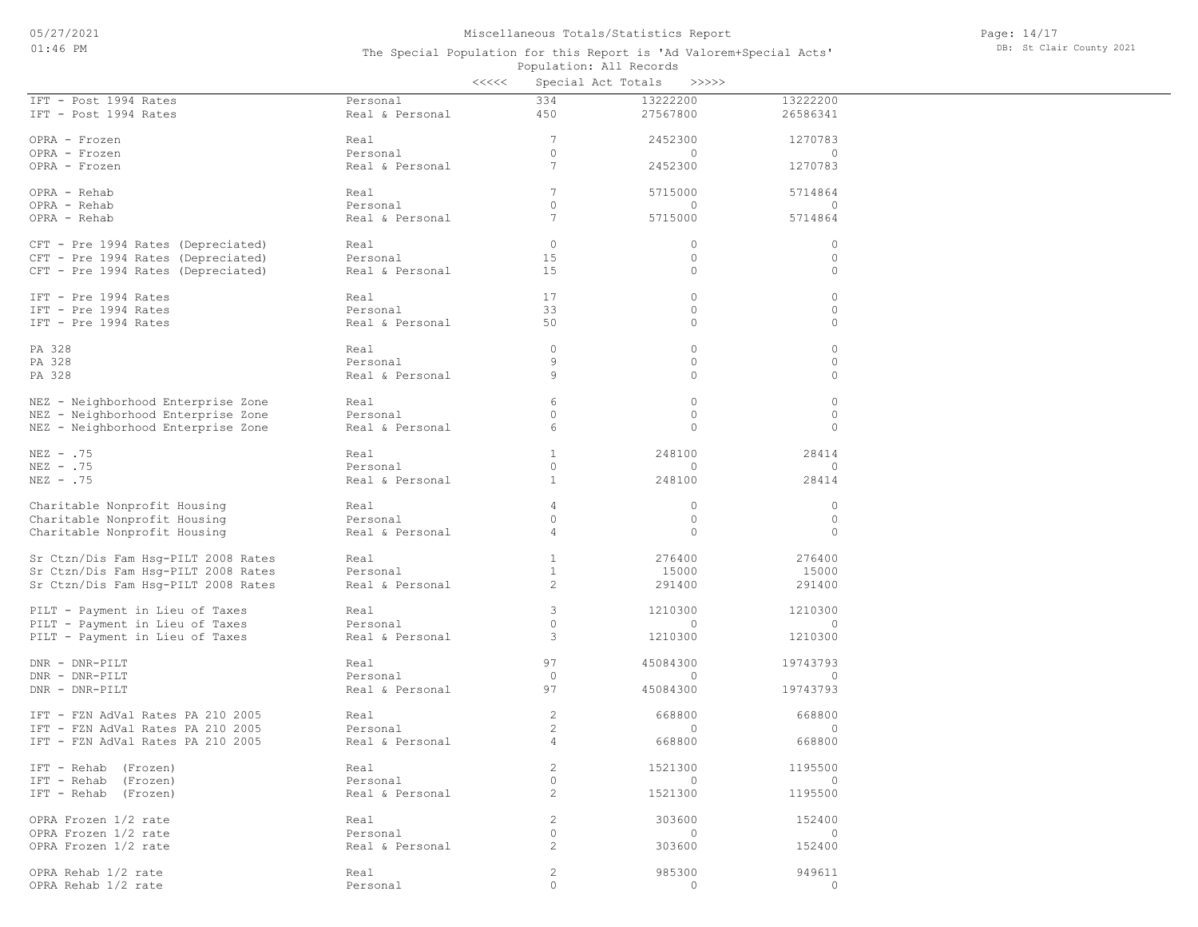|                                                                          |                             | <<<<                                | Special Act Totals<br>>>>>> |                    |
|--------------------------------------------------------------------------|-----------------------------|-------------------------------------|-----------------------------|--------------------|
| IFT - Post 1994 Rates                                                    | Personal                    | 334                                 | 13222200                    | 13222200           |
| IFT - Post 1994 Rates                                                    | Real & Personal             | 450                                 | 27567800                    | 26586341           |
| OPRA - Frozen                                                            | Real                        | $7\phantom{.0}$                     | 2452300                     | 1270783            |
| OPRA - Frozen                                                            | Personal                    | $\circ$                             | 0                           | $\circ$            |
| OPRA - Frozen                                                            | Real & Personal             | 7                                   | 2452300                     | 1270783            |
|                                                                          |                             |                                     |                             |                    |
| OPRA - Rehab                                                             | Real                        | 7                                   | 5715000                     | 5714864            |
| OPRA - Rehab                                                             | Personal                    | $\circ$                             | 0                           | $\circ$            |
| OPRA - Rehab                                                             | Real & Personal             | $7\phantom{.0}$                     | 5715000                     | 5714864            |
|                                                                          |                             |                                     |                             |                    |
| CFT - Pre 1994 Rates (Depreciated)                                       | Real<br>Personal            | $\mathbf{0}$<br>15                  | 0<br>0                      | $\circ$            |
| CFT - Pre 1994 Rates (Depreciated)<br>CFT - Pre 1994 Rates (Depreciated) | Real & Personal             | 15                                  | 0                           | $\circ$<br>$\circ$ |
|                                                                          |                             |                                     |                             |                    |
| IFT - Pre 1994 Rates                                                     | Real                        | 17                                  | 0                           | $\circ$            |
| IFT - Pre 1994 Rates                                                     | Personal                    | 33                                  | 0                           | $\circ$            |
| IFT - Pre 1994 Rates                                                     | Real & Personal             | 50                                  | 0                           | $\circ$            |
|                                                                          |                             |                                     |                             |                    |
| PA 328                                                                   | Real                        | $\circ$                             | 0                           | $\circ$            |
| PA 328                                                                   | Personal                    | 9                                   | 0                           | $\circ$            |
| PA 328                                                                   | Real & Personal             | 9                                   | 0                           | $\circ$            |
| NEZ - Neighborhood Enterprise Zone                                       | Real                        | 6                                   | 0                           | $\circ$            |
| NEZ - Neighborhood Enterprise Zone                                       | Personal                    | 0                                   | 0                           | $\circ$            |
| NEZ - Neighborhood Enterprise Zone                                       | Real & Personal             | 6                                   | 0                           | $\circ$            |
|                                                                          |                             |                                     |                             |                    |
| $NEZ - .75$                                                              | Real                        | 1                                   | 248100                      | 28414              |
| $NEZ - .75$                                                              | Personal                    | $\circ$                             | 0                           | $\circ$            |
| $NEZ - .75$                                                              | Real & Personal             | $\mathbf{1}$                        | 248100                      | 28414              |
| Charitable Nonprofit Housing                                             | Real                        | 4                                   | 0                           | $\circ$            |
| Charitable Nonprofit Housing                                             | Personal                    | 0                                   | 0                           | $\circ$            |
| Charitable Nonprofit Housing                                             | Real & Personal             | 4                                   | 0                           | $\circ$            |
|                                                                          |                             |                                     |                             |                    |
| Sr Ctzn/Dis Fam Hsg-PILT 2008 Rates                                      | Real                        | $\mathbf{1}$                        | 276400                      | 276400             |
| Sr Ctzn/Dis Fam Hsg-PILT 2008 Rates                                      | Personal                    | $\mathbf{1}$                        | 15000                       | 15000              |
| Sr Ctzn/Dis Fam Hsg-PILT 2008 Rates                                      | Real & Personal             | 2                                   | 291400                      | 291400             |
|                                                                          |                             |                                     |                             |                    |
| PILT - Payment in Lieu of Taxes                                          | Real                        | 3<br>$\circ$                        | 1210300                     | 1210300            |
| PILT - Payment in Lieu of Taxes                                          | Personal<br>Real & Personal | 3                                   | $\mathbf{0}$<br>1210300     | $\circ$<br>1210300 |
| PILT - Payment in Lieu of Taxes                                          |                             |                                     |                             |                    |
| DNR - DNR-PILT                                                           | Real                        | 97                                  | 45084300                    | 19743793           |
| DNR - DNR-PILT                                                           | Personal                    | $\circ$                             | 0                           | $\circ$            |
| DNR - DNR-PILT                                                           | Real & Personal             | 97                                  | 45084300                    | 19743793           |
|                                                                          |                             |                                     |                             |                    |
| IFT - FZN AdVal Rates PA 210 2005                                        | Real                        | $\overline{c}$                      | 668800                      | 668800             |
| IFT - FZN AdVal Rates PA 210 2005                                        | Personal                    | $\mathbf{2}$                        | 0                           | $\mathbf{0}$       |
| IFT - FZN AdVal Rates PA 210 2005                                        | Real & Personal             | $\overline{4}$                      | 668800                      | 668800             |
| IFT - Rehab (Frozen)                                                     | Real                        | $\overline{c}$                      | 1521300                     | 1195500            |
| IFT - Rehab (Frozen)                                                     | Personal                    | $\circ$                             | $\mathbf{0}$                | $\mathbf{0}$       |
| IFT - Rehab (Frozen)                                                     | Real & Personal             | 2                                   | 1521300                     | 1195500            |
|                                                                          |                             |                                     |                             |                    |
| OPRA Frozen 1/2 rate                                                     | Real                        | 2                                   | 303600                      | 152400             |
| OPRA Frozen 1/2 rate                                                     | Personal                    | $\circ$                             | $\circ$                     | $\circ$            |
| OPRA Frozen 1/2 rate                                                     | Real & Personal             | 2                                   | 303600                      | 152400             |
|                                                                          |                             |                                     |                             |                    |
| OPRA Rehab 1/2 rate                                                      | Real                        | $\mathbf{2}$<br>$\mathsf{O}\xspace$ | 985300<br>$\circ$           | 949611<br>$\circ$  |
| OPRA Rehab 1/2 rate                                                      | Personal                    |                                     |                             |                    |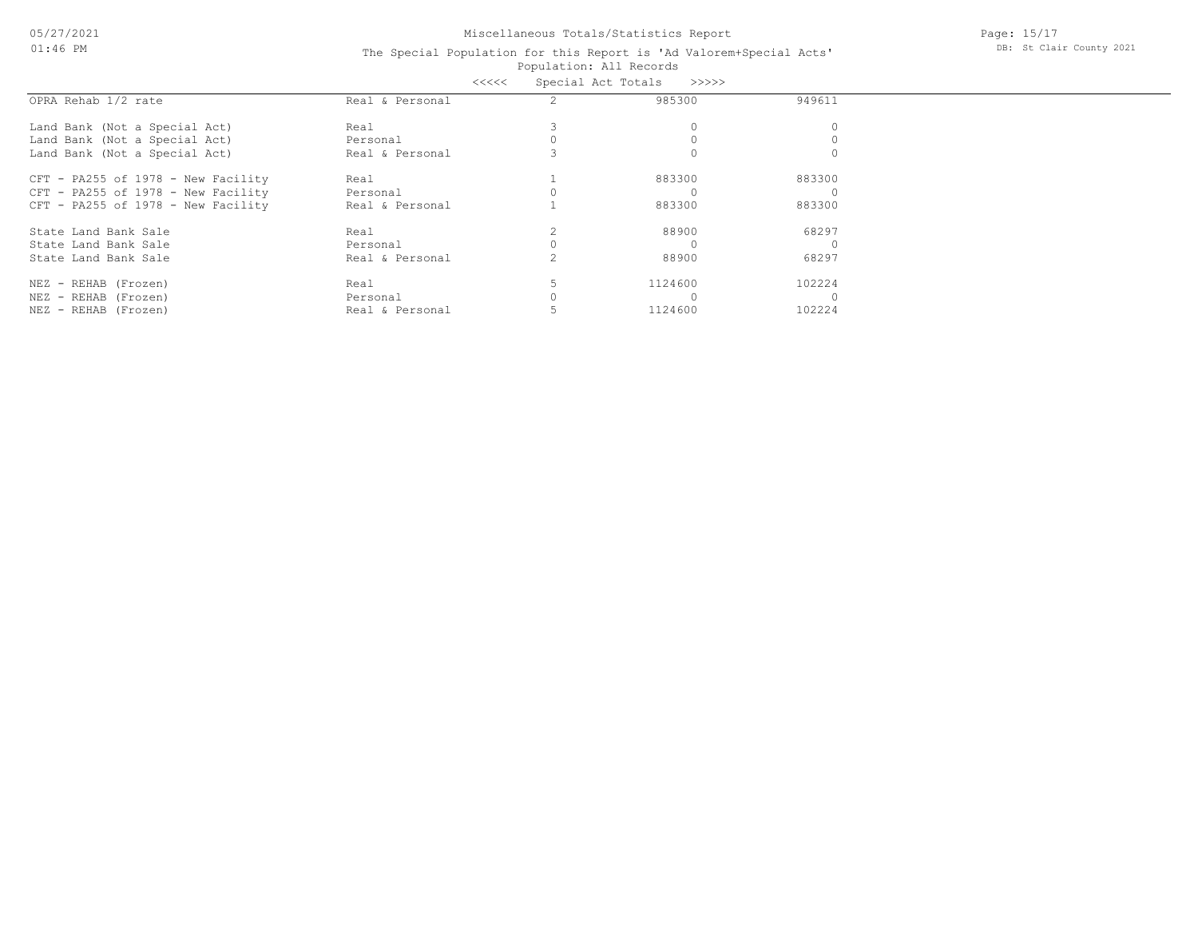05/27/2021 01:46 PM

## Miscellaneous Totals/Statistics Report

Page: 15/17 DB: St Clair County 2021

#### Population: All Records The Special Population for this Report is 'Ad Valorem+Special Acts' <<<<< Special Act Totals >>>>>

|                                    | くくくくく           | Special ACT TOTAIS |        |
|------------------------------------|-----------------|--------------------|--------|
| OPRA Rehab 1/2 rate                | Real & Personal | 985300             | 949611 |
| Land Bank (Not a Special Act)      | Real            |                    |        |
| Land Bank (Not a Special Act)      | Personal        |                    |        |
| Land Bank (Not a Special Act)      | Real & Personal |                    |        |
| CFT - PA255 of 1978 - New Facility | Real            | 883300             | 883300 |
| CFT - PA255 of 1978 - New Facility | Personal        |                    |        |
| CFT - PA255 of 1978 - New Facility | Real & Personal | 883300             | 883300 |
| State Land Bank Sale               | Real            | 88900              | 68297  |
| State Land Bank Sale               | Personal        |                    |        |
| State Land Bank Sale               | Real & Personal | 88900              | 68297  |
| NEZ - REHAB (Frozen)               | Real            | 1124600            | 102224 |
| NEZ - REHAB (Frozen)               | Personal        |                    |        |
| NEZ - REHAB (Frozen)               | Real & Personal | 1124600            | 102224 |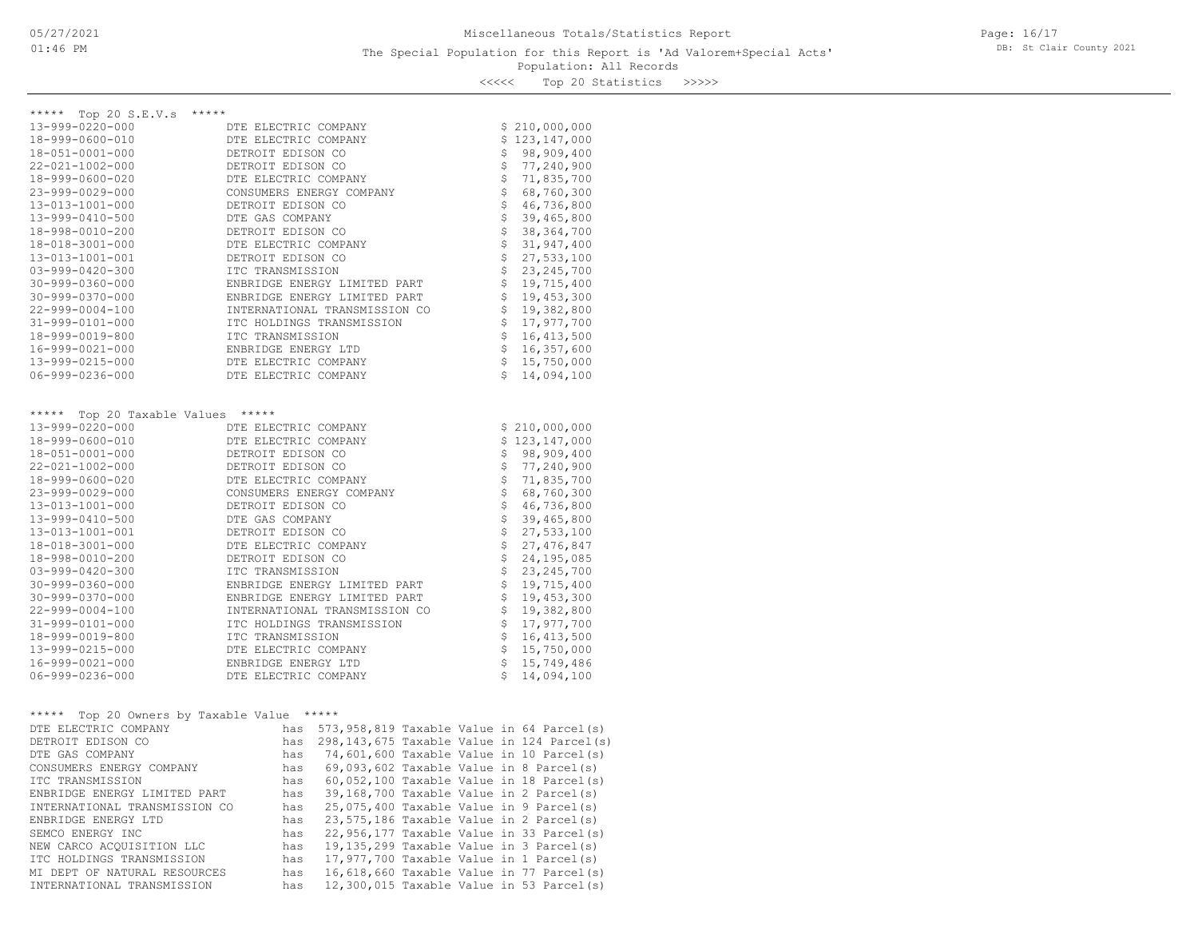Page: 16/17 DB: St Clair County 2021

<<<<< Top 20 Statistics >>>>>

| ***** Top 20 S.E.V.s *****               |                               |                            |                                                                  |
|------------------------------------------|-------------------------------|----------------------------|------------------------------------------------------------------|
| 13-999-0220-000                          | DTE ELECTRIC COMPANY          |                            | \$210,000,000                                                    |
| 18-999-0600-010                          | DTE ELECTRIC COMPANY          |                            | \$123,147,000                                                    |
| 18-051-0001-000                          | DETROIT EDISON CO             |                            | \$98,909,400                                                     |
| 22-021-1002-000                          | DETROIT EDISON CO             |                            | \$77,240,900                                                     |
| 18-999-0600-020                          | DTE ELECTRIC COMPANY          |                            | \$71,835,700                                                     |
| 23-999-0029-000                          | CONSUMERS ENERGY COMPANY      |                            | $$68,760,300$<br>$$46,736,800$                                   |
| 13-013-1001-000                          | DETROIT EDISON CO             |                            |                                                                  |
| 13-999-0410-500                          | DTE GAS COMPANY               | \$                         | 39,465,800                                                       |
| 18-998-0010-200                          | DETROIT EDISON CO             |                            | \$38,364,700                                                     |
| 18-018-3001-000                          | DTE ELECTRIC COMPANY          |                            | \$31, 947, 400                                                   |
| 13-013-1001-001                          | DETROIT EDISON CO             |                            | $$27,533,100$<br>$$23,245,700$                                   |
| $03 - 999 - 0420 - 300$                  | ITC TRANSMISSION              |                            |                                                                  |
| $30 - 999 - 0360 - 000$                  | ENBRIDGE ENERGY LIMITED PART  |                            | \$19,715,400                                                     |
| $30 - 999 - 0370 - 000$                  | ENBRIDGE ENERGY LIMITED PART  |                            | \$19,453,300                                                     |
| $22 - 999 - 0004 - 100$                  | INTERNATIONAL TRANSMISSION CO |                            | \$19,382,800                                                     |
| 31-999-0101-000                          | ITC HOLDINGS TRANSMISSION     |                            | \$17,977,700                                                     |
| 18-999-0019-800                          | ITC TRANSMISSION              |                            | \$16, 413, 500                                                   |
| 16-999-0021-000                          | ENBRIDGE ENERGY LTD           |                            | $\begin{array}{cc} 5 & 16,357,600 \\ 5 & 15,750,000 \end{array}$ |
| 13-999-0215-000                          | DTE ELECTRIC COMPANY          |                            |                                                                  |
| 06-999-0236-000                          | DTE ELECTRIC COMPANY          |                            | \$14,094,100                                                     |
|                                          |                               |                            |                                                                  |
|                                          |                               |                            |                                                                  |
| *****                                    | *****                         |                            |                                                                  |
| Top 20 Taxable Values<br>13-999-0220-000 | DTE ELECTRIC COMPANY          |                            | \$210,000,000                                                    |
| 18-999-0600-010                          | DTE ELECTRIC COMPANY          |                            | \$123,147,000                                                    |
| 18-051-0001-000                          | DETROIT EDISON CO             |                            | \$98,909,400                                                     |
| $22 - 021 - 1002 - 000$                  | DETROIT EDISON CO             |                            |                                                                  |
| 18-999-0600-020                          | DTE ELECTRIC COMPANY          |                            | \$77,240,900                                                     |
| 23-999-0029-000                          | CONSUMERS ENERGY COMPANY      |                            | \$71,835,700                                                     |
| 13-013-1001-000                          | DETROIT EDISON CO             |                            | \$68, 760, 300<br>\$46, 736, 800                                 |
| 13-999-0410-500                          | DTE GAS COMPANY               |                            | \$39,465,800                                                     |
| 13-013-1001-001                          | DETROIT EDISON CO             |                            | 27,533,100                                                       |
| 18-018-3001-000                          | DTE ELECTRIC COMPANY          | \$                         | \$27,476,847                                                     |
| 18-998-0010-200                          | DETROIT EDISON CO             |                            |                                                                  |
| $03 - 999 - 0420 - 300$                  | ITC TRANSMISSION              |                            |                                                                  |
| $30 - 999 - 0360 - 000$                  | ENBRIDGE ENERGY LIMITED PART  |                            | $\begin{array}{cc} 24,195,085 \\ 5 & 23,245,700 \end{array}$     |
| $30 - 999 - 0370 - 000$                  | ENBRIDGE ENERGY LIMITED PART  |                            | \$19,715,400<br>\$19,453,300                                     |
| $22 - 999 - 0004 - 100$                  | INTERNATIONAL TRANSMISSION CO |                            | \$19,382,800                                                     |
| 31-999-0101-000                          | ITC HOLDINGS TRANSMISSION     |                            |                                                                  |
| 18-999-0019-800                          | ITC TRANSMISSION              | $\dot{\tilde{\mathbf{S}}}$ | \$17,977,700<br>16, 413, 500                                     |
| 13-999-0215-000                          | DTE ELECTRIC COMPANY          |                            |                                                                  |
| 16-999-0021-000                          | ENBRIDGE ENERGY LTD           |                            | $$15,750,000$<br>$$15,749,486$                                   |
| $06 - 999 - 0236 - 000$                  | DTE ELECTRIC COMPANY          | S                          | 14,094,100                                                       |
|                                          |                               |                            |                                                                  |
| *****<br>Top 20 Owners by Taxable Value  | *****                         |                            |                                                                  |

| $100$ $10$ $0.0010$ $100$ $1000$ $1000$ |     |                                            |                                            |
|-----------------------------------------|-----|--------------------------------------------|--------------------------------------------|
| DTE ELECTRIC COMPANY                    | has | 573,958,819 Taxable Value in 64 Parcel(s)  |                                            |
| DETROIT EDISON CO                       | has |                                            | 298,143,675 Taxable Value in 124 Parcel(s) |
| DTE GAS COMPANY                         | has | 74,601,600 Taxable Value in 10 Parcel(s)   |                                            |
| CONSUMERS ENERGY COMPANY                | has | $69,093,602$ Taxable Value in 8 Parcel(s)  |                                            |
| ITC TRANSMISSION                        | has | $60,052,100$ Taxable Value in 18 Parcel(s) |                                            |
| ENBRIDGE ENERGY LIMITED PART            | has | 39,168,700 Taxable Value in 2 Parcel(s)    |                                            |
| INTERNATIONAL TRANSMISSION CO           | has | 25,075,400 Taxable Value in 9 Parcel(s)    |                                            |
| ENBRIDGE ENERGY LTD                     | has | 23,575,186 Taxable Value in 2 Parcel(s)    |                                            |
| SEMCO ENERGY INC                        | has | 22,956,177 Taxable Value in 33 Parcel(s)   |                                            |
| NEW CARCO ACOUISITION LLC               | has | 19,135,299 Taxable Value in 3 Parcel(s)    |                                            |
| ITC HOLDINGS TRANSMISSION               | has | 17,977,700 Taxable Value in 1 Parcel(s)    |                                            |
| MI DEPT OF NATURAL RESOURCES            | has | 16,618,660 Taxable Value in 77 Parcel(s)   |                                            |
| INTERNATIONAL TRANSMISSION              | has | 12,300,015 Taxable Value in 53 Parcel(s)   |                                            |